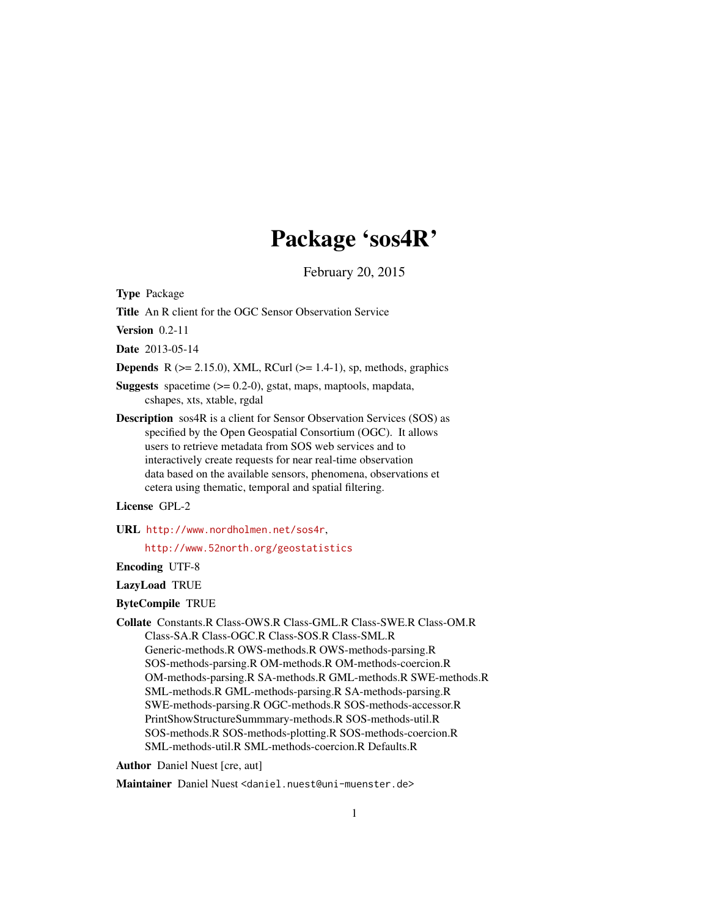# Package 'sos4R'

February 20, 2015

Type Package

Title An R client for the OGC Sensor Observation Service

Version 0.2-11

Date 2013-05-14

**Depends** R ( $>= 2.15.0$ ), XML, RCurl ( $>= 1.4-1$ ), sp, methods, graphics

**Suggests** spacetime  $(>= 0.2\n-0)$ , gstat, maps, maptools, mapdata, cshapes, xts, xtable, rgdal

Description sos4R is a client for Sensor Observation Services (SOS) as specified by the Open Geospatial Consortium (OGC). It allows users to retrieve metadata from SOS web services and to interactively create requests for near real-time observation data based on the available sensors, phenomena, observations et cetera using thematic, temporal and spatial filtering.

# License GPL-2

URL <http://www.nordholmen.net/sos4r>,

<http://www.52north.org/geostatistics>

Encoding UTF-8

LazyLoad TRUE

#### ByteCompile TRUE

Collate Constants.R Class-OWS.R Class-GML.R Class-SWE.R Class-OM.R Class-SA.R Class-OGC.R Class-SOS.R Class-SML.R Generic-methods.R OWS-methods.R OWS-methods-parsing.R SOS-methods-parsing.R OM-methods.R OM-methods-coercion.R OM-methods-parsing.R SA-methods.R GML-methods.R SWE-methods.R SML-methods.R GML-methods-parsing.R SA-methods-parsing.R SWE-methods-parsing.R OGC-methods.R SOS-methods-accessor.R PrintShowStructureSummmary-methods.R SOS-methods-util.R SOS-methods.R SOS-methods-plotting.R SOS-methods-coercion.R SML-methods-util.R SML-methods-coercion.R Defaults.R

Author Daniel Nuest [cre, aut]

Maintainer Daniel Nuest <daniel.nuest@uni-muenster.de>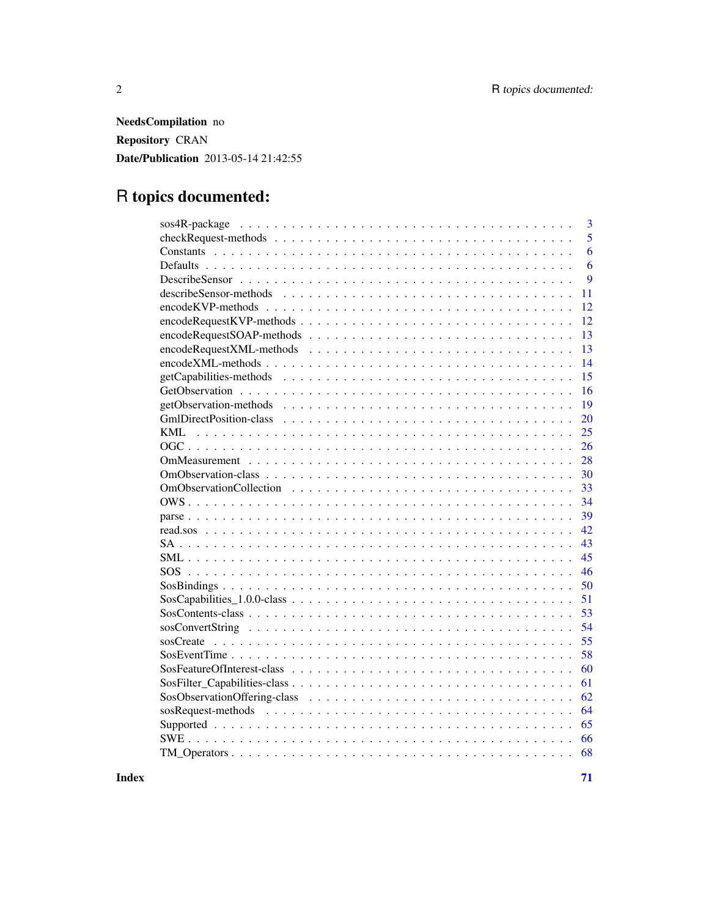NeedsCompilation no Repository CRAN Date/Publication 2013-05-14 21:42:55

# R topics documented:

| 3                                                                                                              |
|----------------------------------------------------------------------------------------------------------------|
| 5                                                                                                              |
| 6                                                                                                              |
| 6                                                                                                              |
| 9                                                                                                              |
| 11                                                                                                             |
| 12                                                                                                             |
| $encodeRequestKVP-methods \dots \dots \dots \dots \dots \dots \dots \dots \dots \dots \dots \dots \dots$<br>12 |
| 13                                                                                                             |
| 13                                                                                                             |
| 14                                                                                                             |
| 15                                                                                                             |
| 16                                                                                                             |
| 19                                                                                                             |
| 20                                                                                                             |
| <b>KML</b><br>25                                                                                               |
| 26                                                                                                             |
| 28                                                                                                             |
| 30                                                                                                             |
| 33                                                                                                             |
| 34                                                                                                             |
| 39                                                                                                             |
| 42                                                                                                             |
| 43                                                                                                             |
| 45                                                                                                             |
| 46                                                                                                             |
| 50                                                                                                             |
| 51                                                                                                             |
| 53                                                                                                             |
| 54                                                                                                             |
| 55                                                                                                             |
| 58                                                                                                             |
| 60                                                                                                             |
| 61                                                                                                             |
| 62                                                                                                             |
| 64                                                                                                             |
| 65                                                                                                             |
| 66                                                                                                             |
| 68                                                                                                             |

**Index** [71](#page-70-0)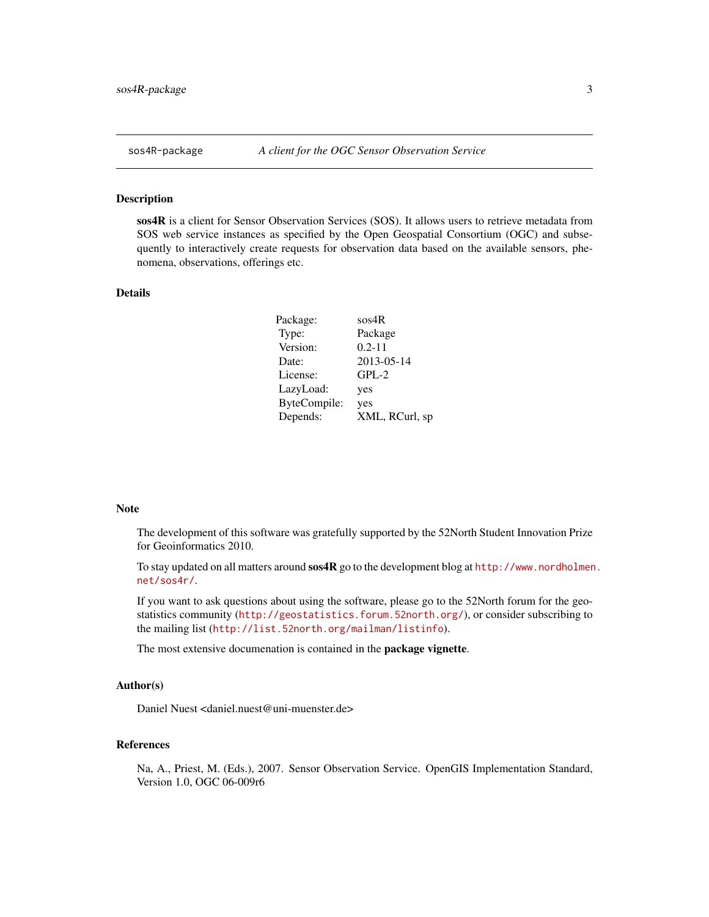### <span id="page-2-0"></span>Description

sos4R is a client for Sensor Observation Services (SOS). It allows users to retrieve metadata from SOS web service instances as specified by the Open Geospatial Consortium (OGC) and subsequently to interactively create requests for observation data based on the available sensors, phenomena, observations, offerings etc.

# Details

| sos4R          |
|----------------|
| Package        |
| $0.2 - 11$     |
| 2013-05-14     |
| $GPL-2$        |
| yes            |
| yes            |
| XML, RCurl, sp |
|                |

#### Note

The development of this software was gratefully supported by the 52North Student Innovation Prize for Geoinformatics 2010.

To stay updated on all matters around sos4R go to the development blog at [http://www.nordholmen](http://www.nordholmen.net/sos4r/). [net/sos4r/](http://www.nordholmen.net/sos4r/).

If you want to ask questions about using the software, please go to the 52North forum for the geostatistics community (<http://geostatistics.forum.52north.org/>), or consider subscribing to the mailing list (<http://list.52north.org/mailman/listinfo>).

The most extensive documenation is contained in the package vignette.

# Author(s)

Daniel Nuest <daniel.nuest@uni-muenster.de>

# References

Na, A., Priest, M. (Eds.), 2007. Sensor Observation Service. OpenGIS Implementation Standard, Version 1.0, OGC 06-009r6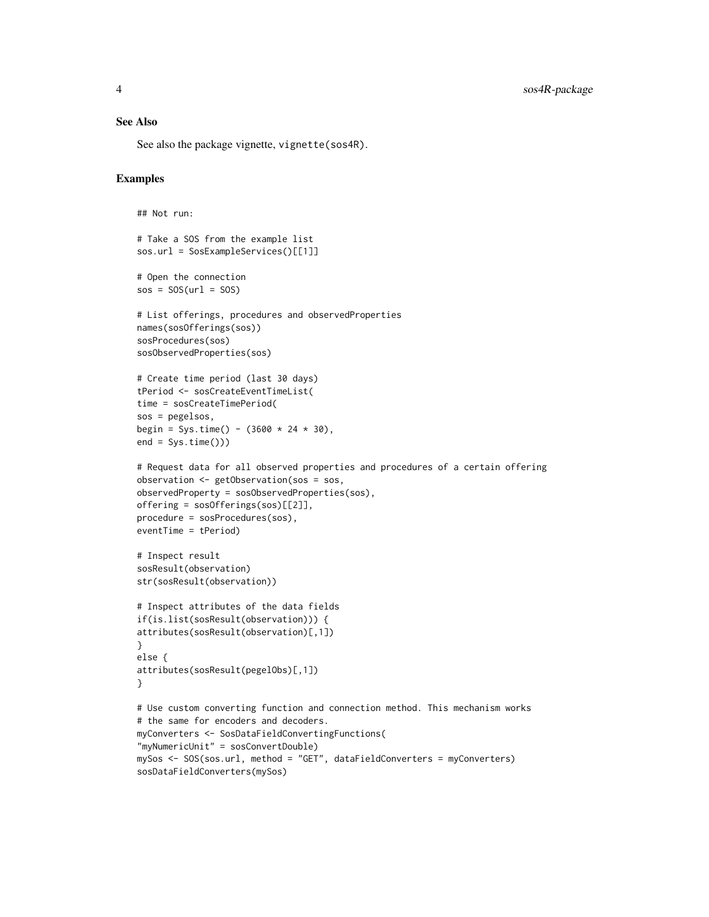# See Also

See also the package vignette, vignette(sos4R).

# Examples

```
## Not run:
# Take a SOS from the example list
sos.url = SosExampleServices()[[1]]
# Open the connection
sos = SOS(url = SOS)# List offerings, procedures and observedProperties
names(sosOfferings(sos))
sosProcedures(sos)
sosObservedProperties(sos)
# Create time period (last 30 days)
tPeriod <- sosCreateEventTimeList(
time = sosCreateTimePeriod(
sos = pegelsos,
begin = Sys.time() - (3600 * 24 * 30),
end = Sys.time())# Request data for all observed properties and procedures of a certain offering
observation <- getObservation(sos = sos,
observedProperty = sosObservedProperties(sos),
offering = sosOfferings(sos)[[2]],
procedure = sosProcedures(sos),
eventTime = tPeriod)
# Inspect result
sosResult(observation)
str(sosResult(observation))
# Inspect attributes of the data fields
if(is.list(sosResult(observation))) {
attributes(sosResult(observation)[,1])
}
else {
attributes(sosResult(pegelObs)[,1])
}
# Use custom converting function and connection method. This mechanism works
# the same for encoders and decoders.
myConverters <- SosDataFieldConvertingFunctions(
"myNumericUnit" = sosConvertDouble)
mySos <- SOS(sos.url, method = "GET", dataFieldConverters = myConverters)
sosDataFieldConverters(mySos)
```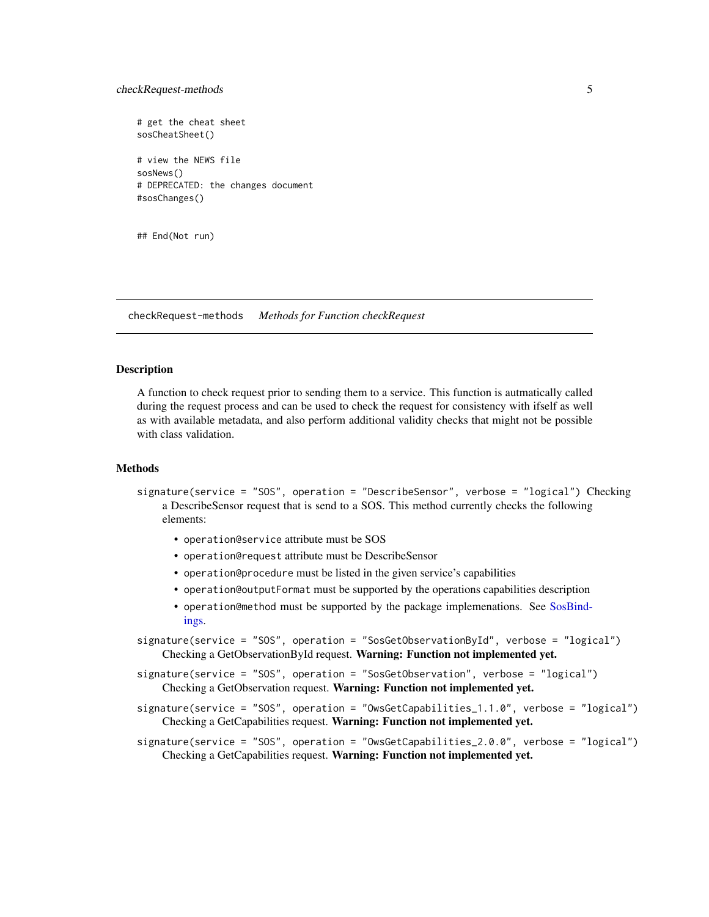# <span id="page-4-0"></span>checkRequest-methods 5

# get the cheat sheet sosCheatSheet() # view the NEWS file sosNews() # DEPRECATED: the changes document #sosChanges()

## End(Not run)

checkRequest-methods *Methods for Function checkRequest*

### Description

A function to check request prior to sending them to a service. This function is autmatically called during the request process and can be used to check the request for consistency with ifself as well as with available metadata, and also perform additional validity checks that might not be possible with class validation.

#### **Methods**

- signature(service = "SOS", operation = "DescribeSensor", verbose = "logical") Checking a DescribeSensor request that is send to a SOS. This method currently checks the following elements:
	- operation@service attribute must be SOS
	- operation@request attribute must be DescribeSensor
	- operation@procedure must be listed in the given service's capabilities
	- operation@outputFormat must be supported by the operations capabilities description
	- operation@method must be supported by the package implemenations. See [SosBind](#page-49-1)[ings.](#page-49-1)
- signature(service = "SOS", operation = "SosGetObservationById", verbose = "logical") Checking a GetObservationById request. Warning: Function not implemented yet.
- signature(service = "SOS", operation = "SosGetObservation", verbose = "logical") Checking a GetObservation request. Warning: Function not implemented yet.
- signature(service = "SOS", operation = "OwsGetCapabilities\_1.1.0", verbose = "logical") Checking a GetCapabilities request. Warning: Function not implemented yet.

signature(service = "SOS", operation = "OwsGetCapabilities\_2.0.0", verbose = "logical") Checking a GetCapabilities request. Warning: Function not implemented yet.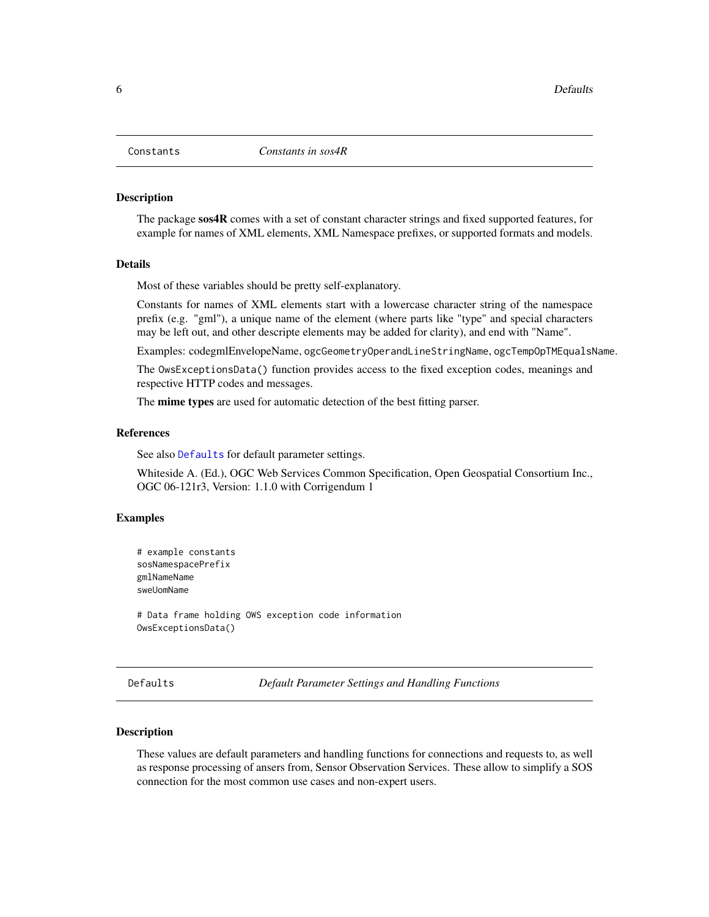<span id="page-5-2"></span><span id="page-5-0"></span>

#### <span id="page-5-3"></span>Description

The package sos4R comes with a set of constant character strings and fixed supported features, for example for names of XML elements, XML Namespace prefixes, or supported formats and models.

# Details

Most of these variables should be pretty self-explanatory.

Constants for names of XML elements start with a lowercase character string of the namespace prefix (e.g. "gml"), a unique name of the element (where parts like "type" and special characters may be left out, and other descripte elements may be added for clarity), and end with "Name".

Examples: codegmlEnvelopeName, ogcGeometryOperandLineStringName, ogcTempOpTMEqualsName.

The OwsExceptionsData() function provides access to the fixed exception codes, meanings and respective HTTP codes and messages.

The **mime types** are used for automatic detection of the best fitting parser.

### References

See also [Defaults](#page-5-1) for default parameter settings.

Whiteside A. (Ed.), OGC Web Services Common Specification, Open Geospatial Consortium Inc., OGC 06-121r3, Version: 1.1.0 with Corrigendum 1

#### Examples

```
# example constants
sosNamespacePrefix
gmlNameName
sweUomName
```
# Data frame holding OWS exception code information OwsExceptionsData()

<span id="page-5-1"></span>Defaults *Default Parameter Settings and Handling Functions*

### Description

These values are default parameters and handling functions for connections and requests to, as well as response processing of ansers from, Sensor Observation Services. These allow to simplify a SOS connection for the most common use cases and non-expert users.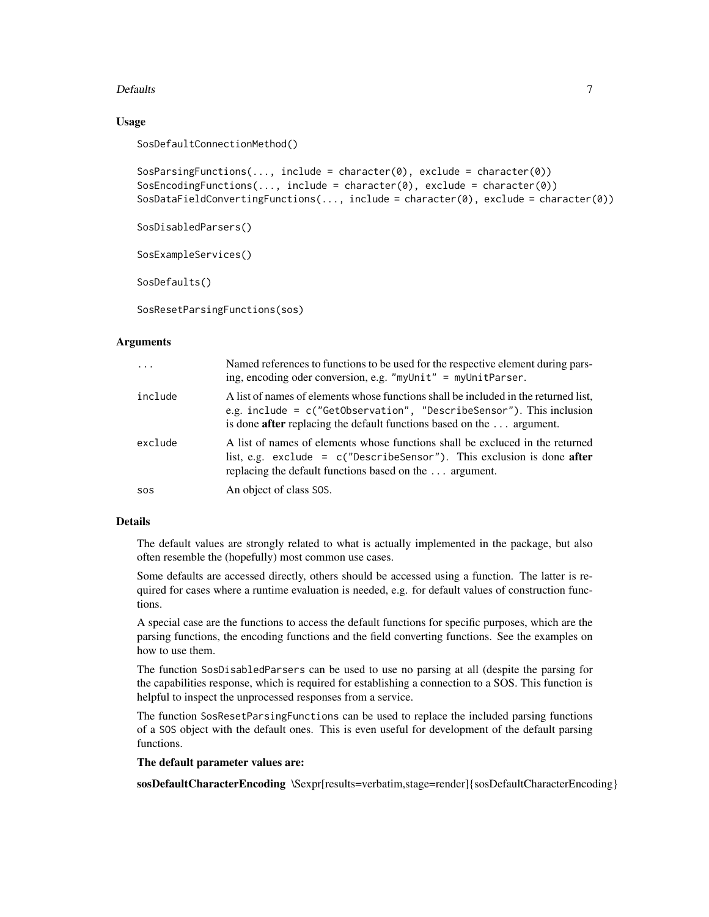### Defaults 7

# Usage

SosDefaultConnectionMethod()

```
SosParsingFunctions(..., include = character(0), exclude = character(0))
SosEncodingFunctions(..., include = character(0), exclude = character(0))
SosDataFieldConvertingFunctions(..., include = character(0), exclude = character(0))
```

```
SosDisabledParsers()
```

```
SosExampleServices()
```
SosDefaults()

```
SosResetParsingFunctions(sos)
```
# Arguments

| $\cdots$ | Named references to functions to be used for the respective element during pars-<br>ing, encoding oder conversion, e.g. "myUnit" = myUnitParser.                                                                                                      |
|----------|-------------------------------------------------------------------------------------------------------------------------------------------------------------------------------------------------------------------------------------------------------|
| include  | A list of names of elements whose functions shall be included in the returned list,<br>e.g. include = $c$ ("GetObservation", "DescribeSensor"). This inclusion<br>is done <b>after</b> replacing the default functions based on the $\dots$ argument. |
| exclude  | A list of names of elements whose functions shall be excluced in the returned<br>list, e.g. exclude = $c("Describesensor")$ . This exclusion is done <b>after</b><br>replacing the default functions based on the  argument.                          |
| SOS      | An object of class SOS.                                                                                                                                                                                                                               |

# Details

The default values are strongly related to what is actually implemented in the package, but also often resemble the (hopefully) most common use cases.

Some defaults are accessed directly, others should be accessed using a function. The latter is required for cases where a runtime evaluation is needed, e.g. for default values of construction functions.

A special case are the functions to access the default functions for specific purposes, which are the parsing functions, the encoding functions and the field converting functions. See the examples on how to use them.

The function SosDisabledParsers can be used to use no parsing at all (despite the parsing for the capabilities response, which is required for establishing a connection to a SOS. This function is helpful to inspect the unprocessed responses from a service.

The function SosResetParsingFunctions can be used to replace the included parsing functions of a SOS object with the default ones. This is even useful for development of the default parsing functions.

### The default parameter values are:

sosDefaultCharacterEncoding \Sexpr[results=verbatim,stage=render]{sosDefaultCharacterEncoding}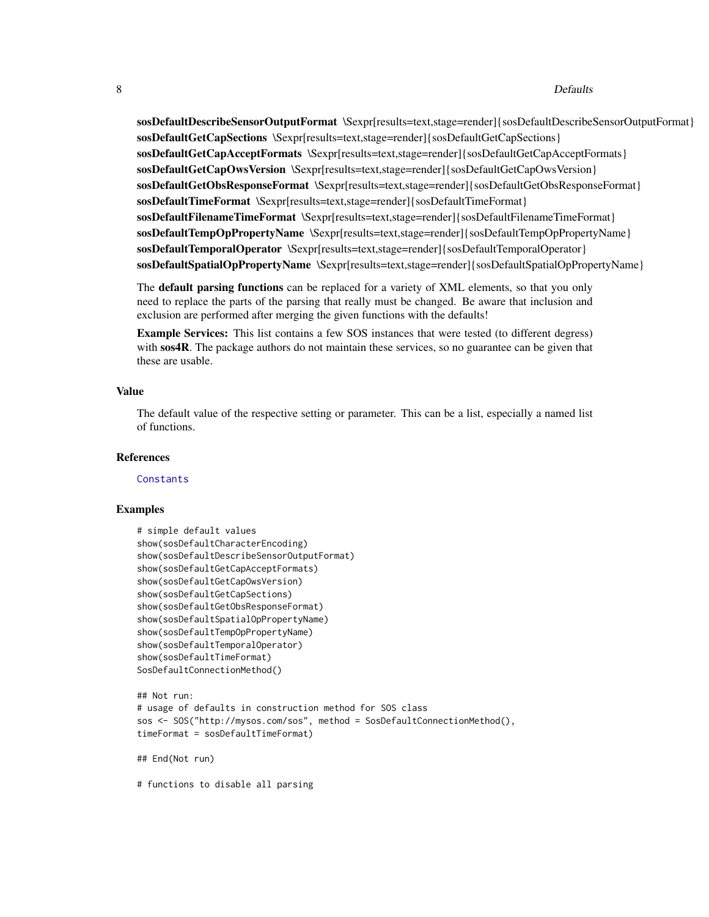#### 8 Defaults

sosDefaultDescribeSensorOutputFormat \Sexpr[results=text,stage=render]{sosDefaultDescribeSensorOutputFormat} sosDefaultGetCapSections \Sexpr[results=text,stage=render]{sosDefaultGetCapSections} sosDefaultGetCapAcceptFormats \Sexpr[results=text,stage=render]{sosDefaultGetCapAcceptFormats} sosDefaultGetCapOwsVersion \Sexpr[results=text,stage=render]{sosDefaultGetCapOwsVersion} sosDefaultGetObsResponseFormat \Sexpr[results=text,stage=render]{sosDefaultGetObsResponseFormat} sosDefaultTimeFormat \Sexpr[results=text,stage=render]{sosDefaultTimeFormat} sosDefaultFilenameTimeFormat \Sexpr[results=text,stage=render]{sosDefaultFilenameTimeFormat} sosDefaultTempOpPropertyName \Sexpr[results=text,stage=render]{sosDefaultTempOpPropertyName} sosDefaultTemporalOperator \Sexpr[results=text,stage=render]{sosDefaultTemporalOperator} sosDefaultSpatialOpPropertyName \Sexpr[results=text,stage=render]{sosDefaultSpatialOpPropertyName}

The **default parsing functions** can be replaced for a variety of XML elements, so that you only need to replace the parts of the parsing that really must be changed. Be aware that inclusion and exclusion are performed after merging the given functions with the defaults!

Example Services: This list contains a few SOS instances that were tested (to different degress) with sos4R. The package authors do not maintain these services, so no guarantee can be given that these are usable.

### Value

The default value of the respective setting or parameter. This can be a list, especially a named list of functions.

# References

**[Constants](#page-5-2)** 

# Examples

```
# simple default values
show(sosDefaultCharacterEncoding)
show(sosDefaultDescribeSensorOutputFormat)
show(sosDefaultGetCapAcceptFormats)
show(sosDefaultGetCapOwsVersion)
show(sosDefaultGetCapSections)
show(sosDefaultGetObsResponseFormat)
show(sosDefaultSpatialOpPropertyName)
show(sosDefaultTempOpPropertyName)
show(sosDefaultTemporalOperator)
show(sosDefaultTimeFormat)
SosDefaultConnectionMethod()
## Not run:
```

```
# usage of defaults in construction method for SOS class
sos <- SOS("http://mysos.com/sos", method = SosDefaultConnectionMethod(),
timeFormat = sosDefaultTimeFormat)
```

```
## End(Not run)
```
# functions to disable all parsing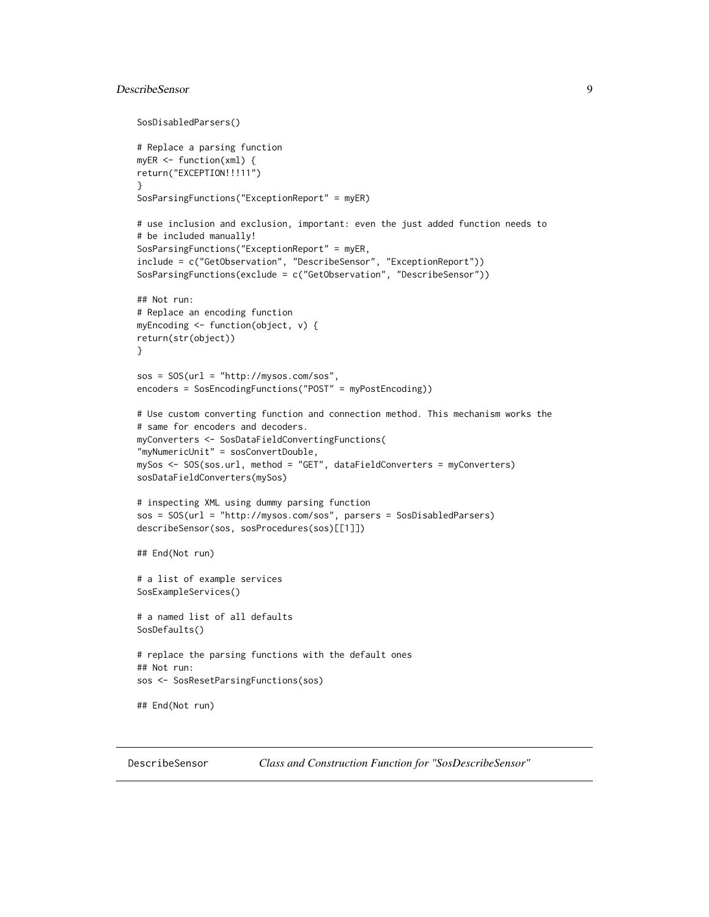# <span id="page-8-0"></span>DescribeSensor 9

```
SosDisabledParsers()
# Replace a parsing function
myER <- function(xml) {
return("EXCEPTION!!!11")
}
SosParsingFunctions("ExceptionReport" = myER)
# use inclusion and exclusion, important: even the just added function needs to
# be included manually!
SosParsingFunctions("ExceptionReport" = myER,
include = c("GetObservation", "DescribeSensor", "ExceptionReport"))
SosParsingFunctions(exclude = c("GetObservation", "DescribeSensor"))
## Not run:
# Replace an encoding function
myEncoding <- function(object, v) {
return(str(object))
}
sos = SOS(url = "http://mysos.com/sos",
encoders = SosEncodingFunctions("POST" = myPostEncoding))
# Use custom converting function and connection method. This mechanism works the
# same for encoders and decoders.
myConverters <- SosDataFieldConvertingFunctions(
"myNumericUnit" = sosConvertDouble,
mySos <- SOS(sos.url, method = "GET", dataFieldConverters = myConverters)
sosDataFieldConverters(mySos)
# inspecting XML using dummy parsing function
sos = SOS(url = "http://mysos.com/sos", parsers = SosDisabledParsers)
describeSensor(sos, sosProcedures(sos)[[1]])
## End(Not run)
# a list of example services
SosExampleServices()
# a named list of all defaults
SosDefaults()
# replace the parsing functions with the default ones
## Not run:
sos <- SosResetParsingFunctions(sos)
## End(Not run)
```
<span id="page-8-1"></span>

DescribeSensor *Class and Construction Function for "SosDescribeSensor"*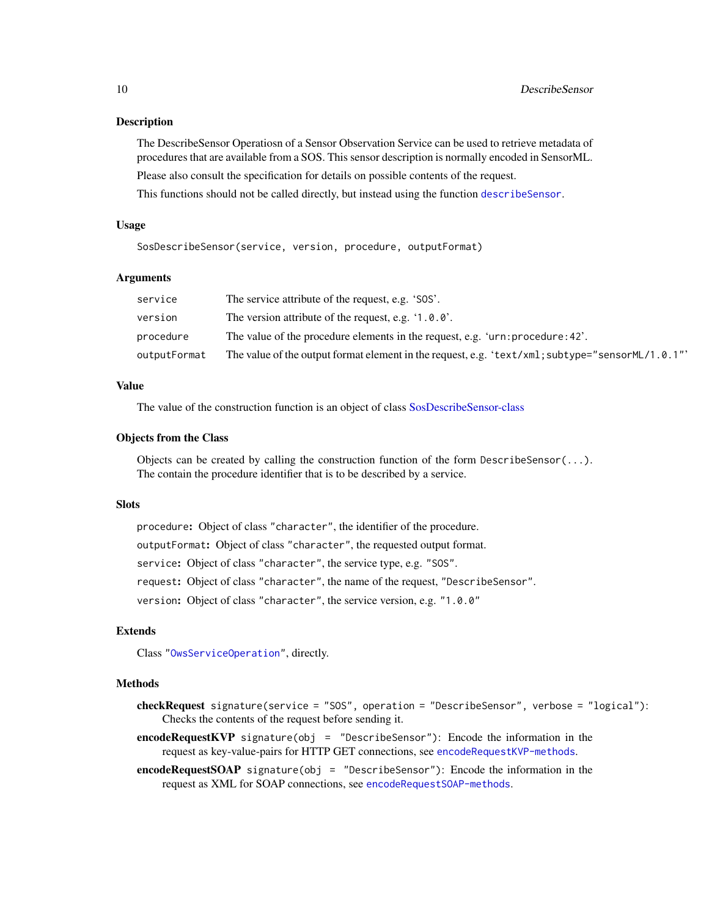# Description

The DescribeSensor Operatiosn of a Sensor Observation Service can be used to retrieve metadata of procedures that are available from a SOS. This sensor description is normally encoded in SensorML. Please also consult the specification for details on possible contents of the request.

This functions should not be called directly, but instead using the function [describeSensor](#page-10-1).

#### Usage

SosDescribeSensor(service, version, procedure, outputFormat)

#### Arguments

| service      | The service attribute of the request, e.g. 'SOS'.                                               |
|--------------|-------------------------------------------------------------------------------------------------|
| version      | The version attribute of the request, e.g. $\langle 1.0.0 \rangle$ .                            |
| procedure    | The value of the procedure elements in the request, e.g. 'urn: procedure: 42'.                  |
| outputFormat | The value of the output format element in the request, e.g. 'text/xml; subtype="sensorML/1.0.1" |

### Value

The value of the construction function is an object of class [SosDescribeSensor-class](#page-8-1)

#### Objects from the Class

Objects can be created by calling the construction function of the form DescribeSensor $(\ldots)$ . The contain the procedure identifier that is to be described by a service.

#### **Slots**

procedure: Object of class "character", the identifier of the procedure. outputFormat: Object of class "character", the requested output format. service: Object of class "character", the service type, e.g. "SOS". request: Object of class "character", the name of the request, "DescribeSensor". version: Object of class "character", the service version, e.g. "1.0.0"

### Extends

Class ["OwsServiceOperation"](#page-33-1), directly.

# Methods

- checkRequest signature(service = "SOS", operation = "DescribeSensor", verbose = "logical"): Checks the contents of the request before sending it.
- encodeRequestKVP signature(obj = "DescribeSensor"): Encode the information in the request as key-value-pairs for HTTP GET connections, see [encodeRequestKVP-methods](#page-11-1).
- encodeRequestSOAP signature(obj = "DescribeSensor"): Encode the information in the request as XML for SOAP connections, see [encodeRequestSOAP-methods](#page-12-1).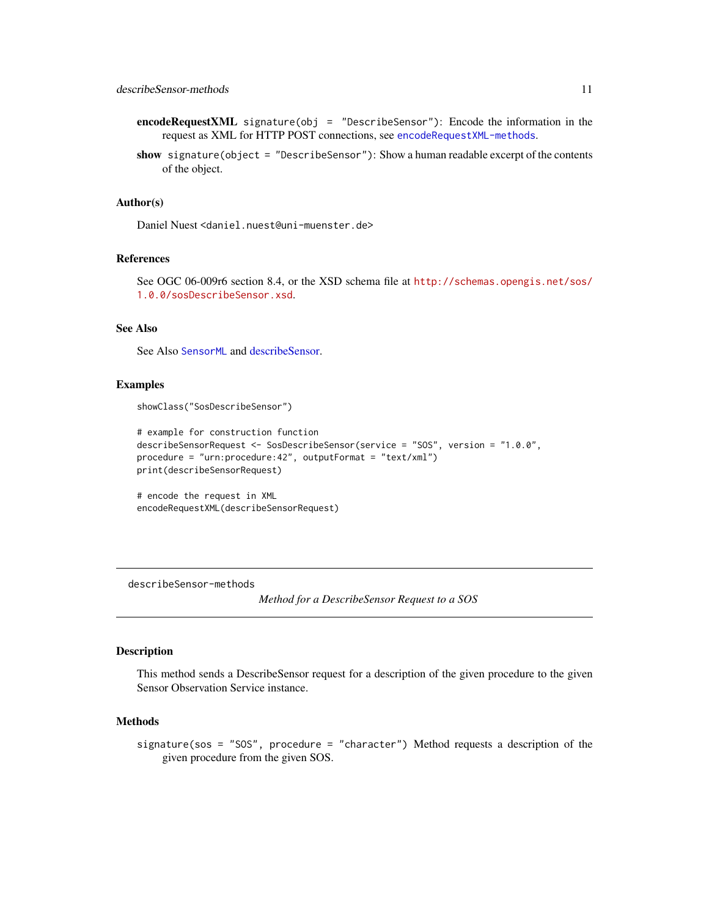- <span id="page-10-0"></span>encodeRequestXML signature(obj = "DescribeSensor"): Encode the information in the request as XML for HTTP POST connections, see [encodeRequestXML-methods](#page-12-2).
- show signature(object = "DescribeSensor"): Show a human readable excerpt of the contents of the object.

### Author(s)

Daniel Nuest <daniel.nuest@uni-muenster.de>

# References

See OGC 06-009r6 section 8.4, or the XSD schema file at [http://schemas.opengis.net/sos/](http://schemas.opengis.net/sos/1.0.0/sosDescribeSensor.xsd) [1.0.0/sosDescribeSensor.xsd](http://schemas.opengis.net/sos/1.0.0/sosDescribeSensor.xsd).

# See Also

See Also [SensorML](#page-44-1) and [describeSensor.](#page-10-1)

### Examples

showClass("SosDescribeSensor")

```
# example for construction function
describeSensorRequest <- SosDescribeSensor(service = "SOS", version = "1.0.0",
procedure = "urn:procedure:42", outputFormat = "text/xml")
print(describeSensorRequest)
```

```
# encode the request in XML
encodeRequestXML(describeSensorRequest)
```
describeSensor-methods

*Method for a DescribeSensor Request to a SOS*

#### <span id="page-10-1"></span>Description

This method sends a DescribeSensor request for a description of the given procedure to the given Sensor Observation Service instance.

#### Methods

signature(sos = "SOS", procedure = "character") Method requests a description of the given procedure from the given SOS.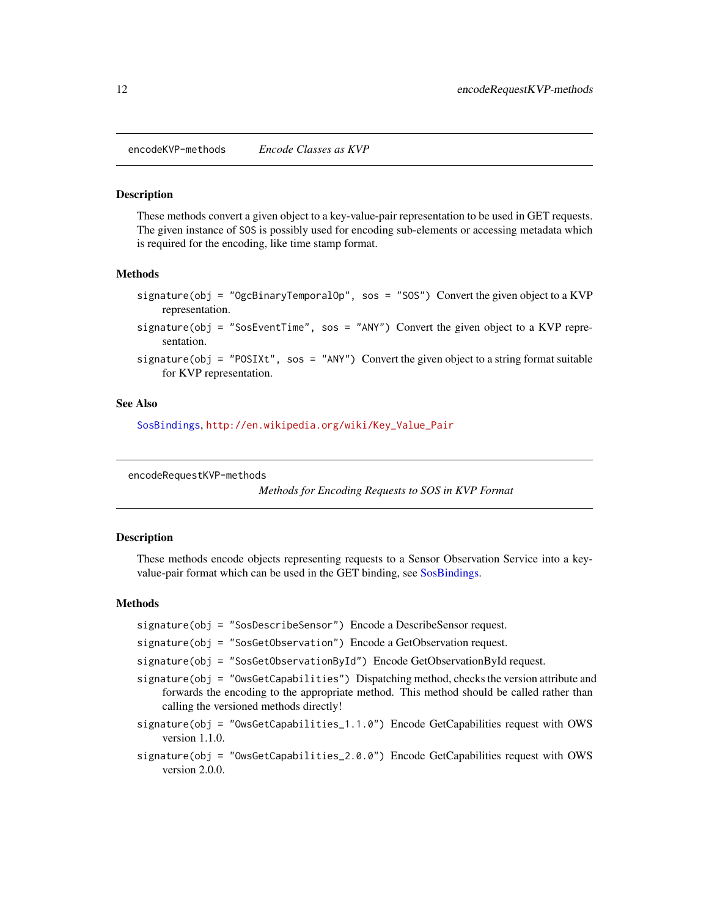<span id="page-11-0"></span>encodeKVP-methods *Encode Classes as KVP*

#### <span id="page-11-2"></span>Description

These methods convert a given object to a key-value-pair representation to be used in GET requests. The given instance of SOS is possibly used for encoding sub-elements or accessing metadata which is required for the encoding, like time stamp format.

#### Methods

signature(obj = "OgcBinaryTemporalOp", sos = "SOS") Convert the given object to a KVP representation.

signature(obj = "SosEventTime", sos = "ANY") Convert the given object to a KVP representation.

signature(obj = "POSIXt", sos = "ANY") Convert the given object to a string format suitable for KVP representation.

#### See Also

[SosBindings](#page-49-1), [http://en.wikipedia.org/wiki/Key\\_Value\\_Pair](http://en.wikipedia.org/wiki/Key_Value_Pair)

<span id="page-11-1"></span>encodeRequestKVP-methods

*Methods for Encoding Requests to SOS in KVP Format*

#### Description

These methods encode objects representing requests to a Sensor Observation Service into a key-value-pair format which can be used in the GET binding, see [SosBindings.](#page-49-1)

#### Methods

- signature(obj = "SosDescribeSensor") Encode a DescribeSensor request.
- signature(obj = "SosGetObservation") Encode a GetObservation request.
- signature(obj = "SosGetObservationById") Encode GetObservationById request.
- signature(obj = "OwsGetCapabilities") Dispatching method, checks the version attribute and forwards the encoding to the appropriate method. This method should be called rather than calling the versioned methods directly!
- signature(obj = "OwsGetCapabilities\_1.1.0") Encode GetCapabilities request with OWS version 1.1.0.
- signature(obj = "OwsGetCapabilities\_2.0.0") Encode GetCapabilities request with OWS version 2.0.0.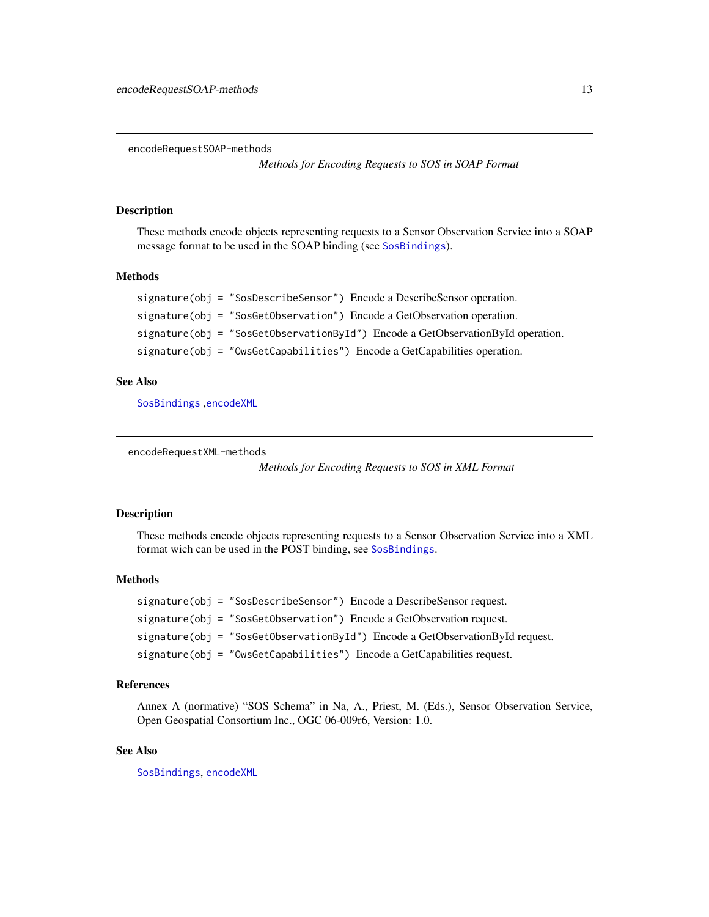<span id="page-12-1"></span><span id="page-12-0"></span>encodeRequestSOAP-methods

*Methods for Encoding Requests to SOS in SOAP Format*

# <span id="page-12-4"></span>Description

These methods encode objects representing requests to a Sensor Observation Service into a SOAP message format to be used in the SOAP binding (see [SosBindings](#page-49-1)).

# Methods

```
signature(obj = "SosDescribeSensor") Encode a DescribeSensor operation.
signature(obj = "SosGetObservation") Encode a GetObservation operation.
signature(obj = "SosGetObservationById") Encode a GetObservationById operation.
signature(obj = "OwsGetCapabilities") Encode a GetCapabilities operation.
```
### See Also

[SosBindings](#page-49-1) ,[encodeXML](#page-13-1)

<span id="page-12-2"></span>encodeRequestXML-methods

*Methods for Encoding Requests to SOS in XML Format*

# <span id="page-12-3"></span>Description

These methods encode objects representing requests to a Sensor Observation Service into a XML format wich can be used in the POST binding, see [SosBindings](#page-49-1).

# Methods

```
signature(obj = "SosDescribeSensor") Encode a DescribeSensor request.
signature(obj = "SosGetObservation") Encode a GetObservation request.
signature(obj = "SosGetObservationById") Encode a GetObservationById request.
signature(obj = "OwsGetCapabilities") Encode a GetCapabilities request.
```
# References

Annex A (normative) "SOS Schema" in Na, A., Priest, M. (Eds.), Sensor Observation Service, Open Geospatial Consortium Inc., OGC 06-009r6, Version: 1.0.

#### See Also

[SosBindings](#page-49-1), [encodeXML](#page-13-1)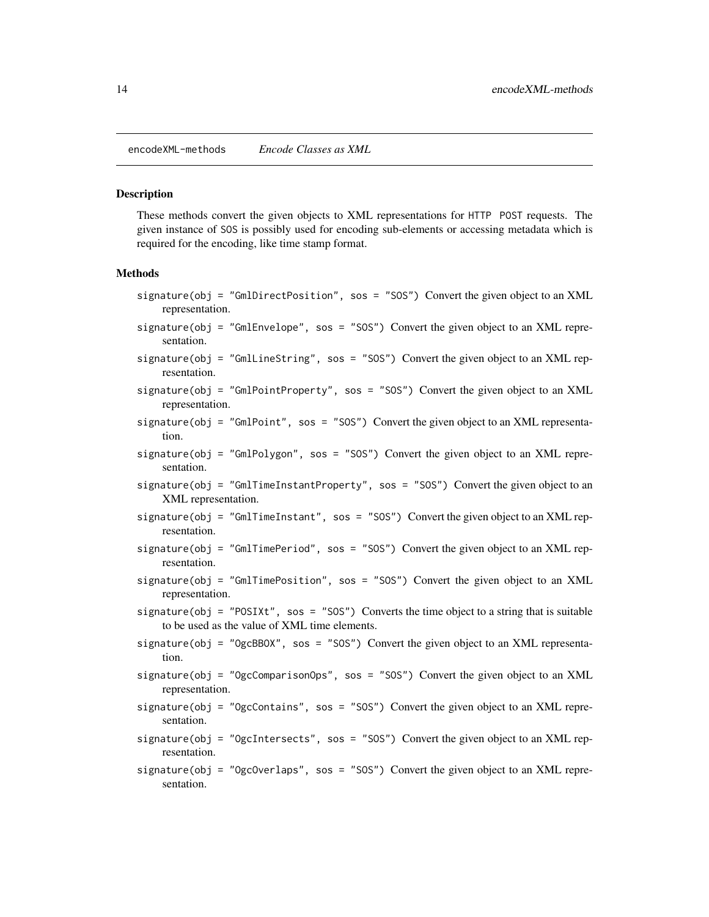<span id="page-13-0"></span>encodeXML-methods *Encode Classes as XML*

#### <span id="page-13-1"></span>**Description**

These methods convert the given objects to XML representations for HTTP POST requests. The given instance of SOS is possibly used for encoding sub-elements or accessing metadata which is required for the encoding, like time stamp format.

#### Methods

- signature(obj = "GmlDirectPosition", sos = "SOS") Convert the given object to an XML representation.
- signature(obj = "GmlEnvelope", sos = "SOS") Convert the given object to an XML representation.
- signature(obj = "GmlLineString", sos = "SOS") Convert the given object to an XML representation.
- signature(obj = "GmlPointProperty", sos = "SOS") Convert the given object to an XML representation.
- signature( $obj = "GmlPoint", sos = "SOS")$  Convert the given object to an XML representation.
- signature(obj = "GmlPolygon", sos = "SOS") Convert the given object to an XML representation.
- signature(obj = "GmlTimeInstantProperty", sos = "SOS") Convert the given object to an XML representation.
- signature(obj = "GmlTimeInstant", sos = "SOS") Convert the given object to an XML representation.
- signature(obj = "GmlTimePeriod", sos = "SOS") Convert the given object to an XML representation.
- signature(obj = "GmlTimePosition", sos = "SOS") Convert the given object to an XML representation.
- signature(obj = "POSIXt", sos = "SOS") Converts the time object to a string that is suitable to be used as the value of XML time elements.
- $signature(obj = "OgcBBOX", sos = "SOS")$  Convert the given object to an XML representation.
- signature(obj = "OgcComparisonOps", sos = "SOS") Convert the given object to an XML representation.
- signature(obj = "OgcContains", sos = "SOS") Convert the given object to an XML representation.
- signature(obj = "OgcIntersects", sos = "SOS") Convert the given object to an XML representation.
- signature(obj = "OgcOverlaps", sos = "SOS") Convert the given object to an XML representation.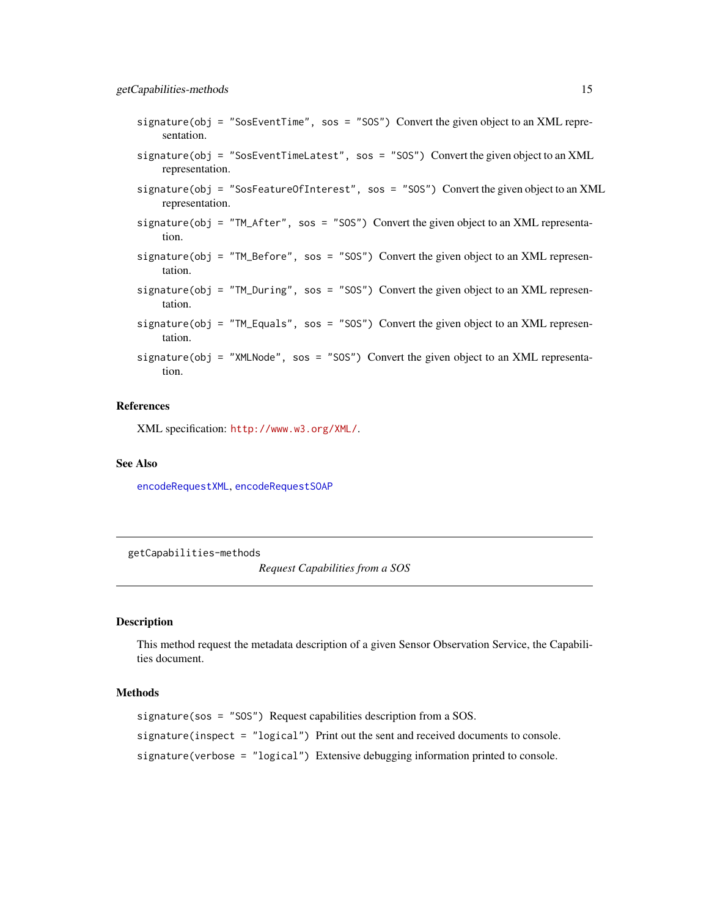- <span id="page-14-0"></span> $signature(obj = "SosEventTime", sos = "SOS")$  Convert the given object to an XML representation.
- signature(obj = "SosEventTimeLatest", sos = "SOS") Convert the given object to an XML representation.
- signature(obj = "SosFeatureOfInterest", sos = "SOS") Convert the given object to an XML representation.
- signature(obj = "TM\_After", sos = "SOS") Convert the given object to an XML representation.
- signature(obj = "TM\_Before", sos = "SOS") Convert the given object to an XML representation.
- signature(obj = "TM\_During", sos = "SOS") Convert the given object to an XML representation.
- signature(obj = "TM\_Equals", sos = "SOS") Convert the given object to an XML representation.
- signature(obj = "XMLNode", sos = "SOS") Convert the given object to an XML representation.

### References

XML specification: <http://www.w3.org/XML/>.

#### See Also

[encodeRequestXML](#page-12-3), [encodeRequestSOAP](#page-12-4)

getCapabilities-methods

*Request Capabilities from a SOS*

# Description

This method request the metadata description of a given Sensor Observation Service, the Capabilities document.

#### Methods

```
signature(sos = "SOS") Request capabilities description from a SOS.
signature(inspect = "logical") Print out the sent and received documents to console.
signature(verbose = "logical") Extensive debugging information printed to console.
```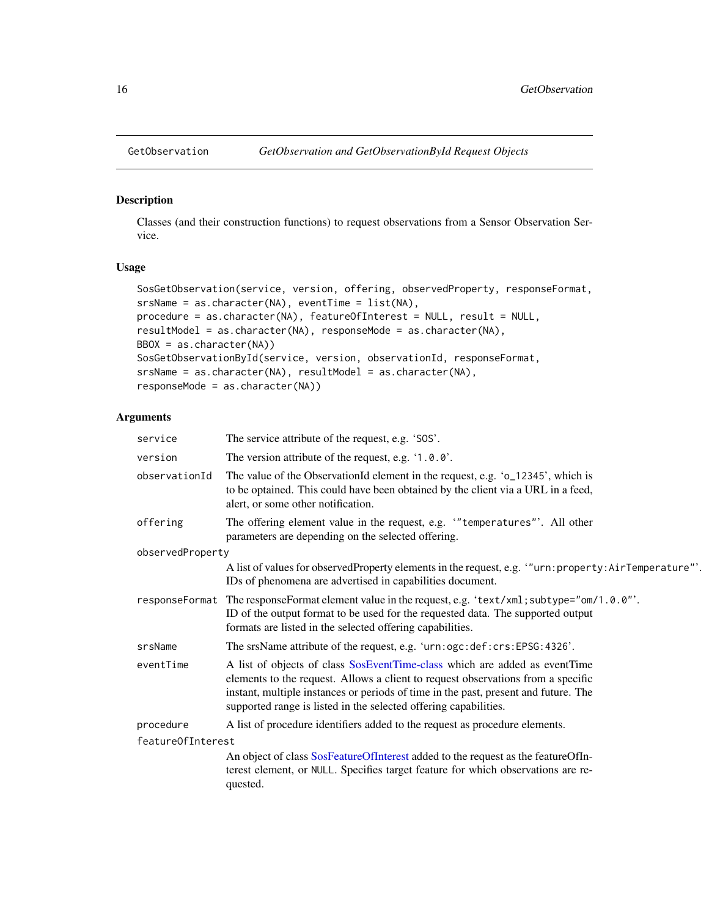<span id="page-15-0"></span>

#### <span id="page-15-1"></span>Description

Classes (and their construction functions) to request observations from a Sensor Observation Service.

# Usage

```
SosGetObservation(service, version, offering, observedProperty, responseFormat,
srsName = as.character(NA), eventTime = list(NA),
procedure = as.character(NA), featureOfInterest = NULL, result = NULL,
resultModel = as.character(NA), responseMode = as.character(NA),
BBOX = as.character(NA))
SosGetObservationById(service, version, observationId, responseFormat,
srsName = as.character(NA), resultModel = as.character(NA),
responseMode = as.character(NA))
```
# Arguments

| service           | The service attribute of the request, e.g. 'SOS'.                                                                                                                                                                                                                                                                         |
|-------------------|---------------------------------------------------------------------------------------------------------------------------------------------------------------------------------------------------------------------------------------------------------------------------------------------------------------------------|
| version           | The version attribute of the request, e.g. '1.0.0'.                                                                                                                                                                                                                                                                       |
| observationId     | The value of the ObservationId element in the request, e.g. 'o_12345', which is<br>to be optained. This could have been obtained by the client via a URL in a feed,<br>alert, or some other notification.                                                                                                                 |
| offering          | The offering element value in the request, e.g. "temperatures". All other<br>parameters are depending on the selected offering.                                                                                                                                                                                           |
| observedProperty  |                                                                                                                                                                                                                                                                                                                           |
|                   | A list of values for observedProperty elements in the request, e.g. "urn: property: AirTemperature"'.<br>IDs of phenomena are advertised in capabilities document.                                                                                                                                                        |
|                   | responseFormat The responseFormat element value in the request, e.g. 'text/xml; subtype="om/1.0.0"'.<br>ID of the output format to be used for the requested data. The supported output<br>formats are listed in the selected offering capabilities.                                                                      |
| srsName           | The srsName attribute of the request, e.g. 'urn:ogc:def:crs:EPSG:4326'.                                                                                                                                                                                                                                                   |
| eventTime         | A list of objects of class SosEventTime-class which are added as eventTime<br>elements to the request. Allows a client to request observations from a specific<br>instant, multiple instances or periods of time in the past, present and future. The<br>supported range is listed in the selected offering capabilities. |
| procedure         | A list of procedure identifiers added to the request as procedure elements.                                                                                                                                                                                                                                               |
| feature0fInterest |                                                                                                                                                                                                                                                                                                                           |
|                   | An object of class SosFeatureOfInterest added to the request as the featureOfIn-<br>terest element, or NULL. Specifies target feature for which observations are re-<br>quested.                                                                                                                                          |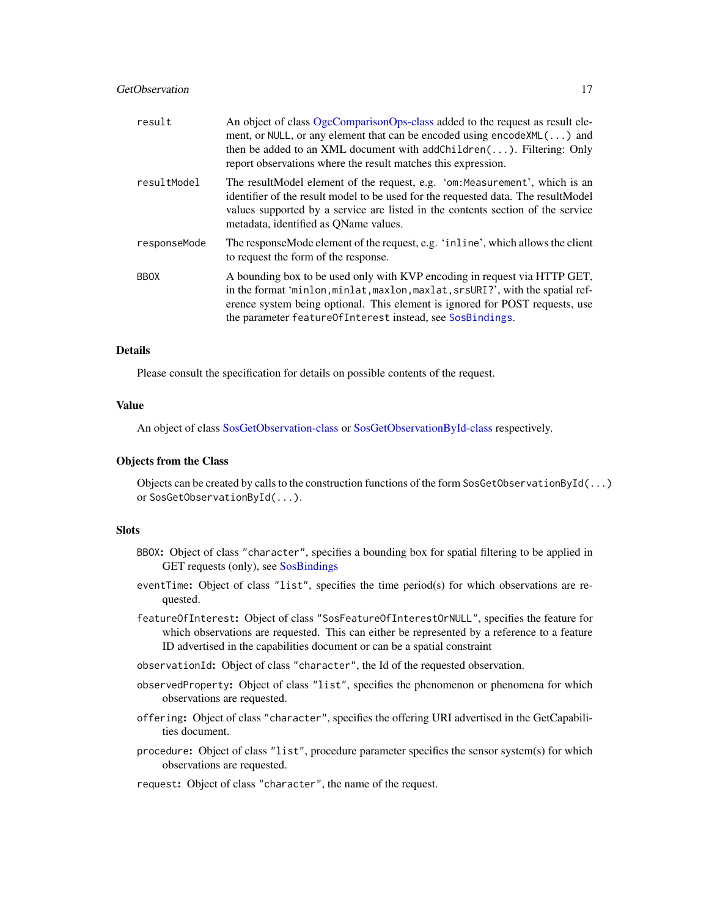# GetObservation 17

| result       | An object of class OgcComparisonOps-class added to the request as result ele-<br>ment, or NULL, or any element that can be encoded using encode XML $(\ldots)$ and<br>then be added to an XML document with addChildren $(\ldots)$ . Filtering: Only<br>report observations where the result matches this expression. |
|--------------|-----------------------------------------------------------------------------------------------------------------------------------------------------------------------------------------------------------------------------------------------------------------------------------------------------------------------|
| resultModel  | The resultModel element of the request, e.g. 'om: Measurement', which is an<br>identifier of the result model to be used for the requested data. The resultModel<br>values supported by a service are listed in the contents section of the service<br>metadata, identified as QName values.                          |
| responseMode | The responseMode element of the request, e.g. 'inline', which allows the client<br>to request the form of the response.                                                                                                                                                                                               |
| <b>BBOX</b>  | A bounding box to be used only with KVP encoding in request via HTTP GET,<br>in the format 'minlon, minlat, maxlon, maxlat, srsURI?', with the spatial ref-<br>erence system being optional. This element is ignored for POST requests, use<br>the parameter featureOfInterest instead, see SosBindings.              |

# Details

Please consult the specification for details on possible contents of the request.

### Value

An object of class [SosGetObservation-class](#page-15-1) or [SosGetObservationById-class](#page-15-1) respectively.

#### Objects from the Class

Objects can be created by calls to the construction functions of the form SosGetObservationById(...) or SosGetObservationById(...).

# Slots

- BBOX: Object of class "character", specifies a bounding box for spatial filtering to be applied in GET requests (only), see [SosBindings](#page-49-1)
- eventTime: Object of class "list", specifies the time period(s) for which observations are requested.
- featureOfInterest: Object of class "SosFeatureOfInterestOrNULL", specifies the feature for which observations are requested. This can either be represented by a reference to a feature ID advertised in the capabilities document or can be a spatial constraint
- observationId: Object of class "character", the Id of the requested observation.
- observedProperty: Object of class "list", specifies the phenomenon or phenomena for which observations are requested.
- offering: Object of class "character", specifies the offering URI advertised in the GetCapabilities document.
- procedure: Object of class "list", procedure parameter specifies the sensor system(s) for which observations are requested.
- request: Object of class "character", the name of the request.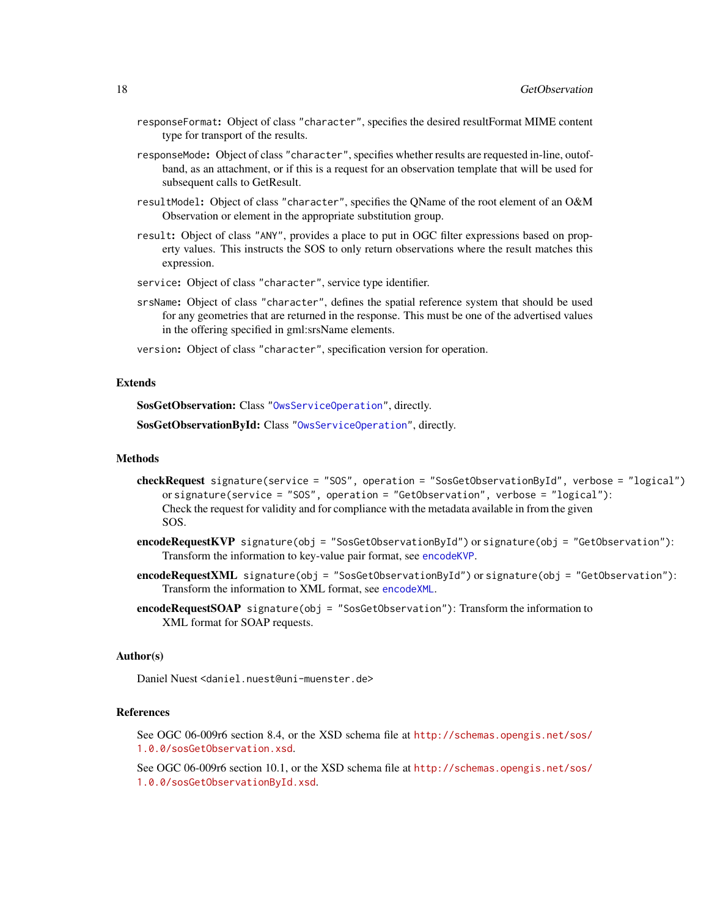- responseFormat: Object of class "character", specifies the desired resultFormat MIME content type for transport of the results.
- responseMode: Object of class "character", specifies whether results are requested in-line, outofband, as an attachment, or if this is a request for an observation template that will be used for subsequent calls to GetResult.
- resultModel: Object of class "character", specifies the QName of the root element of an O&M Observation or element in the appropriate substitution group.
- result: Object of class "ANY", provides a place to put in OGC filter expressions based on property values. This instructs the SOS to only return observations where the result matches this expression.
- service: Object of class "character", service type identifier.
- srsName: Object of class "character", defines the spatial reference system that should be used for any geometries that are returned in the response. This must be one of the advertised values in the offering specified in gml:srsName elements.
- version: Object of class "character", specification version for operation.

### Extends

SosGetObservation: Class ["OwsServiceOperation"](#page-33-1), directly.

SosGetObservationById: Class ["OwsServiceOperation"](#page-33-1), directly.

### Methods

- checkRequest signature(service = "SOS", operation = "SosGetObservationById", verbose = "logical") or signature(service = "SOS", operation = "GetObservation", verbose = "logical"): Check the request for validity and for compliance with the metadata available in from the given SOS.
- encodeRequestKVP signature(obj = "SosGetObservationById") or signature(obj = "GetObservation"): Transform the information to key-value pair format, see [encodeKVP](#page-11-2).
- encodeRequestXML signature(obj = "SosGetObservationById") or signature(obj = "GetObservation"): Transform the information to XML format, see [encodeXML](#page-13-1).
- encodeRequestSOAP signature(obj = "SosGetObservation"): Transform the information to XML format for SOAP requests.

#### Author(s)

Daniel Nuest <daniel.nuest@uni-muenster.de>

# References

See OGC 06-009r6 section 8.4, or the XSD schema file at [http://schemas.opengis.net/sos/](http://schemas.opengis.net/sos/1.0.0/sosGetObservation.xsd) [1.0.0/sosGetObservation.xsd](http://schemas.opengis.net/sos/1.0.0/sosGetObservation.xsd).

See OGC 06-009r6 section 10.1, or the XSD schema file at [http://schemas.opengis.net/sos/](http://schemas.opengis.net/sos/1.0.0/sosGetObservationById.xsd) [1.0.0/sosGetObservationById.xsd](http://schemas.opengis.net/sos/1.0.0/sosGetObservationById.xsd).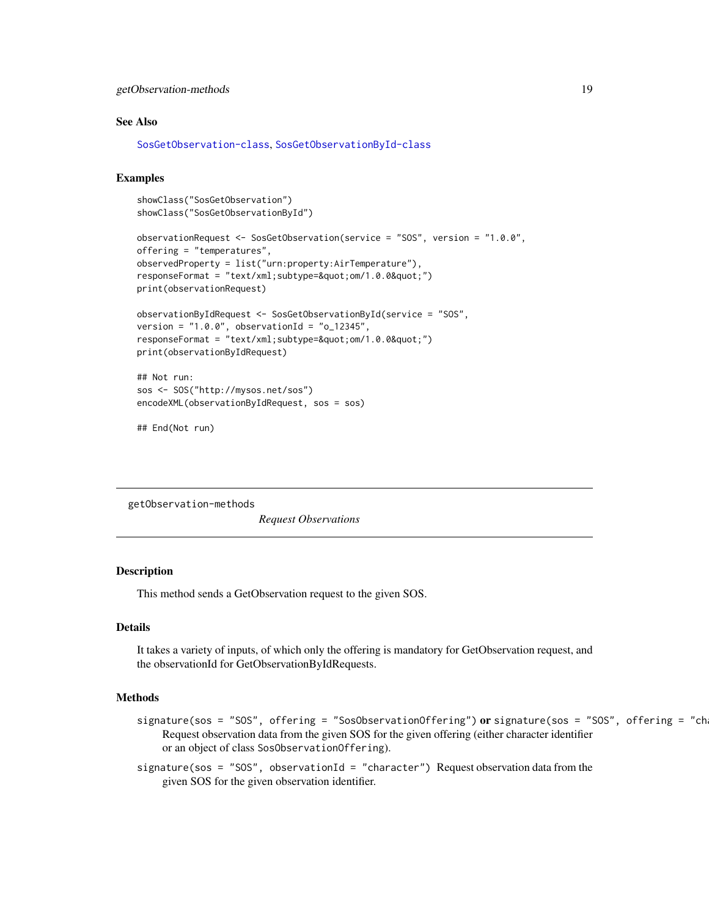# <span id="page-18-0"></span>getObservation-methods 19

### See Also

[SosGetObservation-class](#page-15-1), [SosGetObservationById-class](#page-15-1)

# Examples

```
showClass("SosGetObservation")
showClass("SosGetObservationById")
```

```
observationRequest <- SosGetObservation(service = "SOS", version = "1.0.0",
offering = "temperatures",
observedProperty = list("urn:property:AirTemperature"),
responseFormat = "text/xml;subtype="om/1.0.0"")
print(observationRequest)
```

```
observationByIdRequest <- SosGetObservationById(service = "SOS",
version = "1.0.0", observationId = "o_12345",
responseFormat = "text/xml; subtype=8quot; om/1.0.08quot;"print(observationByIdRequest)
```

```
## Not run:
sos <- SOS("http://mysos.net/sos")
encodeXML(observationByIdRequest, sos = sos)
```

```
## End(Not run)
```
getObservation-methods

*Request Observations*

# Description

This method sends a GetObservation request to the given SOS.

### Details

It takes a variety of inputs, of which only the offering is mandatory for GetObservation request, and the observationId for GetObservationByIdRequests.

### Methods

- $signature(sos = "SOS", offering = "SosObservationOffering") or signature(sos = "SOS", offering = "ch"$ Request observation data from the given SOS for the given offering (either character identifier or an object of class SosObservationOffering).
- signature(sos = "SOS", observationId = "character") Request observation data from the given SOS for the given observation identifier.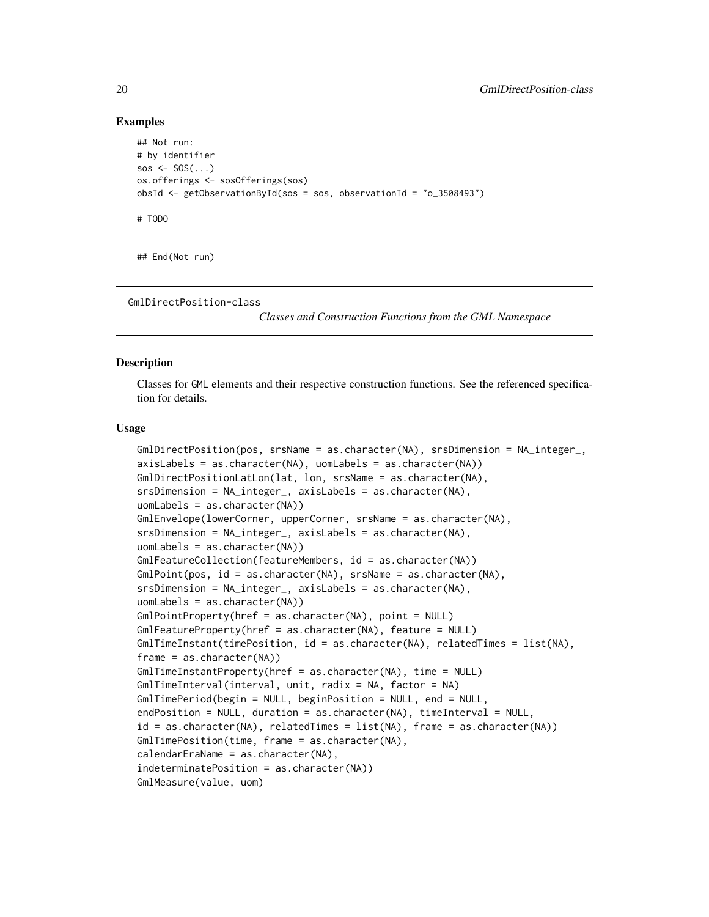# Examples

```
## Not run:
# by identifier
sos \leq SOS(\ldots)os.offerings <- sosOfferings(sos)
obsId <- getObservationById(sos = sos, observationId = "o_3508493")
# TODO
```
## End(Not run)

```
GmlDirectPosition-class
```
*Classes and Construction Functions from the GML Namespace*

# <span id="page-19-1"></span>Description

Classes for GML elements and their respective construction functions. See the referenced specification for details.

### Usage

```
GmlDirectPosition(pos, srsName = as.character(NA), srsDimension = NA_integer_,
axisLabels = as.character(NA), uomLabels = as.character(NA))
GmlDirectPositionLatLon(lat, lon, srsName = as.character(NA),
srsDimension = NA_integer_, axisLabels = as.character(NA),
uomLabels = as.character(NA))
GmlEnvelope(lowerCorner, upperCorner, srsName = as.character(NA),
srsDimension = NA_integer_, axisLabels = as.character(NA),
uomLabels = as.character(NA))
GmlFeatureCollection(featureMembers, id = as.character(NA))
GmlPoint(pos, id = as.character(NA), srsName = as.character(NA),
srsDimension = NA_integer_, axisLabels = as.character(NA),
uomLabels = as.character(NA))
GmlPointProperty(href = as.character(NA), point = NULL)
GmlFeatureProperty(href = as.character(NA), feature = NULL)
GmlTimeInstant(timePosition, id = as.character(NA), relatedTimes = list(NA),
frame = as.character(NA))
GmlTimeInstantProperty(href = as.character(NA), time = NULL)
GmlTimeInterval(interval, unit, radix = NA, factor = NA)
GmlTimePeriod(begin = NULL, beginPosition = NULL, end = NULL,
endPosition = NULL, duration = as.character(NA), timeInterval = NULL,
id = as.character(NA), relatedTimes = list(NA), frame = as.character(NA))
GmlTimePosition(time, frame = as.character(NA),
calendarEraName = as.character(NA),
indeterminatePosition = as.character(NA))
GmlMeasure(value, uom)
```
<span id="page-19-0"></span>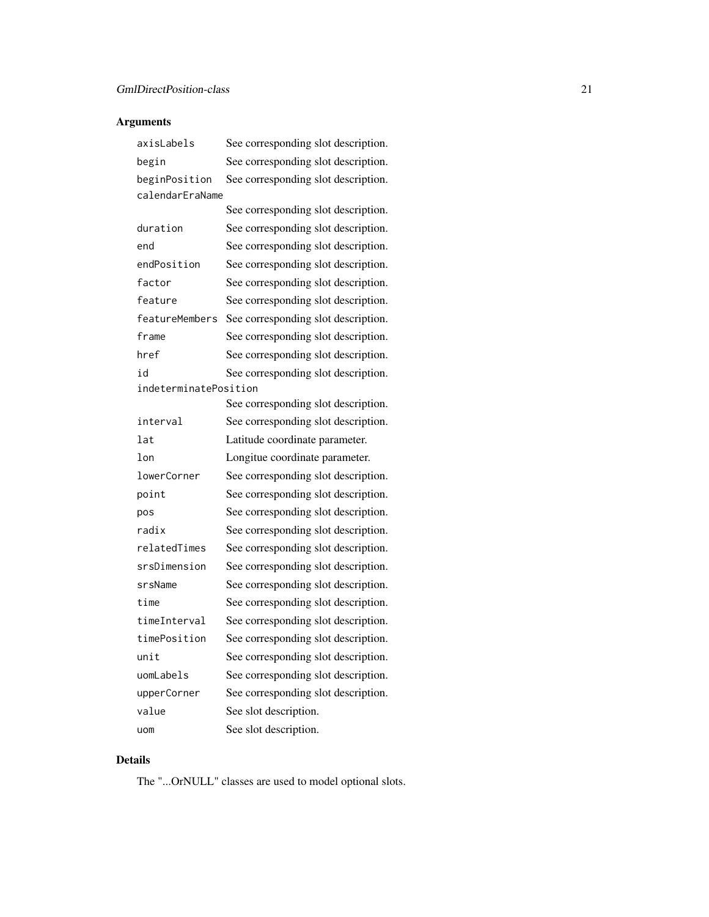# Arguments

| axisLabels            | See corresponding slot description. |
|-----------------------|-------------------------------------|
| begin                 | See corresponding slot description. |
| beginPosition         | See corresponding slot description. |
| calendarEraName       |                                     |
|                       | See corresponding slot description. |
| duration              | See corresponding slot description. |
| end                   | See corresponding slot description. |
| endPosition           | See corresponding slot description. |
| factor                | See corresponding slot description. |
| feature               | See corresponding slot description. |
| featureMembers        | See corresponding slot description. |
| frame                 | See corresponding slot description. |
| href                  | See corresponding slot description. |
| h i                   | See corresponding slot description. |
| indeterminatePosition |                                     |
|                       | See corresponding slot description. |
| interval              | See corresponding slot description. |
| lat                   | Latitude coordinate parameter.      |
| lon                   | Longitue coordinate parameter.      |
| lowerCorner           | See corresponding slot description. |
| point                 | See corresponding slot description. |
| pos                   | See corresponding slot description. |
| radix                 | See corresponding slot description. |
| relatedTimes          | See corresponding slot description. |
| srsDimension          | See corresponding slot description. |
| srsName               | See corresponding slot description. |
| time                  | See corresponding slot description. |
| timeInterval          | See corresponding slot description. |
| timePosition          | See corresponding slot description. |
| unit                  | See corresponding slot description. |
| uomLabels             | See corresponding slot description. |
| upperCorner           | See corresponding slot description. |
| value                 |                                     |
|                       | See slot description.               |

# Details

The "...OrNULL" classes are used to model optional slots.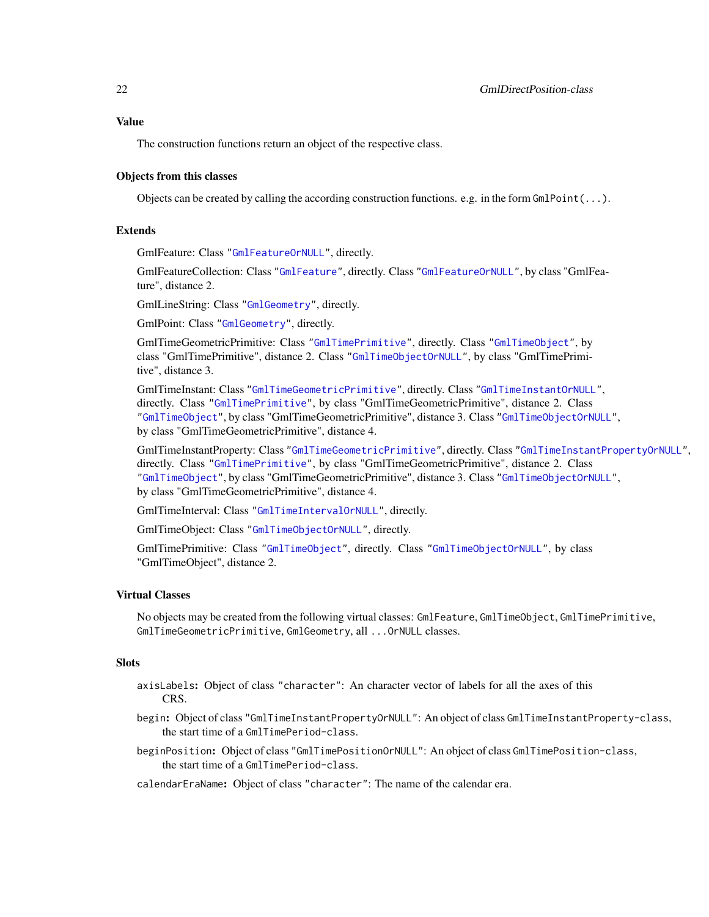# Value

The construction functions return an object of the respective class.

#### Objects from this classes

Objects can be created by calling the according construction functions. e.g. in the form  $G\text{mPoint}(...)$ .

# Extends

GmlFeature: Class ["GmlFeatureOrNULL"](#page-19-1), directly.

GmlFeatureCollection: Class ["GmlFeature"](#page-19-1), directly. Class ["GmlFeatureOrNULL"](#page-19-1), by class "GmlFeature", distance 2.

GmlLineString: Class ["GmlGeometry"](#page-19-1), directly.

GmlPoint: Class ["GmlGeometry"](#page-19-1), directly.

GmlTimeGeometricPrimitive: Class ["GmlTimePrimitive"](#page-19-1), directly. Class ["GmlTimeObject"](#page-19-1), by class "GmlTimePrimitive", distance 2. Class ["GmlTimeObjectOrNULL"](#page-19-1), by class "GmlTimePrimitive", distance 3.

GmlTimeInstant: Class ["GmlTimeGeometricPrimitive"](#page-19-1), directly. Class ["GmlTimeInstantOrNULL"](#page-19-1), directly. Class ["GmlTimePrimitive"](#page-19-1), by class "GmlTimeGeometricPrimitive", distance 2. Class ["GmlTimeObject"](#page-19-1), by class "GmlTimeGeometricPrimitive", distance 3. Class ["GmlTimeObjectOrNULL"](#page-19-1), by class "GmlTimeGeometricPrimitive", distance 4.

GmlTimeInstantProperty: Class ["GmlTimeGeometricPrimitive"](#page-19-1), directly. Class ["GmlTimeInstantPropertyOrNULL"](#page-19-1), directly. Class ["GmlTimePrimitive"](#page-19-1), by class "GmlTimeGeometricPrimitive", distance 2. Class ["GmlTimeObject"](#page-19-1), by class "GmlTimeGeometricPrimitive", distance 3. Class ["GmlTimeObjectOrNULL"](#page-19-1), by class "GmlTimeGeometricPrimitive", distance 4.

GmlTimeInterval: Class ["GmlTimeIntervalOrNULL"](#page-19-1), directly.

GmlTimeObject: Class ["GmlTimeObjectOrNULL"](#page-19-1), directly.

GmlTimePrimitive: Class ["GmlTimeObject"](#page-19-1), directly. Class ["GmlTimeObjectOrNULL"](#page-19-1), by class "GmlTimeObject", distance 2.

# Virtual Classes

No objects may be created from the following virtual classes: GmlFeature, GmlTimeObject, GmlTimePrimitive, GmlTimeGeometricPrimitive, GmlGeometry, all ...OrNULL classes.

### **Slots**

- axisLabels: Object of class "character": An character vector of labels for all the axes of this CRS.
- begin: Object of class "GmlTimeInstantPropertyOrNULL": An object of class GmlTimeInstantProperty-class, the start time of a GmlTimePeriod-class.
- beginPosition: Object of class "GmlTimePositionOrNULL": An object of class GmlTimePosition-class, the start time of a GmlTimePeriod-class.

calendarEraName: Object of class "character": The name of the calendar era.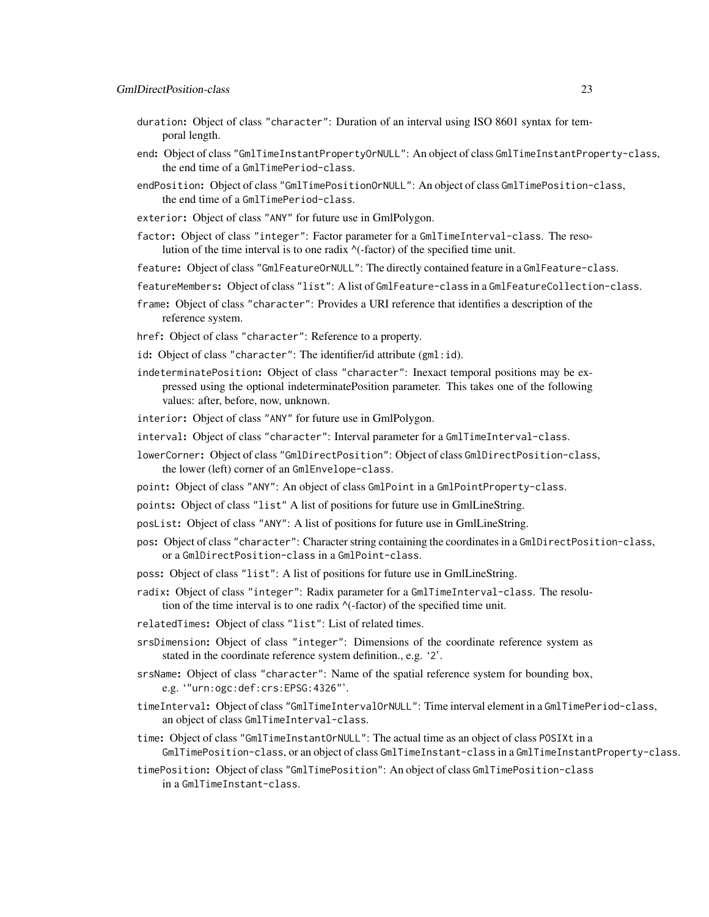- duration: Object of class "character": Duration of an interval using ISO 8601 syntax for temporal length.
- end: Object of class "GmlTimeInstantPropertyOrNULL": An object of class GmlTimeInstantProperty-class, the end time of a GmlTimePeriod-class.
- endPosition: Object of class "GmlTimePositionOrNULL": An object of class GmlTimePosition-class, the end time of a GmlTimePeriod-class.
- exterior: Object of class "ANY" for future use in GmlPolygon.
- factor: Object of class "integer": Factor parameter for a GmlTimeInterval-class. The resolution of the time interval is to one radix ^(-factor) of the specified time unit.
- feature: Object of class "GmlFeatureOrNULL": The directly contained feature in a GmlFeature-class.
- featureMembers: Object of class "list": A list of GmlFeature-class in a GmlFeatureCollection-class.
- frame: Object of class "character": Provides a URI reference that identifies a description of the reference system.
- href: Object of class "character": Reference to a property.
- id: Object of class "character": The identifier/id attribute (gml:id).
- indeterminatePosition: Object of class "character": Inexact temporal positions may be expressed using the optional indeterminatePosition parameter. This takes one of the following values: after, before, now, unknown.
- interior: Object of class "ANY" for future use in GmlPolygon.
- interval: Object of class "character": Interval parameter for a GmlTimeInterval-class.
- lowerCorner: Object of class "GmlDirectPosition": Object of class GmlDirectPosition-class, the lower (left) corner of an GmlEnvelope-class.
- point: Object of class "ANY": An object of class GmlPoint in a GmlPointProperty-class.
- points: Object of class "list" A list of positions for future use in GmlLineString.
- posList: Object of class "ANY": A list of positions for future use in GmlLineString.
- pos: Object of class "character": Character string containing the coordinates in a GmlDirectPosition-class, or a GmlDirectPosition-class in a GmlPoint-class.
- poss: Object of class "list": A list of positions for future use in GmlLineString.
- radix: Object of class "integer": Radix parameter for a GmlTimeInterval-class. The resolution of the time interval is to one radix  $\wedge$  (-factor) of the specified time unit.
- relatedTimes: Object of class "list": List of related times.
- srsDimension: Object of class "integer": Dimensions of the coordinate reference system as stated in the coordinate reference system definition., e.g. '2'.
- srsName: Object of class "character": Name of the spatial reference system for bounding box, e.g. '"urn:ogc:def:crs:EPSG:4326"'.
- timeInterval: Object of class "GmlTimeIntervalOrNULL": Time interval element in a GmlTimePeriod-class, an object of class GmlTimeInterval-class.
- time: Object of class "GmlTimeInstantOrNULL": The actual time as an object of class POSIXt in a GmlTimePosition-class, or an object of class GmlTimeInstant-class in a GmlTimeInstantProperty-class.
- timePosition: Object of class "GmlTimePosition": An object of class GmlTimePosition-class in a GmlTimeInstant-class.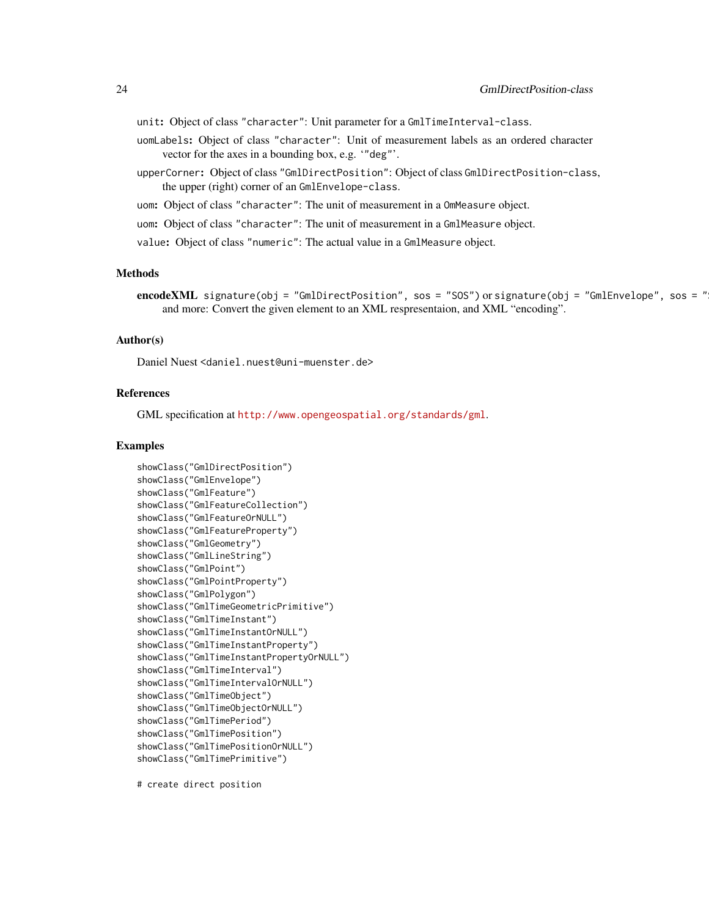unit: Object of class "character": Unit parameter for a GmlTimeInterval-class.

- uomLabels: Object of class "character": Unit of measurement labels as an ordered character vector for the axes in a bounding box, e.g. '"deg"'.
- upperCorner: Object of class "GmlDirectPosition": Object of class GmlDirectPosition-class, the upper (right) corner of an GmlEnvelope-class.

uom: Object of class "character": The unit of measurement in a OmMeasure object.

uom: Object of class "character": The unit of measurement in a GmlMeasure object.

value: Object of class "numeric": The actual value in a GmlMeasure object.

# **Methods**

# Author(s)

Daniel Nuest <daniel.nuest@uni-muenster.de>

# References

GML specification at <http://www.opengeospatial.org/standards/gml>.

# Examples

```
showClass("GmlDirectPosition")
showClass("GmlEnvelope")
showClass("GmlFeature")
showClass("GmlFeatureCollection")
showClass("GmlFeatureOrNULL")
showClass("GmlFeatureProperty")
showClass("GmlGeometry")
showClass("GmlLineString")
showClass("GmlPoint")
showClass("GmlPointProperty")
showClass("GmlPolygon")
showClass("GmlTimeGeometricPrimitive")
showClass("GmlTimeInstant")
showClass("GmlTimeInstantOrNULL")
showClass("GmlTimeInstantProperty")
showClass("GmlTimeInstantPropertyOrNULL")
showClass("GmlTimeInterval")
showClass("GmlTimeIntervalOrNULL")
showClass("GmlTimeObject")
showClass("GmlTimeObjectOrNULL")
showClass("GmlTimePeriod")
showClass("GmlTimePosition")
showClass("GmlTimePositionOrNULL")
showClass("GmlTimePrimitive")
```
# create direct position

encodeXML signature(obj = "GmlDirectPosition", sos = "SOS") or signature(obj = "GmlEnvelope", sos = " and more: Convert the given element to an XML respresentaion, and XML "encoding".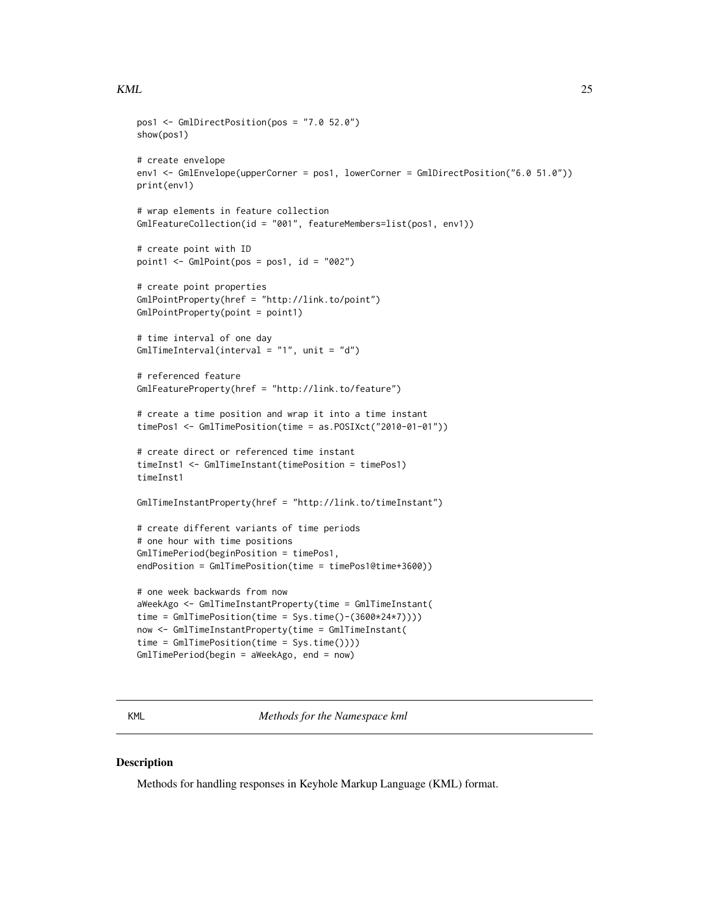### <span id="page-24-0"></span> $KML$  25

```
pos1 <- GmlDirectPosition(pos = "7.0 52.0")
show(pos1)
# create envelope
env1 <- GmlEnvelope(upperCorner = pos1, lowerCorner = GmlDirectPosition("6.0 51.0"))
print(env1)
# wrap elements in feature collection
GmlFeatureCollection(id = "001", featureMembers=list(pos1, env1))
# create point with ID
point1 <- GmlPoint(pos = pos1, id = "002")# create point properties
GmlPointProperty(href = "http://link.to/point")
GmlPointProperty(point = point1)
# time interval of one day
GmlTimeInterval(interval = "1", unit = "d")
# referenced feature
GmlFeatureProperty(href = "http://link.to/feature")
# create a time position and wrap it into a time instant
timePos1 <- GmlTimePosition(time = as.POSIXct("2010-01-01"))
# create direct or referenced time instant
timeInst1 <- GmlTimeInstant(timePosition = timePos1)
timeInst1
GmlTimeInstantProperty(href = "http://link.to/timeInstant")
# create different variants of time periods
# one hour with time positions
GmlTimePeriod(beginPosition = timePos1,
endPosition = GmlTimePosition(time = timePos1@time+3600))
# one week backwards from now
aWeekAgo <- GmlTimeInstantProperty(time = GmlTimeInstant(
time = GmITimePosition(time = Sys.time()-(3600*24*7))))now <- GmlTimeInstantProperty(time = GmlTimeInstant(
time = GmlTimePosition(time = Sys.time())))
GmlTimePeriod(begin = aWeekAgo, end = now)
```
KML *Methods for the Namespace kml*

### **Description**

Methods for handling responses in Keyhole Markup Language (KML) format.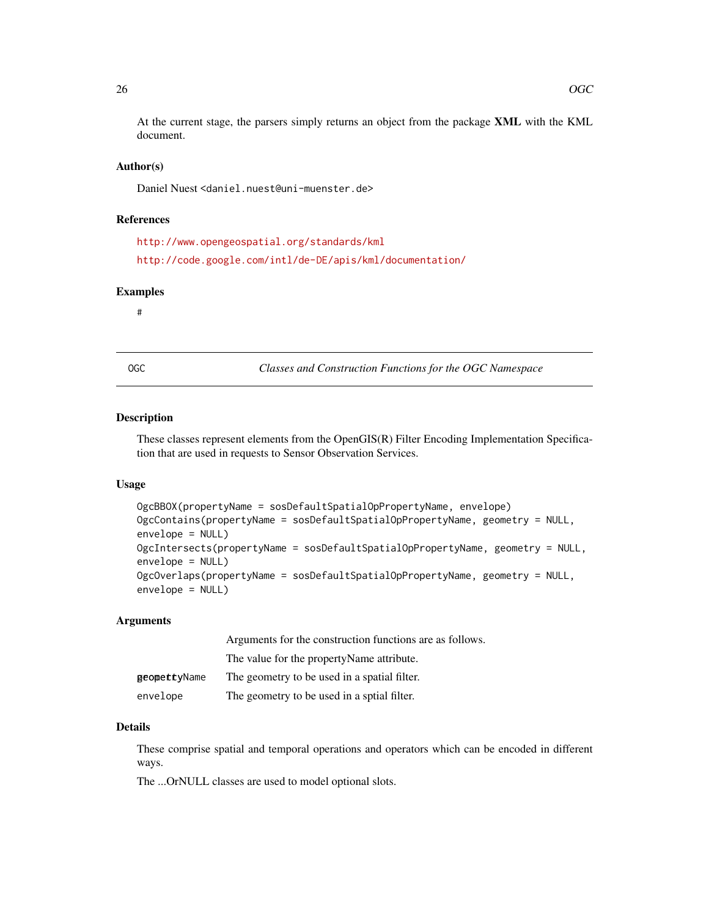<span id="page-25-0"></span>At the current stage, the parsers simply returns an object from the package XML with the KML document.

# Author(s)

Daniel Nuest <daniel.nuest@uni-muenster.de>

### References

```
http://www.opengeospatial.org/standards/kml
http://code.google.com/intl/de-DE/apis/kml/documentation/
```
# Examples

#

OGC *Classes and Construction Functions for the OGC Namespace*

### <span id="page-25-1"></span>Description

These classes represent elements from the OpenGIS(R) Filter Encoding Implementation Specification that are used in requests to Sensor Observation Services.

# Usage

```
OgcBBOX(propertyName = sosDefaultSpatialOpPropertyName, envelope)
OgcContains(propertyName = sosDefaultSpatialOpPropertyName, geometry = NULL,
envelope = NULL)
OgcIntersects(propertyName = sosDefaultSpatialOpPropertyName, geometry = NULL,
envelope = NULL)
OgcOverlaps(propertyName = sosDefaultSpatialOpPropertyName, geometry = NULL,
envelope = NULL)
```
#### Arguments

|                     | Arguments for the construction functions are as follows. |  |
|---------------------|----------------------------------------------------------|--|
|                     | The value for the property Name attribute.               |  |
| <b>geomettyName</b> | The geometry to be used in a spatial filter.             |  |
| envelope            | The geometry to be used in a sptial filter.              |  |

#### Details

These comprise spatial and temporal operations and operators which can be encoded in different ways.

The ...OrNULL classes are used to model optional slots.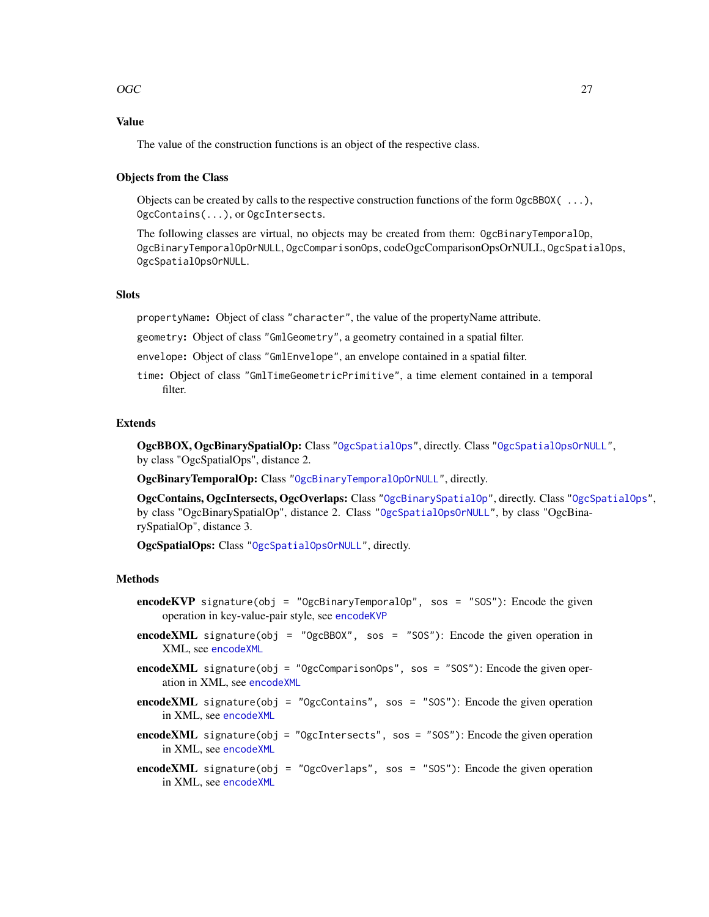# $\overline{OGC}$  27

# Value

The value of the construction functions is an object of the respective class.

# Objects from the Class

Objects can be created by calls to the respective construction functions of the form OgcBBOX( ...), OgcContains(...), or OgcIntersects.

The following classes are virtual, no objects may be created from them: OgcBinaryTemporalOp, OgcBinaryTemporalOpOrNULL, OgcComparisonOps, codeOgcComparisonOpsOrNULL, OgcSpatialOps, OgcSpatialOpsOrNULL.

# **Slots**

propertyName: Object of class "character", the value of the propertyName attribute.

geometry: Object of class "GmlGeometry", a geometry contained in a spatial filter.

- envelope: Object of class "GmlEnvelope", an envelope contained in a spatial filter.
- time: Object of class "GmlTimeGeometricPrimitive", a time element contained in a temporal filter.

### Extends

OgcBBOX, OgcBinarySpatialOp: Class ["OgcSpatialOps"](#page-25-1), directly. Class ["OgcSpatialOpsOrNULL"](#page-25-1), by class "OgcSpatialOps", distance 2.

OgcBinaryTemporalOp: Class ["OgcBinaryTemporalOpOrNULL"](#page-25-1), directly.

OgcContains, OgcIntersects, OgcOverlaps: Class ["OgcBinarySpatialOp"](#page-25-1), directly. Class ["OgcSpatialOps"](#page-25-1), by class "OgcBinarySpatialOp", distance 2. Class ["OgcSpatialOpsOrNULL"](#page-25-1), by class "OgcBinarySpatialOp", distance 3.

OgcSpatialOps: Class ["OgcSpatialOpsOrNULL"](#page-25-1), directly.

#### Methods

- encodeKVP signature(obj = "OgcBinaryTemporalOp", sos = "SOS"): Encode the given operation in key-value-pair style, see [encodeKVP](#page-11-2)
- encodeXML signature(obj = "OgcBBOX", sos = "SOS"): Encode the given operation in XML, see [encodeXML](#page-13-1)
- encodeXML signature(obj = "OgcComparisonOps", sos = "SOS"): Encode the given operation in XML, see [encodeXML](#page-13-1)
- **encodeXML** signature(obj = "OgcContains", sos = "SOS"): Encode the given operation in XML, see [encodeXML](#page-13-1)
- encodeXML signature(obj = "OgcIntersects", sos = "SOS"): Encode the given operation in XML, see [encodeXML](#page-13-1)
- **encodeXML** signature(obj = "OgcOverlaps", sos = "SOS"): Encode the given operation in XML, see [encodeXML](#page-13-1)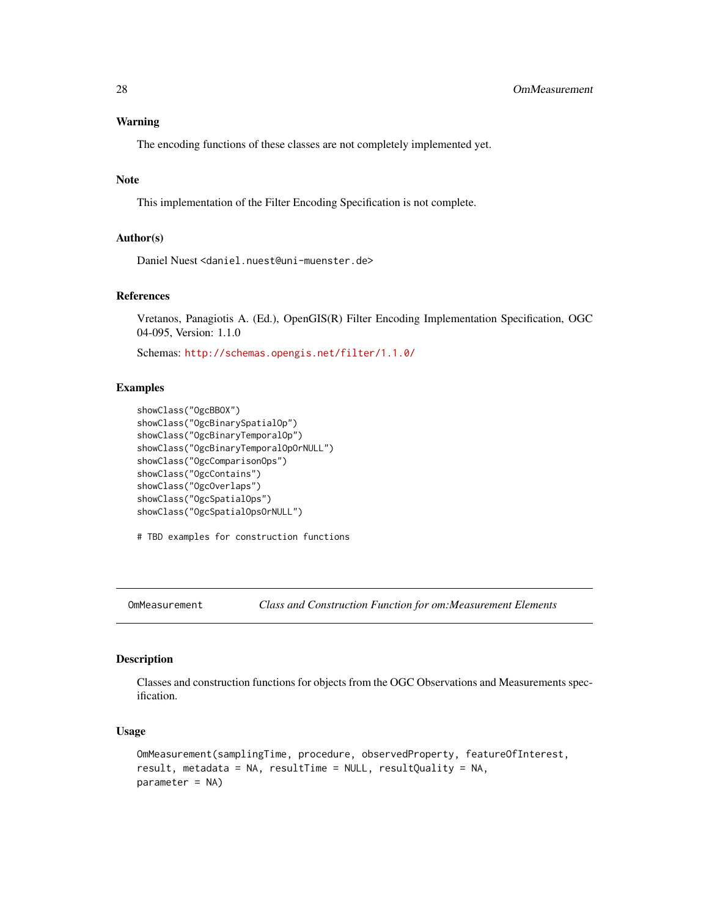# <span id="page-27-0"></span>Warning

The encoding functions of these classes are not completely implemented yet.

# Note

This implementation of the Filter Encoding Specification is not complete.

#### Author(s)

Daniel Nuest <daniel.nuest@uni-muenster.de>

### References

Vretanos, Panagiotis A. (Ed.), OpenGIS(R) Filter Encoding Implementation Specification, OGC 04-095, Version: 1.1.0

Schemas: <http://schemas.opengis.net/filter/1.1.0/>

### Examples

```
showClass("OgcBBOX")
showClass("OgcBinarySpatialOp")
showClass("OgcBinaryTemporalOp")
showClass("OgcBinaryTemporalOpOrNULL")
showClass("OgcComparisonOps")
showClass("OgcContains")
showClass("OgcOverlaps")
showClass("OgcSpatialOps")
showClass("OgcSpatialOpsOrNULL")
```
# TBD examples for construction functions

```
OmMeasurement Class and Construction Function for om:Measurement Elements
```
### <span id="page-27-1"></span>Description

Classes and construction functions for objects from the OGC Observations and Measurements specification.

### Usage

```
OmMeasurement(samplingTime, procedure, observedProperty, featureOfInterest,
result, metadata = NA, resultTime = NULL, resultQuality = NA,
parameter = NA)
```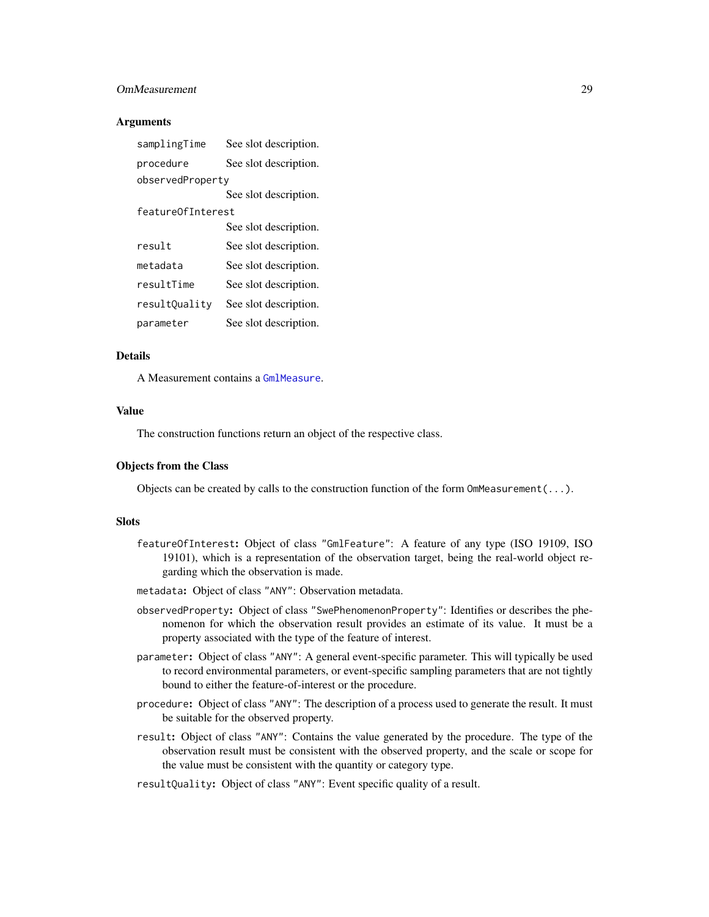# OmMeasurement 29

### **Arguments**

| samplingTime      | See slot description. |
|-------------------|-----------------------|
| procedure         | See slot description. |
| observedProperty  |                       |
|                   | See slot description. |
| featureOfInterest |                       |
|                   | See slot description. |
| result            | See slot description. |
| metadata          | See slot description. |
| resultTime        | See slot description. |
| resultQuality     | See slot description. |
| parameter         | See slot description. |

# Details

A Measurement contains a [GmlMeasure](#page-19-1).

#### Value

The construction functions return an object of the respective class.

# Objects from the Class

Objects can be created by calls to the construction function of the form  $\text{OmMeas}$ urement $(\ldots)$ .

# **Slots**

- featureOfInterest: Object of class "GmlFeature": A feature of any type (ISO 19109, ISO 19101), which is a representation of the observation target, being the real-world object regarding which the observation is made.
- metadata: Object of class "ANY": Observation metadata.
- observedProperty: Object of class "SwePhenomenonProperty": Identifies or describes the phenomenon for which the observation result provides an estimate of its value. It must be a property associated with the type of the feature of interest.
- parameter: Object of class "ANY": A general event-specific parameter. This will typically be used to record environmental parameters, or event-specific sampling parameters that are not tightly bound to either the feature-of-interest or the procedure.
- procedure: Object of class "ANY": The description of a process used to generate the result. It must be suitable for the observed property.
- result: Object of class "ANY": Contains the value generated by the procedure. The type of the observation result must be consistent with the observed property, and the scale or scope for the value must be consistent with the quantity or category type.

# resultQuality: Object of class "ANY": Event specific quality of a result.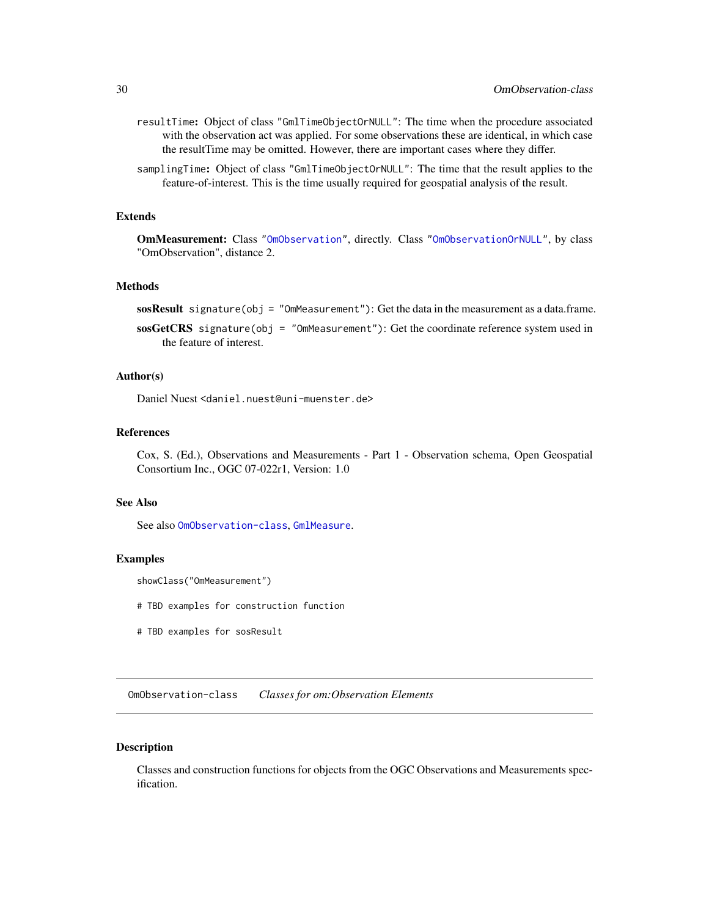- <span id="page-29-0"></span>resultTime: Object of class "GmlTimeObjectOrNULL": The time when the procedure associated with the observation act was applied. For some observations these are identical, in which case the resultTime may be omitted. However, there are important cases where they differ.
- samplingTime: Object of class "GmlTimeObjectOrNULL": The time that the result applies to the feature-of-interest. This is the time usually required for geospatial analysis of the result.

#### Extends

OmMeasurement: Class ["OmObservation"](#page-29-1), directly. Class ["OmObservationOrNULL"](#page-29-2), by class "OmObservation", distance 2.

### Methods

sosResult signature(obj = "OmMeasurement"): Get the data in the measurement as a data.frame.

sosGetCRS signature(obj = "OmMeasurement"): Get the coordinate reference system used in the feature of interest.

# Author(s)

Daniel Nuest <daniel.nuest@uni-muenster.de>

# References

Cox, S. (Ed.), Observations and Measurements - Part 1 - Observation schema, Open Geospatial Consortium Inc., OGC 07-022r1, Version: 1.0

# See Also

See also [OmObservation-class](#page-29-1), [GmlMeasure](#page-19-1).

#### Examples

```
showClass("OmMeasurement")
```
# TBD examples for construction function

# TBD examples for sosResult

<span id="page-29-1"></span>OmObservation-class *Classes for om:Observation Elements*

#### <span id="page-29-2"></span>Description

Classes and construction functions for objects from the OGC Observations and Measurements specification.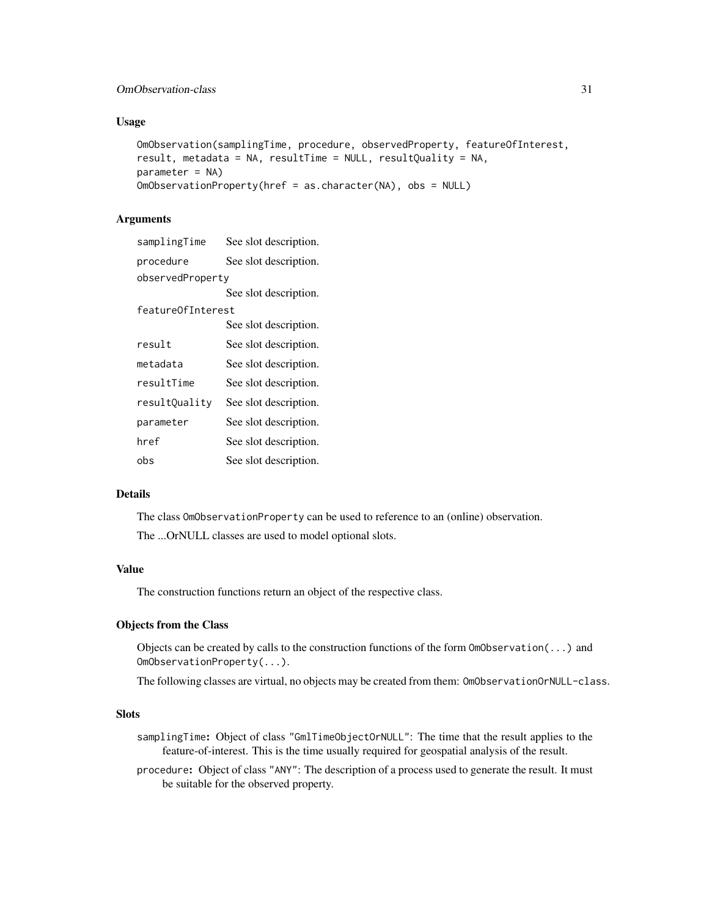# OmObservation-class 31

# Usage

```
OmObservation(samplingTime, procedure, observedProperty, featureOfInterest,
result, metadata = NA, resultTime = NULL, resultQuality = NA,
parameter = NA)
OmObservationProperty(href = as.character(NA), obs = NULL)
```
# Arguments

| samplingTime      | See slot description. |
|-------------------|-----------------------|
| procedure         | See slot description. |
| observedProperty  |                       |
|                   | See slot description. |
| featureOfInterest |                       |
|                   | See slot description. |
| result            | See slot description. |
| metadata          | See slot description. |
| resultTime        | See slot description. |
| resultQuality     | See slot description. |
| parameter         | See slot description. |
| href              | See slot description. |
| obs               | See slot description. |

# Details

The class OmObservationProperty can be used to reference to an (online) observation.

The ...OrNULL classes are used to model optional slots.

# Value

The construction functions return an object of the respective class.

# Objects from the Class

Objects can be created by calls to the construction functions of the form  $\text{OmObservation}(\ldots)$  and OmObservationProperty(...).

The following classes are virtual, no objects may be created from them: OmObservationOrNULL-class.

# Slots

- samplingTime: Object of class "GmlTimeObjectOrNULL": The time that the result applies to the feature-of-interest. This is the time usually required for geospatial analysis of the result.
- procedure: Object of class "ANY": The description of a process used to generate the result. It must be suitable for the observed property.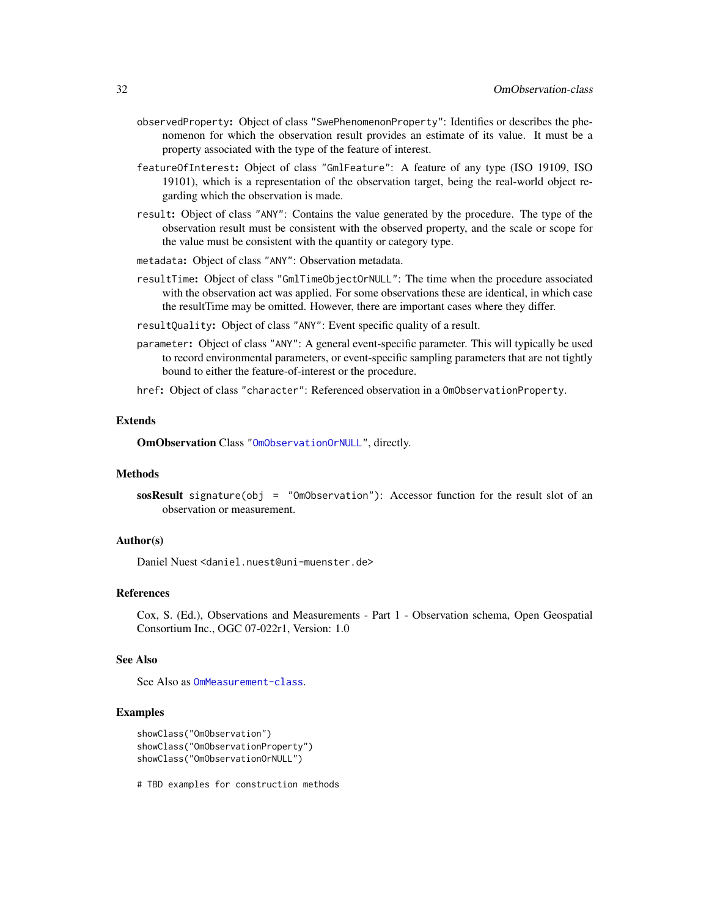- observedProperty: Object of class "SwePhenomenonProperty": Identifies or describes the phenomenon for which the observation result provides an estimate of its value. It must be a property associated with the type of the feature of interest.
- featureOfInterest: Object of class "GmlFeature": A feature of any type (ISO 19109, ISO 19101), which is a representation of the observation target, being the real-world object regarding which the observation is made.
- result: Object of class "ANY": Contains the value generated by the procedure. The type of the observation result must be consistent with the observed property, and the scale or scope for the value must be consistent with the quantity or category type.
- metadata: Object of class "ANY": Observation metadata.
- resultTime: Object of class "GmlTimeObjectOrNULL": The time when the procedure associated with the observation act was applied. For some observations these are identical, in which case the resultTime may be omitted. However, there are important cases where they differ.
- resultQuality: Object of class "ANY": Event specific quality of a result.
- parameter: Object of class "ANY": A general event-specific parameter. This will typically be used to record environmental parameters, or event-specific sampling parameters that are not tightly bound to either the feature-of-interest or the procedure.
- href: Object of class "character": Referenced observation in a OmObservationProperty.

#### Extends

OmObservation Class ["OmObservationOrNULL"](#page-29-2), directly.

#### Methods

sosResult signature(obj = "OmObservation"): Accessor function for the result slot of an observation or measurement.

# Author(s)

Daniel Nuest <daniel.nuest@uni-muenster.de>

### References

Cox, S. (Ed.), Observations and Measurements - Part 1 - Observation schema, Open Geospatial Consortium Inc., OGC 07-022r1, Version: 1.0

#### See Also

See Also as [OmMeasurement-class](#page-27-1).

# Examples

```
showClass("OmObservation")
showClass("OmObservationProperty")
showClass("OmObservationOrNULL")
```
# TBD examples for construction methods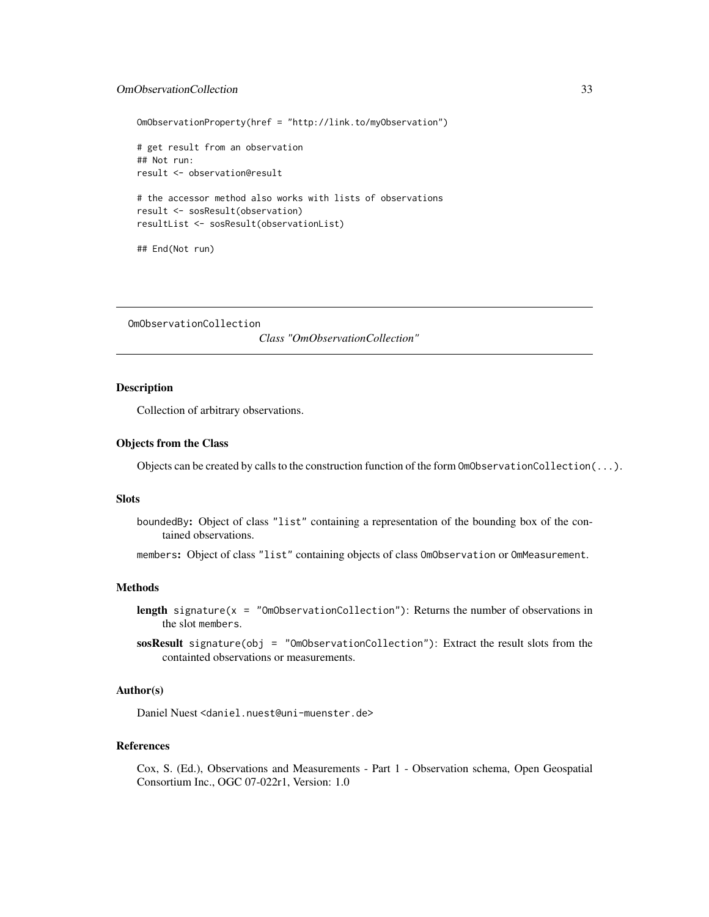# <span id="page-32-0"></span>OmObservationCollection 33

```
OmObservationProperty(href = "http://link.to/myObservation")
# get result from an observation
## Not run:
result <- observation@result
# the accessor method also works with lists of observations
result <- sosResult(observation)
resultList <- sosResult(observationList)
## End(Not run)
```
OmObservationCollection

*Class "OmObservationCollection"*

# Description

Collection of arbitrary observations.

# Objects from the Class

Objects can be created by calls to the construction function of the form  $OmObservationCollection(...).$ 

# **Slots**

boundedBy: Object of class "list" containing a representation of the bounding box of the contained observations.

members: Object of class "list" containing objects of class OmObservation or OmMeasurement.

# Methods

- **length** signature( $x =$  "OmObservationCollection"): Returns the number of observations in the slot members.
- sosResult signature(obj = "OmObservationCollection"): Extract the result slots from the containted observations or measurements.

# Author(s)

Daniel Nuest <daniel.nuest@uni-muenster.de>

### References

Cox, S. (Ed.), Observations and Measurements - Part 1 - Observation schema, Open Geospatial Consortium Inc., OGC 07-022r1, Version: 1.0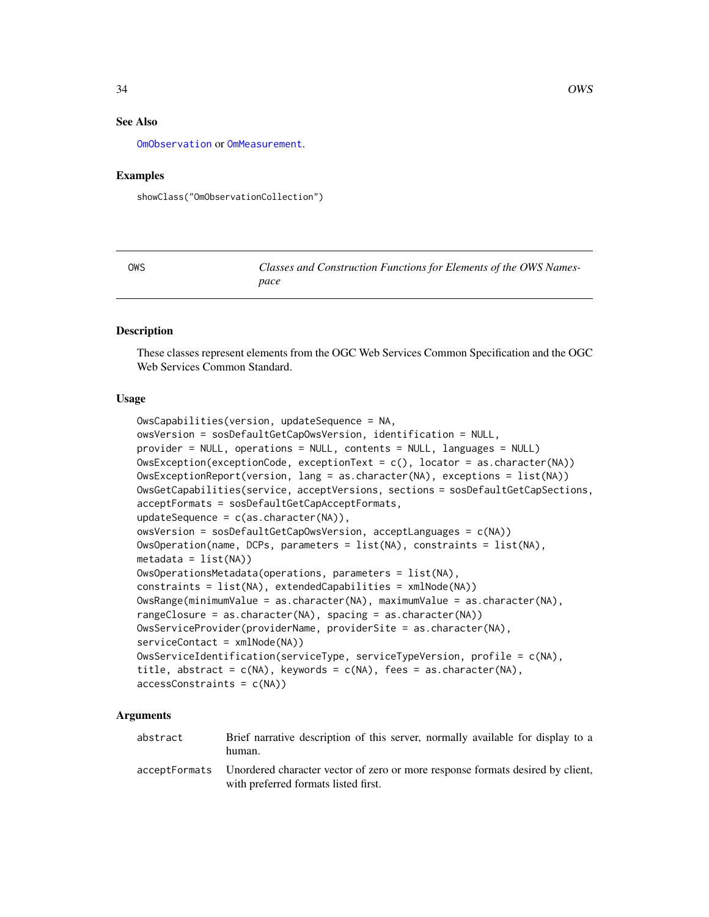<span id="page-33-0"></span>[OmObservation](#page-29-1) or [OmMeasurement](#page-27-1).

# Examples

showClass("OmObservationCollection")

OWS *Classes and Construction Functions for Elements of the OWS Namespace*

# <span id="page-33-1"></span>**Description**

These classes represent elements from the OGC Web Services Common Specification and the OGC Web Services Common Standard.

### Usage

```
OwsCapabilities(version, updateSequence = NA,
owsVersion = sosDefaultGetCapOwsVersion, identification = NULL,
provider = NULL, operations = NULL, contents = NULL, languages = NULL)
OwsException(exceptionCode, exceptionText = c(), locator = as.character(NA))
OwsExceptionReport(version, lang = as.character(NA), exceptions = list(NA))
OwsGetCapabilities(service, acceptVersions, sections = sosDefaultGetCapSections,
acceptFormats = sosDefaultGetCapAcceptFormats,
updateSequence = c(as.character(NA)),owsVersion = sosDefaultGetCapOwsVersion, acceptLanguages = c(NA))
OwsOperation(name, DCPs, parameters = list(NA), constraints = list(NA),
metadata = list(NA))
OwsOperationsMetadata(operations, parameters = list(NA),
constraints = list(NA), extendedCapabilities = xmlNode(NA))
OwsRange(minimumValue = as.character(NA), maximumValue = as.character(NA),
rangeClosure = as.character(NA), spacing = as.character(NA))
OwsServiceProvider(providerName, providerSite = as.character(NA),
serviceContact = xmlNode(NA))
OwsServiceIdentification(serviceType, serviceTypeVersion, profile = c(NA),
title, abstract = c(NA), keywords = c(NA), fees = as.character(NA),
accessConstraints = c(NA))
```
# Arguments

abstract Brief narrative description of this server, normally available for display to a human. acceptFormats Unordered character vector of zero or more response formats desired by client, with preferred formats listed first.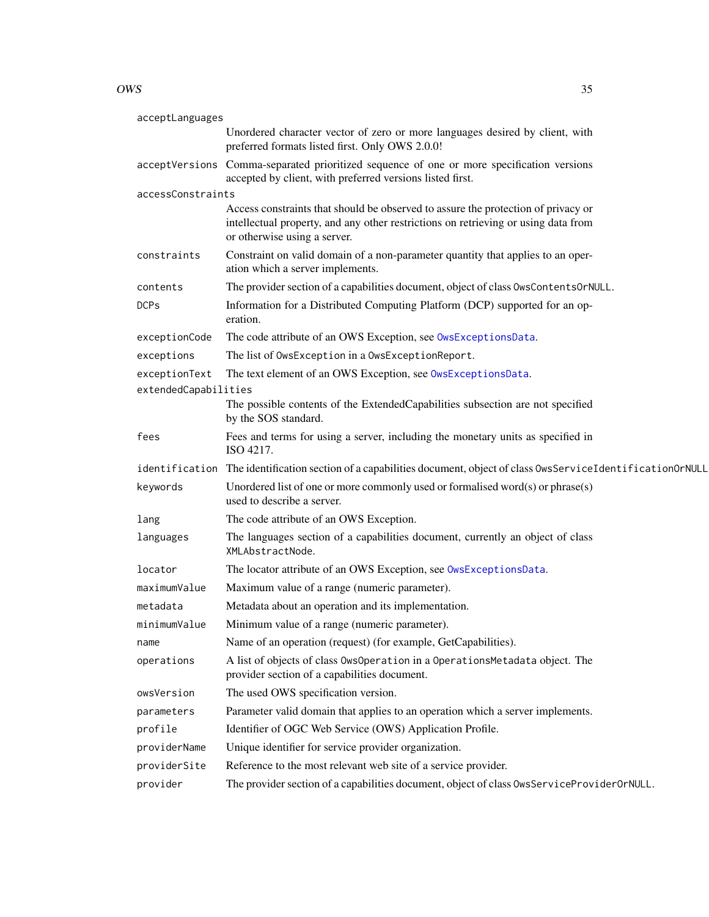### $OWS$  35

| acceptLanguages      |                                                                                                                                                                                                         |
|----------------------|---------------------------------------------------------------------------------------------------------------------------------------------------------------------------------------------------------|
|                      | Unordered character vector of zero or more languages desired by client, with<br>preferred formats listed first. Only OWS 2.0.0!                                                                         |
|                      | acceptVersions Comma-separated prioritized sequence of one or more specification versions<br>accepted by client, with preferred versions listed first.                                                  |
| accessConstraints    |                                                                                                                                                                                                         |
|                      | Access constraints that should be observed to assure the protection of privacy or<br>intellectual property, and any other restrictions on retrieving or using data from<br>or otherwise using a server. |
| constraints          | Constraint on valid domain of a non-parameter quantity that applies to an oper-<br>ation which a server implements.                                                                                     |
| contents             | The provider section of a capabilities document, object of class OwsContentsOrNULL.                                                                                                                     |
| <b>DCPs</b>          | Information for a Distributed Computing Platform (DCP) supported for an op-<br>eration.                                                                                                                 |
| exceptionCode        | The code attribute of an OWS Exception, see OwsExceptionsData.                                                                                                                                          |
| exceptions           | The list of OwsException in a OwsExceptionReport.                                                                                                                                                       |
| exceptionText        | The text element of an OWS Exception, see OwsExceptionsData.                                                                                                                                            |
| extendedCapabilities |                                                                                                                                                                                                         |
|                      | The possible contents of the ExtendedCapabilities subsection are not specified<br>by the SOS standard.                                                                                                  |
| fees                 | Fees and terms for using a server, including the monetary units as specified in<br>ISO 4217.                                                                                                            |
|                      | identification The identification section of a capabilities document, object of class OwsServiceIdentificationOrNULL                                                                                    |
| keywords             | Unordered list of one or more commonly used or formalised word $(s)$ or phrase $(s)$<br>used to describe a server.                                                                                      |
| lang                 | The code attribute of an OWS Exception.                                                                                                                                                                 |
| languages            | The languages section of a capabilities document, currently an object of class<br>XMLAbstractNode.                                                                                                      |
| locator              | The locator attribute of an OWS Exception, see OwsExceptionsData.                                                                                                                                       |
| maximumValue         | Maximum value of a range (numeric parameter).                                                                                                                                                           |
| metadata             | Metadata about an operation and its implementation.                                                                                                                                                     |
| minimumValue         | Minimum value of a range (numeric parameter).                                                                                                                                                           |
| name                 | Name of an operation (request) (for example, GetCapabilities).                                                                                                                                          |
| operations           | A list of objects of class OwsOperation in a OperationsMetadata object. The<br>provider section of a capabilities document.                                                                             |
| owsVersion           | The used OWS specification version.                                                                                                                                                                     |
| parameters           | Parameter valid domain that applies to an operation which a server implements.                                                                                                                          |
| profile              | Identifier of OGC Web Service (OWS) Application Profile.                                                                                                                                                |
| providerName         | Unique identifier for service provider organization.                                                                                                                                                    |
| providerSite         | Reference to the most relevant web site of a service provider.                                                                                                                                          |
| provider             | The provider section of a capabilities document, object of class OwsServiceProviderOrNULL.                                                                                                              |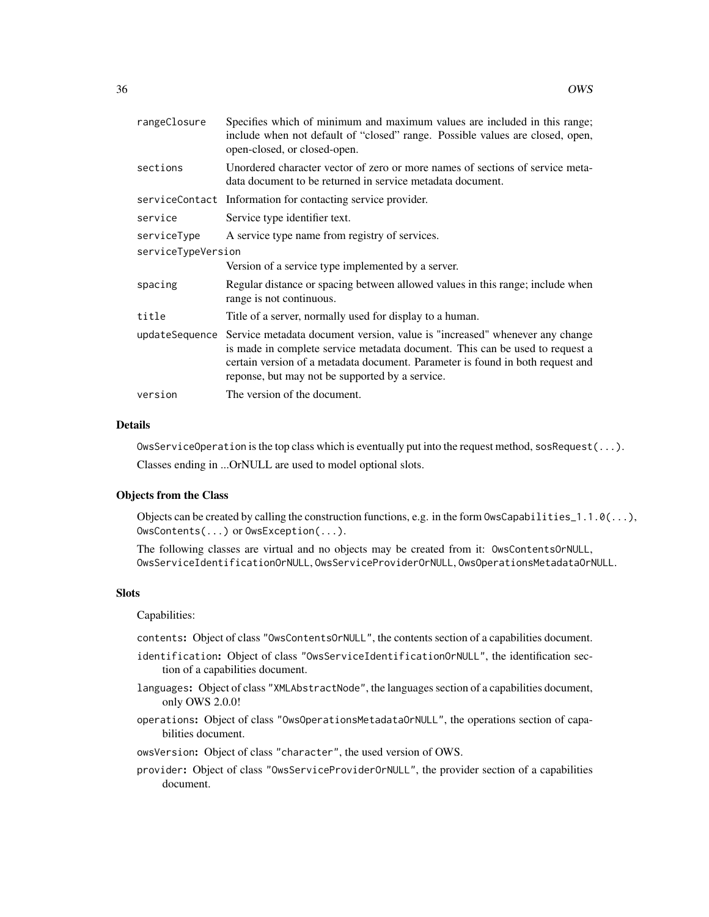| rangeClosure       | Specifies which of minimum and maximum values are included in this range;<br>include when not default of "closed" range. Possible values are closed, open,<br>open-closed, or closed-open.                                                                                                                      |
|--------------------|-----------------------------------------------------------------------------------------------------------------------------------------------------------------------------------------------------------------------------------------------------------------------------------------------------------------|
| sections           | Unordered character vector of zero or more names of sections of service meta-<br>data document to be returned in service metadata document.                                                                                                                                                                     |
|                    | serviceContact Information for contacting service provider.                                                                                                                                                                                                                                                     |
| service            | Service type identifier text.                                                                                                                                                                                                                                                                                   |
| serviceType        | A service type name from registry of services.                                                                                                                                                                                                                                                                  |
| serviceTypeVersion |                                                                                                                                                                                                                                                                                                                 |
|                    | Version of a service type implemented by a server.                                                                                                                                                                                                                                                              |
| spacing            | Regular distance or spacing between allowed values in this range; include when<br>range is not continuous.                                                                                                                                                                                                      |
| title              | Title of a server, normally used for display to a human.                                                                                                                                                                                                                                                        |
|                    | updateSequence Service metadata document version, value is "increased" whenever any change<br>is made in complete service metadata document. This can be used to request a<br>certain version of a metadata document. Parameter is found in both request and<br>reponse, but may not be supported by a service. |
| version            | The version of the document.                                                                                                                                                                                                                                                                                    |

# Details

OwsServiceOperation is the top class which is eventually put into the request method, sosRequest( $\dots$ ). Classes ending in ...OrNULL are used to model optional slots.

# Objects from the Class

Objects can be created by calling the construction functions, e.g. in the form  $\text{OwsCapabilities\_1.1.0}(\ldots)$ , OwsContents(...) or OwsException(...).

The following classes are virtual and no objects may be created from it: OwsContentsOrNULL, OwsServiceIdentificationOrNULL, OwsServiceProviderOrNULL, OwsOperationsMetadataOrNULL.

# **Slots**

Capabilities:

contents: Object of class "OwsContentsOrNULL", the contents section of a capabilities document.

- identification: Object of class "OwsServiceIdentificationOrNULL", the identification section of a capabilities document.
- languages: Object of class "XMLAbstractNode", the languages section of a capabilities document, only OWS 2.0.0!
- operations: Object of class "OwsOperationsMetadataOrNULL", the operations section of capabilities document.
- owsVersion: Object of class "character", the used version of OWS.
- provider: Object of class "OwsServiceProviderOrNULL", the provider section of a capabilities document.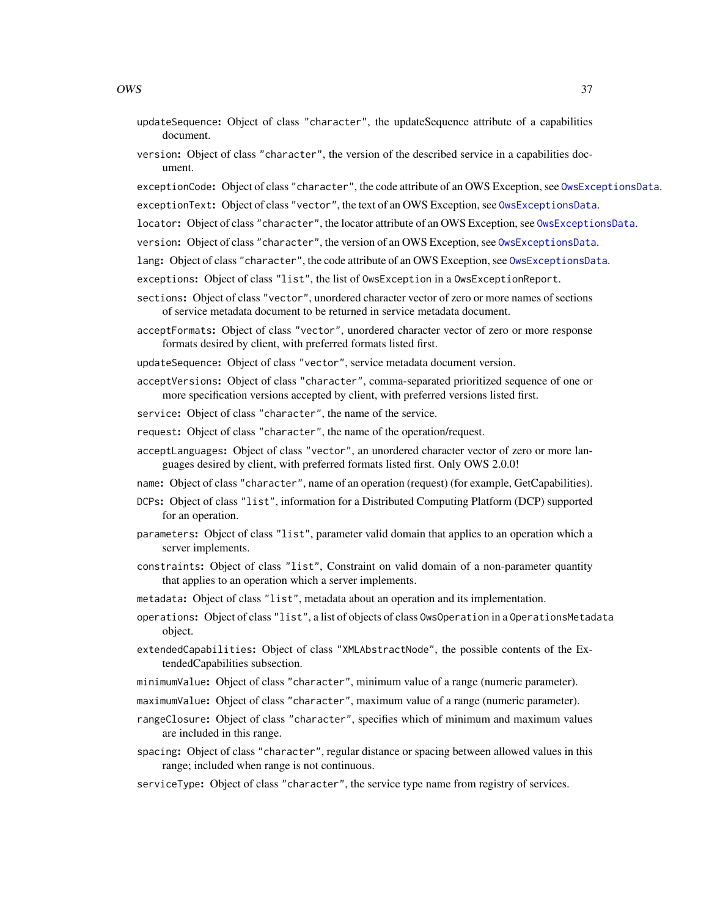- updateSequence: Object of class "character", the updateSequence attribute of a capabilities document.
- version: Object of class "character", the version of the described service in a capabilities document.
- exceptionCode: Object of class "character", the code attribute of an OWS Exception, see [OwsExceptionsData](#page-5-0).
- exceptionText: Object of class "vector", the text of an OWS Exception, see [OwsExceptionsData](#page-5-0).
- locator: Object of class "character", the locator attribute of an OWS Exception, see [OwsExceptionsData](#page-5-0).
- version: Object of class "character", the version of an OWS Exception, see [OwsExceptionsData](#page-5-0).
- lang: Object of class "character", the code attribute of an OWS Exception, see [OwsExceptionsData](#page-5-0).
- exceptions: Object of class "list", the list of OwsException in a OwsExceptionReport.
- sections: Object of class "vector", unordered character vector of zero or more names of sections of service metadata document to be returned in service metadata document.
- acceptFormats: Object of class "vector", unordered character vector of zero or more response formats desired by client, with preferred formats listed first.

updateSequence: Object of class "vector", service metadata document version.

- acceptVersions: Object of class "character", comma-separated prioritized sequence of one or more specification versions accepted by client, with preferred versions listed first.
- service: Object of class "character", the name of the service.
- request: Object of class "character", the name of the operation/request.
- acceptLanguages: Object of class "vector", an unordered character vector of zero or more languages desired by client, with preferred formats listed first. Only OWS 2.0.0!
- name: Object of class "character", name of an operation (request) (for example, GetCapabilities).
- DCPs: Object of class "list", information for a Distributed Computing Platform (DCP) supported for an operation.
- parameters: Object of class "list", parameter valid domain that applies to an operation which a server implements.
- constraints: Object of class "list", Constraint on valid domain of a non-parameter quantity that applies to an operation which a server implements.
- metadata: Object of class "list", metadata about an operation and its implementation.
- operations: Object of class "list", a list of objects of class OwsOperation in a OperationsMetadata object.
- extendedCapabilities: Object of class "XMLAbstractNode", the possible contents of the ExtendedCapabilities subsection.
- minimumValue: Object of class "character", minimum value of a range (numeric parameter).
- maximumValue: Object of class "character", maximum value of a range (numeric parameter).
- rangeClosure: Object of class "character", specifies which of minimum and maximum values are included in this range.
- spacing: Object of class "character", regular distance or spacing between allowed values in this range; included when range is not continuous.
- serviceType: Object of class "character", the service type name from registry of services.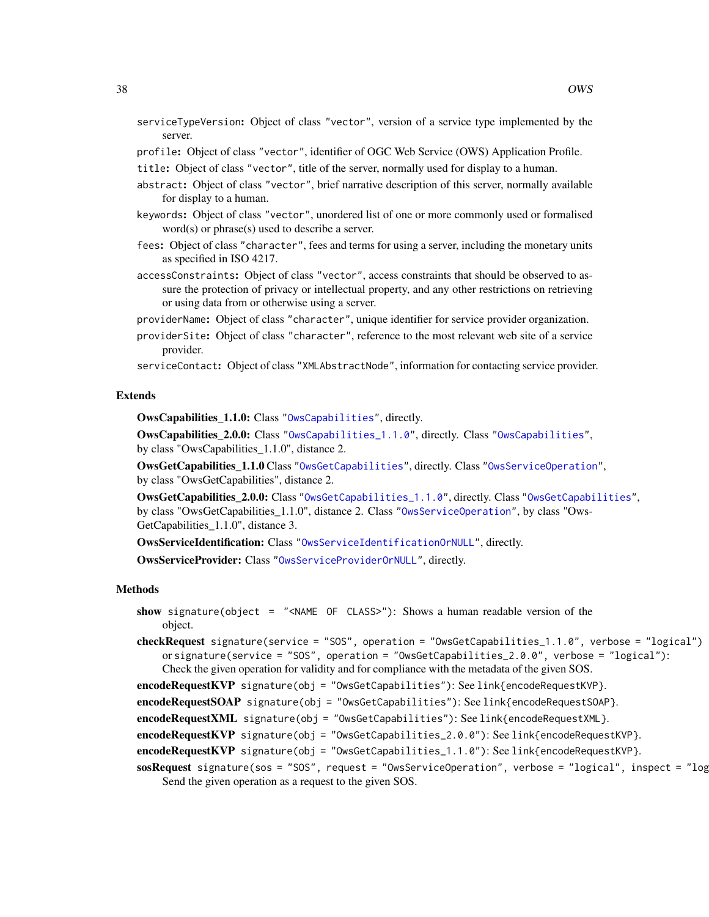- serviceTypeVersion: Object of class "vector", version of a service type implemented by the server.
- profile: Object of class "vector", identifier of OGC Web Service (OWS) Application Profile.
- title: Object of class "vector", title of the server, normally used for display to a human.
- abstract: Object of class "vector", brief narrative description of this server, normally available for display to a human.
- keywords: Object of class "vector", unordered list of one or more commonly used or formalised word(s) or phrase(s) used to describe a server.
- fees: Object of class "character", fees and terms for using a server, including the monetary units as specified in ISO 4217.
- accessConstraints: Object of class "vector", access constraints that should be observed to assure the protection of privacy or intellectual property, and any other restrictions on retrieving or using data from or otherwise using a server.
- providerName: Object of class "character", unique identifier for service provider organization.
- providerSite: Object of class "character", reference to the most relevant web site of a service provider.

serviceContact: Object of class "XMLAbstractNode", information for contacting service provider.

#### Extends

OwsCapabilities\_1.1.0: Class ["OwsCapabilities"](#page-33-0), directly.

OwsCapabilities\_2.0.0: Class ["OwsCapabilities\\_1.1.0"](#page-33-0), directly. Class ["OwsCapabilities"](#page-33-0), by class "OwsCapabilities\_1.1.0", distance 2.

OwsGetCapabilities 1.1.0 Class ["OwsGetCapabilities"](#page-33-0), directly. Class ["OwsServiceOperation"](#page-33-0), by class "OwsGetCapabilities", distance 2.

OwsGetCapabilities\_2.0.0: Class ["OwsGetCapabilities\\_1.1.0"](#page-33-0), directly. Class ["OwsGetCapabilities"](#page-33-0), by class "OwsGetCapabilities\_1.1.0", distance 2. Class ["OwsServiceOperation"](#page-33-0), by class "Ows-GetCapabilities\_1.1.0", distance 3.

OwsServiceIdentification: Class ["OwsServiceIdentificationOrNULL"](#page-33-0), directly.

OwsServiceProvider: Class ["OwsServiceProviderOrNULL"](#page-33-0), directly.

#### Methods

- show signature(object = "<NAME OF CLASS>"): Shows a human readable version of the object.
- checkRequest signature(service = "SOS", operation = "OwsGetCapabilities\_1.1.0", verbose = "logical") or signature(service = "SOS", operation = "OwsGetCapabilities\_2.0.0", verbose = "logical"): Check the given operation for validity and for compliance with the metadata of the given SOS.
- encodeRequestKVP signature(obj = "OwsGetCapabilities"): See link{encodeRequestKVP}.

 $\mathbf{encodeRequest SOAP}$  signature(obj = "OwsGetCapabilities"): See link{encodeRequestSOAP}.

encodeRequestXML signature(obj = "OwsGetCapabilities"): See link{encodeRequestXML}.

 $\mathbf{encodeRequestKVP}$  signature(obj = "OwsGetCapabilities\_2.0.0"): See link{encodeRequestKVP}.

encodeRequestKVP signature(obj = "OwsGetCapabilities\_1.1.0"): See link{encodeRequestKVP}.

sosRequest signature(sos = "SOS", request = "OwsServiceOperation", verbose = "logical", inspect = "log Send the given operation as a request to the given SOS.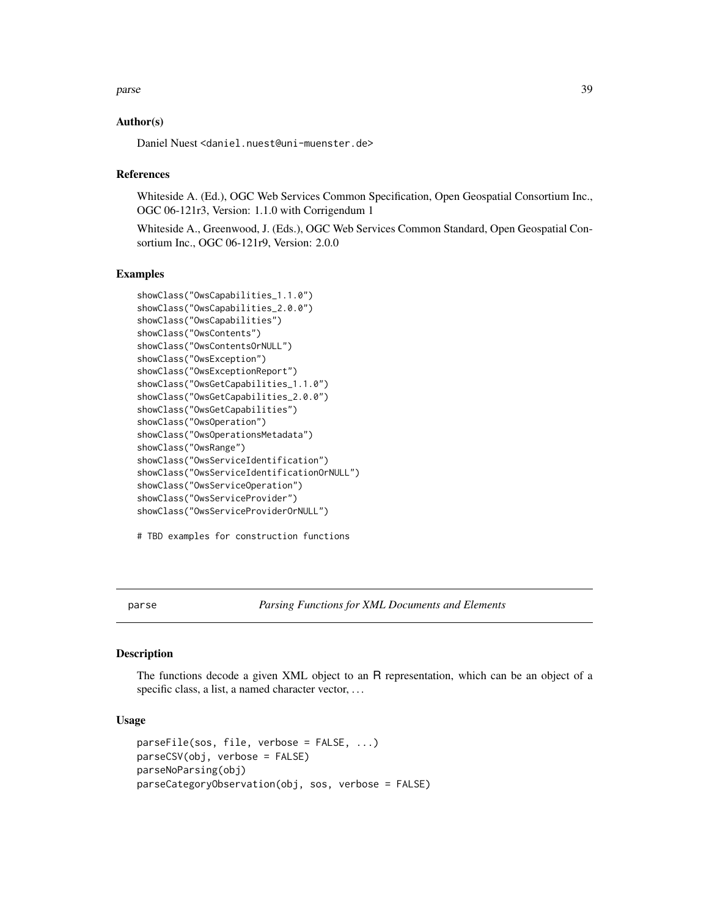#### <span id="page-38-0"></span>parse 39

# Author(s)

Daniel Nuest <daniel.nuest@uni-muenster.de>

#### References

Whiteside A. (Ed.), OGC Web Services Common Specification, Open Geospatial Consortium Inc., OGC 06-121r3, Version: 1.1.0 with Corrigendum 1

Whiteside A., Greenwood, J. (Eds.), OGC Web Services Common Standard, Open Geospatial Consortium Inc., OGC 06-121r9, Version: 2.0.0

#### Examples

```
showClass("OwsCapabilities_1.1.0")
showClass("OwsCapabilities_2.0.0")
showClass("OwsCapabilities")
showClass("OwsContents")
showClass("OwsContentsOrNULL")
showClass("OwsException")
showClass("OwsExceptionReport")
showClass("OwsGetCapabilities_1.1.0")
showClass("OwsGetCapabilities_2.0.0")
showClass("OwsGetCapabilities")
showClass("OwsOperation")
showClass("OwsOperationsMetadata")
showClass("OwsRange")
showClass("OwsServiceIdentification")
showClass("OwsServiceIdentificationOrNULL")
showClass("OwsServiceOperation")
showClass("OwsServiceProvider")
showClass("OwsServiceProviderOrNULL")
```

```
# TBD examples for construction functions
```
parse *Parsing Functions for XML Documents and Elements*

# Description

The functions decode a given XML object to an R representation, which can be an object of a specific class, a list, a named character vector, ...

#### Usage

```
parseFile(sos, file, verbose = FALSE, ...)
parseCSV(obj, verbose = FALSE)
parseNoParsing(obj)
parseCategoryObservation(obj, sos, verbose = FALSE)
```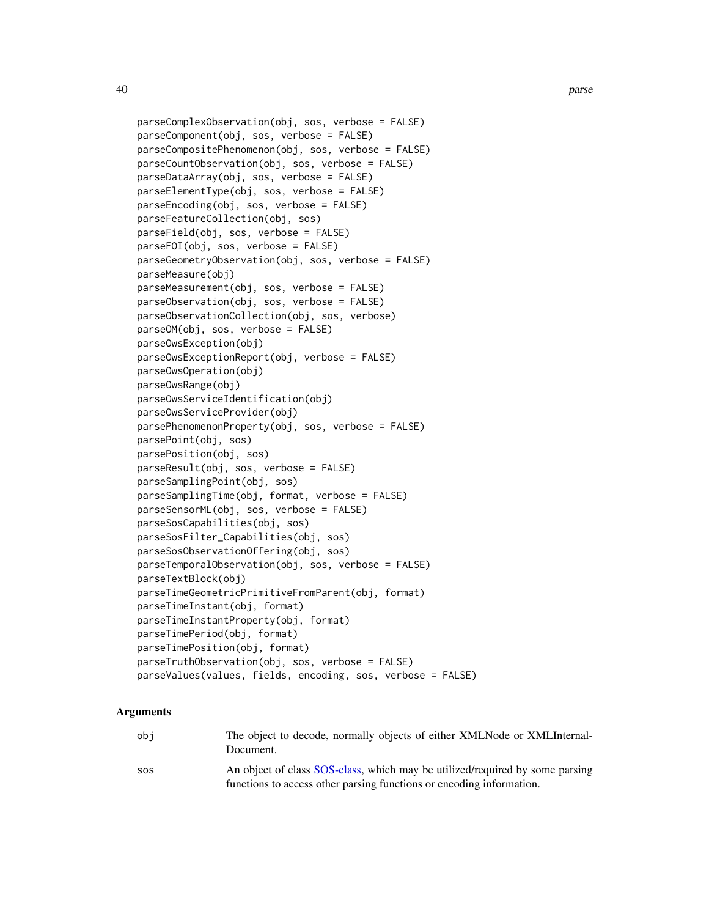```
parseComplexObservation(obj, sos, verbose = FALSE)
parseComponent(obj, sos, verbose = FALSE)
parseCompositePhenomenon(obj, sos, verbose = FALSE)
parseCountObservation(obj, sos, verbose = FALSE)
parseDataArray(obj, sos, verbose = FALSE)
parseElementType(obj, sos, verbose = FALSE)
parseEncoding(obj, sos, verbose = FALSE)
parseFeatureCollection(obj, sos)
parseField(obj, sos, verbose = FALSE)
parseFOI(obj, sos, verbose = FALSE)
parseGeometryObservation(obj, sos, verbose = FALSE)
parseMeasure(obj)
parseMeasurement(obj, sos, verbose = FALSE)
parseObservation(obj, sos, verbose = FALSE)
parseObservationCollection(obj, sos, verbose)
parseOM(obj, sos, verbose = FALSE)
parseOwsException(obj)
parseOwsExceptionReport(obj, verbose = FALSE)
parseOwsOperation(obj)
parseOwsRange(obj)
parseOwsServiceIdentification(obj)
parseOwsServiceProvider(obj)
parsePhenomenonProperty(obj, sos, verbose = FALSE)
parsePoint(obj, sos)
parsePosition(obj, sos)
parseResult(obj, sos, verbose = FALSE)
parseSamplingPoint(obj, sos)
parseSamplingTime(obj, format, verbose = FALSE)
parseSensorML(obj, sos, verbose = FALSE)
parseSosCapabilities(obj, sos)
parseSosFilter_Capabilities(obj, sos)
parseSosObservationOffering(obj, sos)
parseTemporalObservation(obj, sos, verbose = FALSE)
parseTextBlock(obj)
parseTimeGeometricPrimitiveFromParent(obj, format)
parseTimeInstant(obj, format)
parseTimeInstantProperty(obj, format)
parseTimePeriod(obj, format)
parseTimePosition(obj, format)
parseTruthObservation(obj, sos, verbose = FALSE)
parseValues(values, fields, encoding, sos, verbose = FALSE)
```
#### Arguments

| obi | The object to decode, normally objects of either XMLNode or XMLInternal-<br>Document.                                                                |
|-----|------------------------------------------------------------------------------------------------------------------------------------------------------|
| SOS | An object of class SOS-class, which may be utilized/required by some parsing<br>functions to access other parsing functions or encoding information. |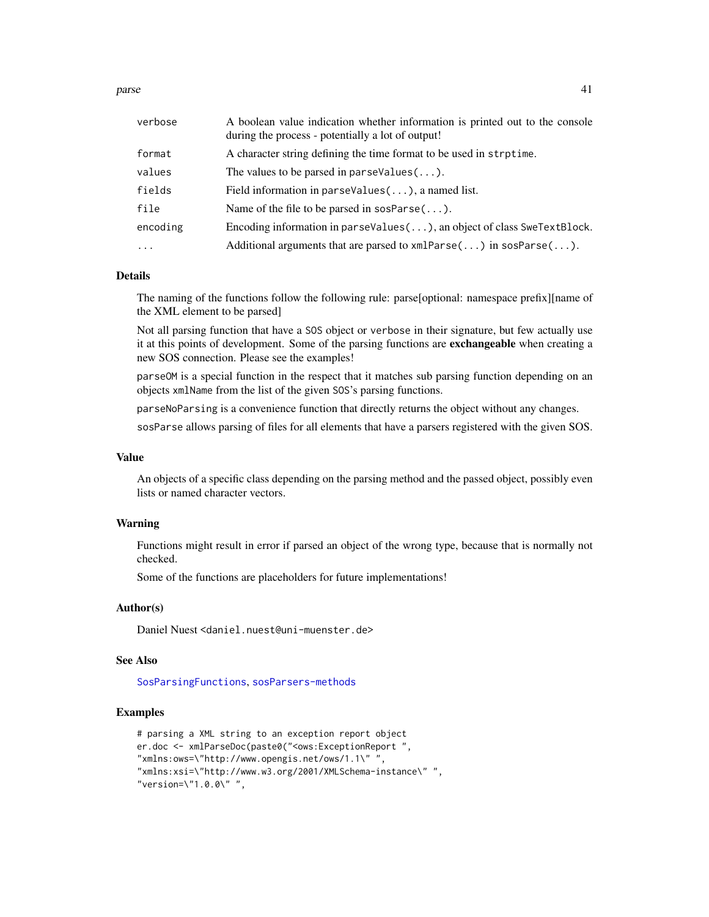parse that the contract of the contract of the contract of the contract of the contract of the contract of the contract of the contract of the contract of the contract of the contract of the contract of the contract of the

| verbose  | A boolean value indication whether information is printed out to the console<br>during the process - potentially a lot of output! |
|----------|-----------------------------------------------------------------------------------------------------------------------------------|
| format   | A character string defining the time format to be used in strptime.                                                               |
| values   | The values to be parsed in parseValues $(\ldots)$ .                                                                               |
| fields   | Field information in parseValues $(\ldots)$ , a named list.                                                                       |
| file     | Name of the file to be parsed in sosParse $(\ldots)$ .                                                                            |
| encoding | Encoding information in parseValues( $\ldots$ ), an object of class SweTextBlock.                                                 |
| $\ddots$ | Additional arguments that are parsed to $xmlParse()$ in $sosParse()$ .                                                            |

# Details

The naming of the functions follow the following rule: parse[optional: namespace prefix][name of the XML element to be parsed]

Not all parsing function that have a SOS object or verbose in their signature, but few actually use it at this points of development. Some of the parsing functions are exchangeable when creating a new SOS connection. Please see the examples!

parseOM is a special function in the respect that it matches sub parsing function depending on an objects xmlName from the list of the given SOS's parsing functions.

parseNoParsing is a convenience function that directly returns the object without any changes.

sosParse allows parsing of files for all elements that have a parsers registered with the given SOS.

# Value

An objects of a specific class depending on the parsing method and the passed object, possibly even lists or named character vectors.

# Warning

Functions might result in error if parsed an object of the wrong type, because that is normally not checked.

Some of the functions are placeholders for future implementations!

# Author(s)

Daniel Nuest <daniel.nuest@uni-muenster.de>

#### See Also

[SosParsingFunctions](#page-5-1), [sosParsers-methods](#page-45-0)

# Examples

```
# parsing a XML string to an exception report object
er.doc <- xmlParseDoc(paste0("<ows:ExceptionReport ",
"xmlns:ows=\"http://www.opengis.net/ows/1.1\" ",
"xmlns:xsi=\"http://www.w3.org/2001/XMLSchema-instance\" ",
"version=\"1.0.0\" ",
```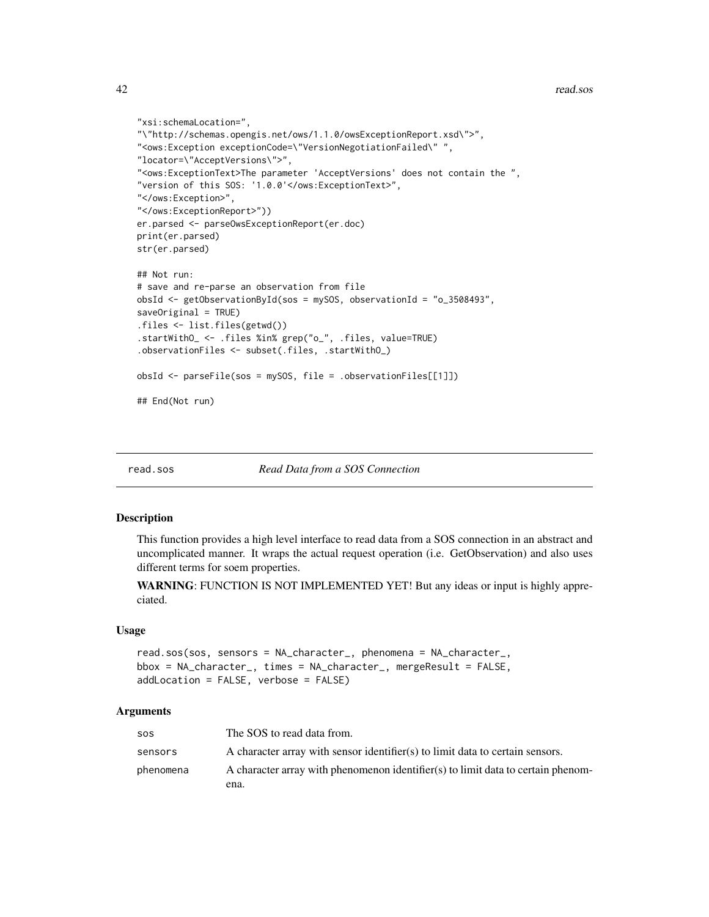```
"xsi:schemaLocation=",
"\"http://schemas.opengis.net/ows/1.1.0/owsExceptionReport.xsd\">",
"<ows:Exception exceptionCode=\"VersionNegotiationFailed\" ",
"locator=\"AcceptVersions\">",
"<ows:ExceptionText>The parameter 'AcceptVersions' does not contain the ",
"version of this SOS: '1.0.0'</ows:ExceptionText>",
"</ows:Exception>",
"</ows:ExceptionReport>"))
er.parsed <- parseOwsExceptionReport(er.doc)
print(er.parsed)
str(er.parsed)
## Not run:
# save and re-parse an observation from file
obsId <- getObservationById(sos = mySOS, observationId = "o_3508493",
saveOriginal = TRUE)
.files <- list.files(getwd())
.startWithO_ <- .files %in% grep("o_", .files, value=TRUE)
.observationFiles <- subset(.files, .startWithO_)
obsId <- parseFile(sos = mySOS, file = .observationFiles[[1]])
## End(Not run)
```
read.sos *Read Data from a SOS Connection*

#### Description

This function provides a high level interface to read data from a SOS connection in an abstract and uncomplicated manner. It wraps the actual request operation (i.e. GetObservation) and also uses different terms for soem properties.

WARNING: FUNCTION IS NOT IMPLEMENTED YET! But any ideas or input is highly appreciated.

#### Usage

```
read.sos(sos, sensors = NA_character_, phenomena = NA_character_,
bbox = NA_character_, times = NA_character_, mergeResult = FALSE,
addLocation = FALSE, verbose = FALSE)
```
#### Arguments

| <b>SOS</b> | The SOS to read data from.                                                       |
|------------|----------------------------------------------------------------------------------|
| sensors    | A character array with sensor identifier(s) to limit data to certain sensors.    |
| phenomena  | A character array with phenomenon identifier(s) to limit data to certain phenom- |
|            | ena.                                                                             |

<span id="page-41-0"></span>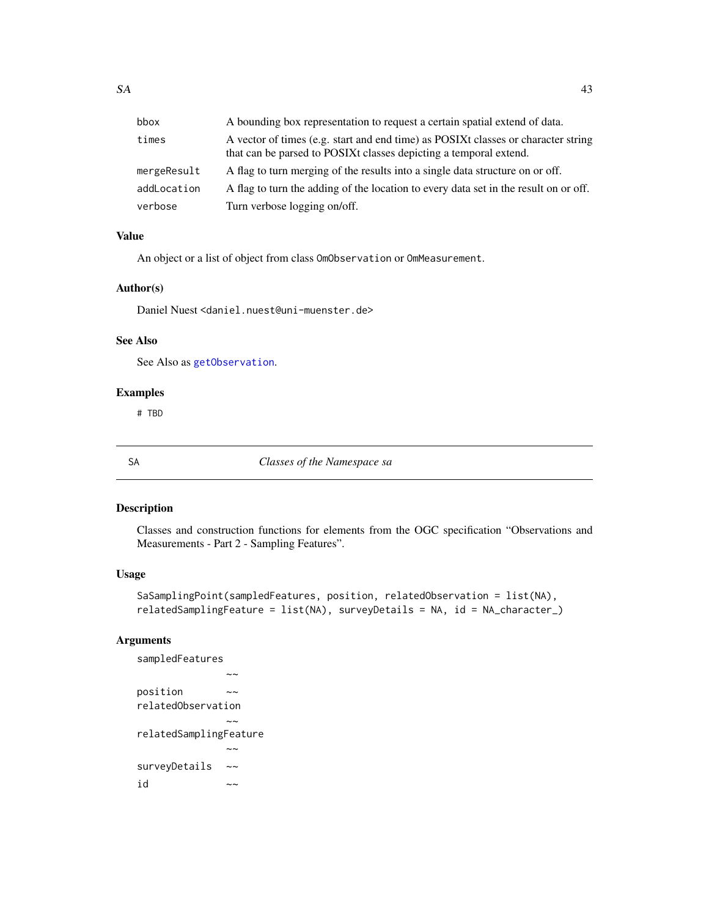<span id="page-42-0"></span>

| bbox        | A bounding box representation to request a certain spatial extend of data.                                                                             |
|-------------|--------------------------------------------------------------------------------------------------------------------------------------------------------|
| times       | A vector of times (e.g. start and end time) as POSIXt classes or character string<br>that can be parsed to POSIXt classes depicting a temporal extend. |
| mergeResult | A flag to turn merging of the results into a single data structure on or off.                                                                          |
| addLocation | A flag to turn the adding of the location to every data set in the result on or off.                                                                   |
| verbose     | Turn verbose logging on/off.                                                                                                                           |

# Value

An object or a list of object from class OmObservation or OmMeasurement.

# Author(s)

Daniel Nuest <daniel.nuest@uni-muenster.de>

# See Also

See Also as [getObservation](#page-18-0).

# Examples

# TBD

SA *Classes of the Namespace sa*

# Description

Classes and construction functions for elements from the OGC specification "Observations and Measurements - Part 2 - Sampling Features".

# Usage

```
SaSamplingPoint(sampledFeatures, position, relatedObservation = list(NA),
relatedSamplingFeature = list(NA), surveyDetails = NA, id = NA_character_)
```
# Arguments

```
sampledFeatures
               \simposition ~~
relatedObservation
               \sim \simrelatedSamplingFeature
               \sim \simsurveyDetails ~~
id \sim
```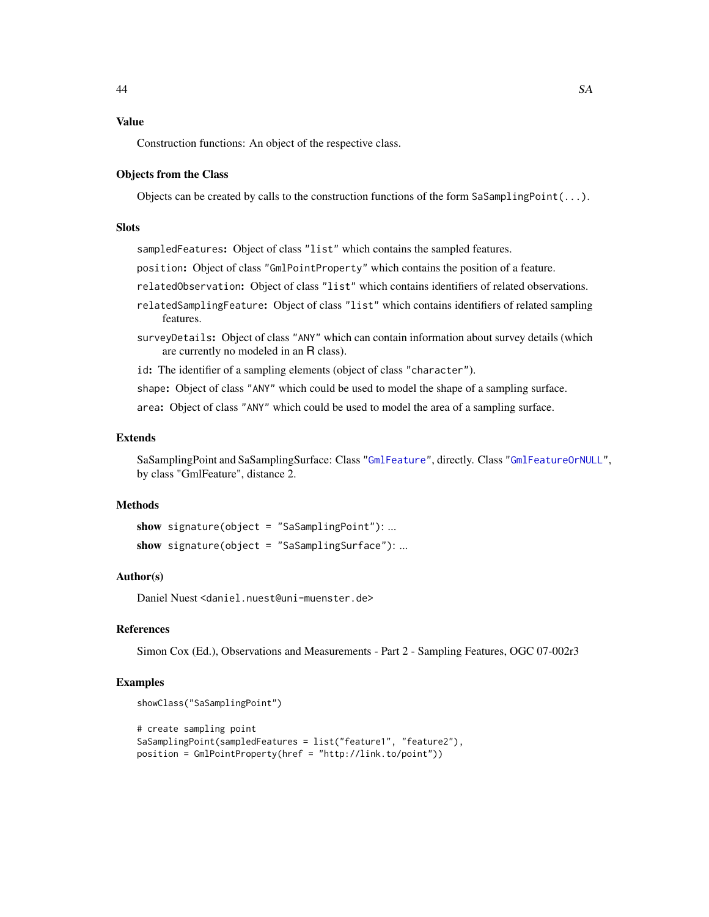# Value

Construction functions: An object of the respective class.

#### Objects from the Class

Objects can be created by calls to the construction functions of the form SaSamplingPoint $(\ldots)$ .

# **Slots**

sampledFeatures: Object of class "list" which contains the sampled features.

- position: Object of class "GmlPointProperty" which contains the position of a feature.
- relatedObservation: Object of class "list" which contains identifiers of related observations.
- relatedSamplingFeature: Object of class "list" which contains identifiers of related sampling features.
- surveyDetails: Object of class "ANY" which can contain information about survey details (which are currently no modeled in an R class).
- id: The identifier of a sampling elements (object of class "character").

shape: Object of class "ANY" which could be used to model the shape of a sampling surface.

area: Object of class "ANY" which could be used to model the area of a sampling surface.

# Extends

SaSamplingPoint and SaSamplingSurface: Class ["GmlFeature"](#page-19-0), directly. Class ["GmlFeatureOrNULL"](#page-19-0), by class "GmlFeature", distance 2.

#### Methods

```
show signature(object = "SaSamplingPoint"): ...
show signature(object = "SaSamplingSurface"): ...
```
#### Author(s)

Daniel Nuest <daniel.nuest@uni-muenster.de>

# References

Simon Cox (Ed.), Observations and Measurements - Part 2 - Sampling Features, OGC 07-002r3

# Examples

```
showClass("SaSamplingPoint")
# create sampling point
SaSamplingPoint(sampledFeatures = list("feature1", "feature2"),
position = GmlPointProperty(href = "http://link.to/point"))
```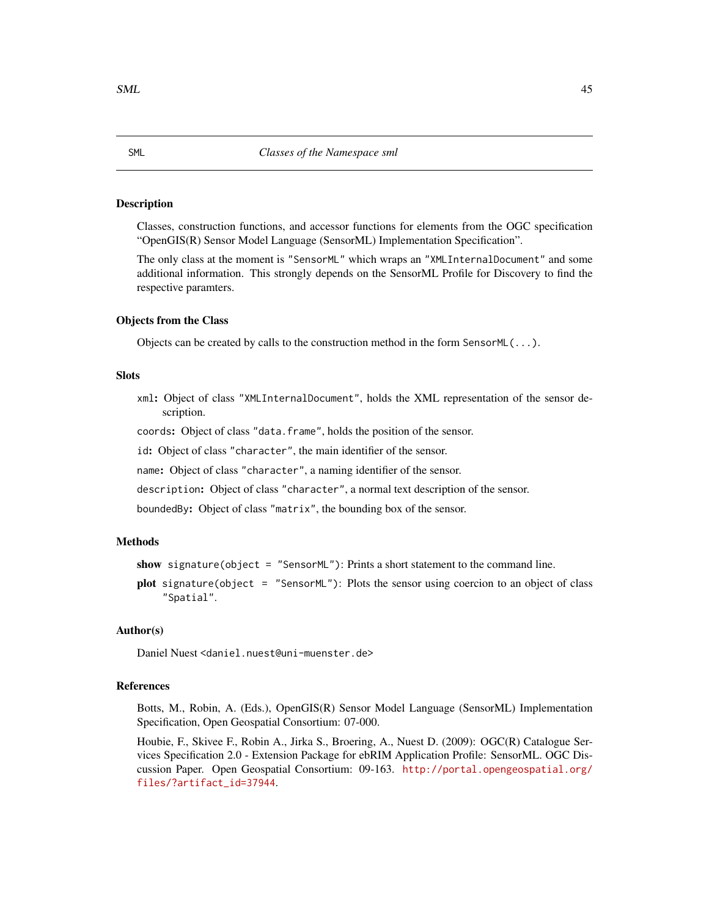#### Description

Classes, construction functions, and accessor functions for elements from the OGC specification "OpenGIS(R) Sensor Model Language (SensorML) Implementation Specification".

The only class at the moment is "SensorML" which wraps an "XMLInternalDocument" and some additional information. This strongly depends on the SensorML Profile for Discovery to find the respective paramters.

#### Objects from the Class

Objects can be created by calls to the construction method in the form SensorML(...).

#### **Slots**

xml: Object of class "XMLInternalDocument", holds the XML representation of the sensor description.

coords: Object of class "data.frame", holds the position of the sensor.

id: Object of class "character", the main identifier of the sensor.

name: Object of class "character", a naming identifier of the sensor.

description: Object of class "character", a normal text description of the sensor.

boundedBy: Object of class "matrix", the bounding box of the sensor.

# Methods

show signature(object = "SensorML"): Prints a short statement to the command line.

plot signature(object = "SensorML"): Plots the sensor using coercion to an object of class "Spatial".

# Author(s)

Daniel Nuest <daniel.nuest@uni-muenster.de>

# References

Botts, M., Robin, A. (Eds.), OpenGIS(R) Sensor Model Language (SensorML) Implementation Specification, Open Geospatial Consortium: 07-000.

Houbie, F., Skivee F., Robin A., Jirka S., Broering, A., Nuest D. (2009): OGC(R) Catalogue Services Specification 2.0 - Extension Package for ebRIM Application Profile: SensorML. OGC Discussion Paper. Open Geospatial Consortium: 09-163. [http://portal.opengeospatial.org/](http://portal.opengeospatial.org/files/?artifact_id=37944) [files/?artifact\\_id=37944](http://portal.opengeospatial.org/files/?artifact_id=37944).

<span id="page-44-0"></span>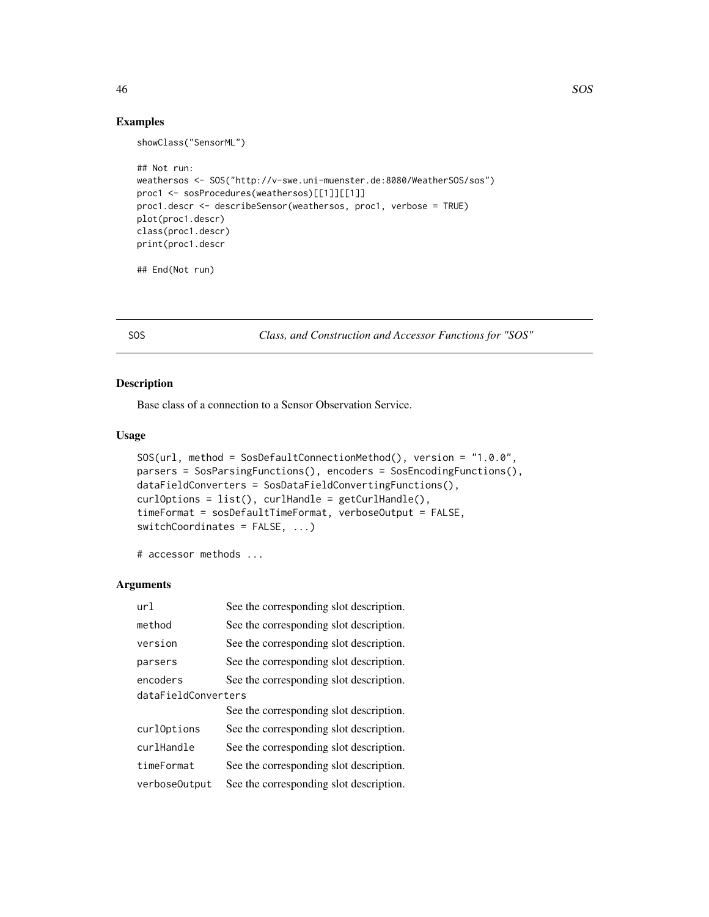# Examples

showClass("SensorML")

```
## Not run:
weathersos <- SOS("http://v-swe.uni-muenster.de:8080/WeatherSOS/sos")
proc1 <- sosProcedures(weathersos)[[1]][[1]]
proc1.descr <- describeSensor(weathersos, proc1, verbose = TRUE)
plot(proc1.descr)
class(proc1.descr)
print(proc1.descr
```
## End(Not run)

<span id="page-45-1"></span>SOS *Class, and Construction and Accessor Functions for "SOS"*

# <span id="page-45-0"></span>Description

Base class of a connection to a Sensor Observation Service.

#### Usage

```
SOS(url, method = SosDefaultConnectionMethod(), version = "1.0.0",
parsers = SosParsingFunctions(), encoders = SosEncodingFunctions(),
dataFieldConverters = SosDataFieldConvertingFunctions(),
curlOptions = list(), curlHandle = getCurlHandle(),
timeFormat = sosDefaultTimeFormat, verboseOutput = FALSE,
switchCoordinates = FALSE, ...)
```
# accessor methods ...

## Arguments

| ur1                 | See the corresponding slot description. |  |
|---------------------|-----------------------------------------|--|
| method              | See the corresponding slot description. |  |
| version             | See the corresponding slot description. |  |
| parsers             | See the corresponding slot description. |  |
| encoders            | See the corresponding slot description. |  |
| dataFieldConverters |                                         |  |
|                     | See the corresponding slot description. |  |
| curlOptions         | See the corresponding slot description. |  |
| curlHandle          | See the corresponding slot description. |  |
| timeFormat          | See the corresponding slot description. |  |
| verbose0utput       | See the corresponding slot description. |  |

<span id="page-45-2"></span>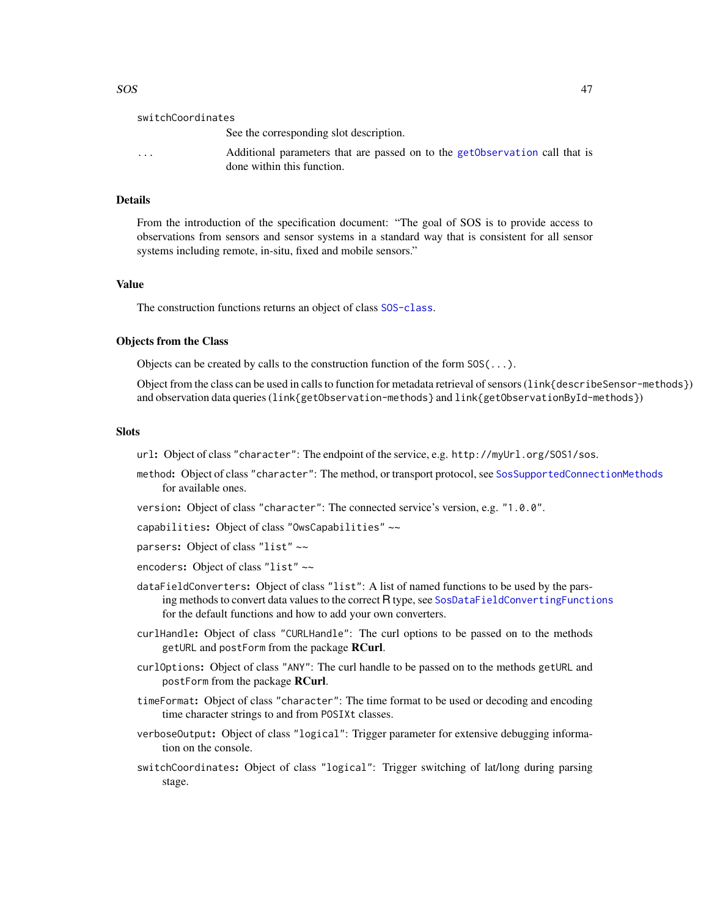switchCoordinates See the corresponding slot description. ... Additional parameters that are passed on to the [getObservation](#page-18-0) call that is done within this function.

# **Details**

From the introduction of the specification document: "The goal of SOS is to provide access to observations from sensors and sensor systems in a standard way that is consistent for all sensor systems including remote, in-situ, fixed and mobile sensors."

#### Value

The construction functions returns an object of class [SOS-class](#page-45-0).

# Objects from the Class

Objects can be created by calls to the construction function of the form SOS(...).

Object from the class can be used in calls to function for metadata retrieval of sensors (link{describeSensor-methods}) and observation data queries (link{getObservation-methods} and link{getObservationById-methods})

#### **Slots**

url: Object of class "character": The endpoint of the service, e.g. http://myUrl.org/SOS1/sos.

- method: Object of class "character": The method, or transport protocol, see [SosSupportedConnectionMethods](#page-64-0) for available ones.
- version: Object of class "character": The connected service's version, e.g. "1.0.0".

capabilities: Object of class "OwsCapabilities" ~~

parsers: Object of class "list" ~~

- encoders: Object of class "list" ~~
- dataFieldConverters: Object of class "list": A list of named functions to be used by the pars-ing methods to convert data values to the correct R type, see [SosDataFieldConvertingFunctions](#page-5-1) for the default functions and how to add your own converters.
- curlHandle: Object of class "CURLHandle": The curl options to be passed on to the methods getURL and postForm from the package RCurl.
- curlOptions: Object of class "ANY": The curl handle to be passed on to the methods getURL and postForm from the package RCurl.
- timeFormat: Object of class "character": The time format to be used or decoding and encoding time character strings to and from POSIXt classes.
- verboseOutput: Object of class "logical": Trigger parameter for extensive debugging information on the console.
- switchCoordinates: Object of class "logical": Trigger switching of lat/long during parsing stage.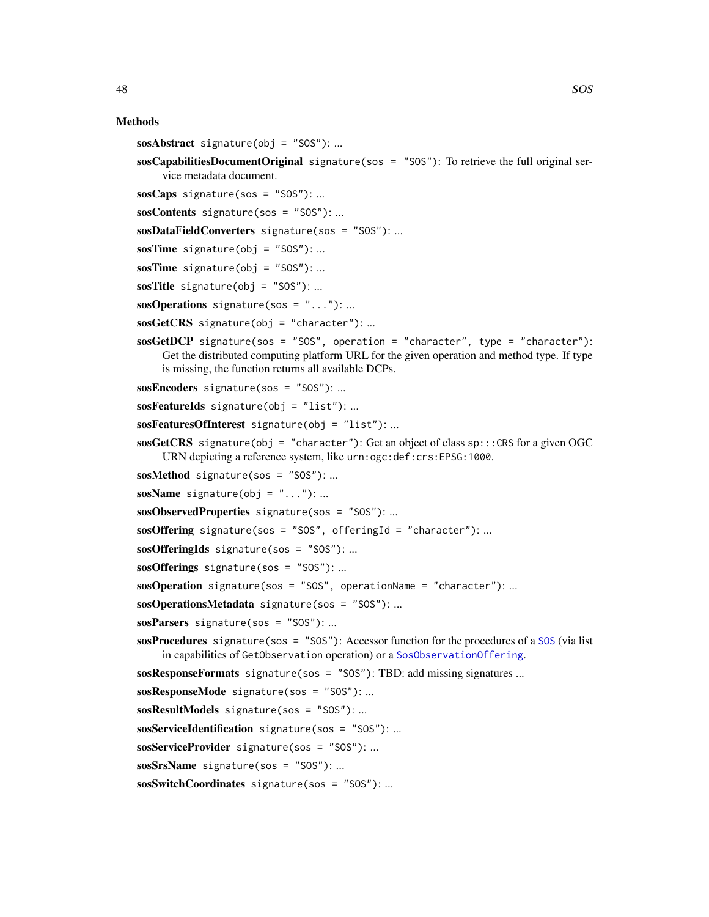#### Methods

- $soshth$ stract signature(obj = "SOS"): ...
- sosCapabilitiesDocumentOriginal signature(sos = "SOS"): To retrieve the full original service metadata document.
- $sosCaps$  signature(sos = "SOS"):...
- sosContents signature(sos = "SOS"): ...
- sosDataFieldConverters signature(sos = "SOS"): ...
- sosTime signature(obj =  $"SOS"$ ): ...
- sosTime signature(obj = "SOS"): ...
- sosTitle signature(obj = "SOS"): ...
- $sosOperations$  signature(sos = "..."): ...
- $sosGetCRS$  signature(obj = "character"): ...
- $sosGetDCP$  signature(sos = "SOS", operation = "character", type = "character"): Get the distributed computing platform URL for the given operation and method type. If type is missing, the function returns all available DCPs.
- sosEncoders signature(sos = "SOS"): ...
- $s$ osFeatureIds signature(obj = "list"): ...
- sosFeaturesOfInterest signature(obj = "list"): ...
- sosGetCRS signature(obj = "character"): Get an object of class  $sp$ :::CRS for a given OGC URN depicting a reference system, like urn:ogc:def:crs:EPSG:1000.
- sosMethod signature(sos = "SOS"): ...
- $soshName$  signature(obj = "..."): ...
- sosObservedProperties signature(sos = "SOS"): ...

 $sosOffering$  signature(sos = "SOS", offeringId = "character"):...

- $sosOfferingIds$  signature(sos = "SOS"): ...
- sosOfferings signature(sos = "SOS"): ...
- sosOperation signature(sos = "SOS", operationName = "character"):...
- sosOperationsMetadata signature(sos = "SOS"): ...
- sosParsers signature(sos = "SOS"): ...

sosProcedures signature(sos = "SOS"): Accessor function for the procedures of a [SOS](#page-45-0) (via list in capabilities of GetObservation operation) or a [SosObservationOffering](#page-61-0).

sosResponseFormats signature(sos = "SOS"): TBD: add missing signatures ...

sosResponseMode signature(sos = "SOS"): ...

sosResultModels signature(sos = "SOS"): ...

sosServiceIdentification signature(sos = "SOS"): ...

sosServiceProvider signature(sos = "SOS"): ...

sosSrsName signature(sos = "SOS"): ...

sosSwitchCoordinates signature(sos = "SOS"): ...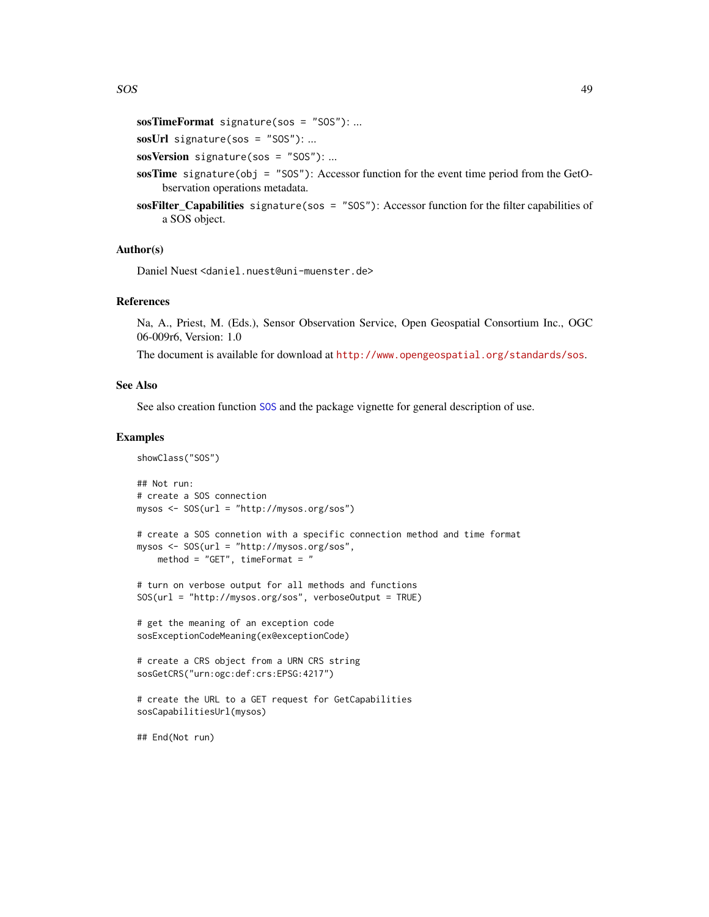```
sosTimeFormat signature(sos = "SOS"): ...
```

```
sosUrl signature(sos = "SOS"): ...
```
sosVersion signature(sos = "SOS"): ...

- sosTime signature(obj = "SOS"): Accessor function for the event time period from the GetObservation operations metadata.
- sosFilter\_Capabilities signature(sos = "SOS"): Accessor function for the filter capabilities of a SOS object.

#### Author(s)

Daniel Nuest <daniel.nuest@uni-muenster.de>

#### References

Na, A., Priest, M. (Eds.), Sensor Observation Service, Open Geospatial Consortium Inc., OGC 06-009r6, Version: 1.0

The document is available for download at <http://www.opengeospatial.org/standards/sos>.

#### See Also

See also creation function [SOS](#page-45-1) and the package vignette for general description of use.

#### Examples

```
showClass("SOS")
## Not run:
# create a SOS connection
mysos <- SOS(url = "http://mysos.org/sos")
# create a SOS connetion with a specific connection method and time format
mysos <- SOS(url = "http://mysos.org/sos",
   method = "GET", timeFormat = "
# turn on verbose output for all methods and functions
SOS(url = "http://mysos.org/sos", verboseOutput = TRUE)
# get the meaning of an exception code
sosExceptionCodeMeaning(ex@exceptionCode)
# create a CRS object from a URN CRS string
sosGetCRS("urn:ogc:def:crs:EPSG:4217")
# create the URL to a GET request for GetCapabilities
sosCapabilitiesUrl(mysos)
## End(Not run)
```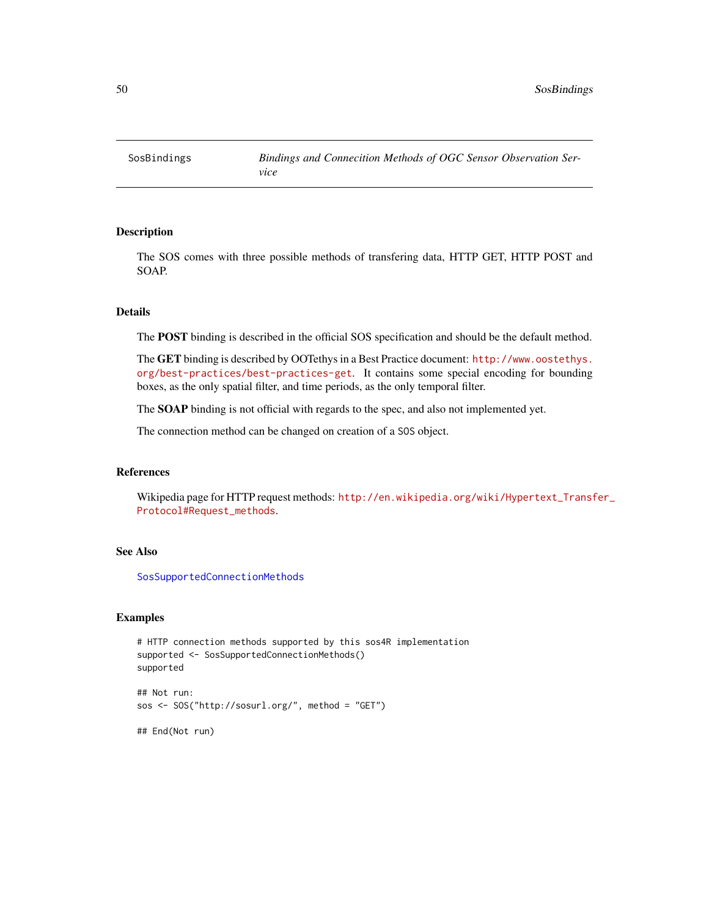<span id="page-49-1"></span><span id="page-49-0"></span>SosBindings *Bindings and Connecition Methods of OGC Sensor Observation Service*

# Description

The SOS comes with three possible methods of transfering data, HTTP GET, HTTP POST and SOAP.

# Details

The POST binding is described in the official SOS specification and should be the default method.

The GET binding is described by OOTethys in a Best Practice document: [http://www.oostethys.](http://www.oostethys.org/best-practices/best-practices-get) [org/best-practices/best-practices-get](http://www.oostethys.org/best-practices/best-practices-get). It contains some special encoding for bounding boxes, as the only spatial filter, and time periods, as the only temporal filter.

The SOAP binding is not official with regards to the spec, and also not implemented yet.

The connection method can be changed on creation of a SOS object.

# References

Wikipedia page for HTTP request methods: [http://en.wikipedia.org/wiki/Hypertext\\_Transf](http://en.wikipedia.org/wiki/Hypertext_Transfer_Protocol#Request_methods)er\_ [Protocol#Request\\_methods](http://en.wikipedia.org/wiki/Hypertext_Transfer_Protocol#Request_methods).

#### See Also

[SosSupportedConnectionMethods](#page-64-0)

# Examples

```
# HTTP connection methods supported by this sos4R implementation
supported <- SosSupportedConnectionMethods()
supported
```

```
sos <- SOS("http://sosurl.org/", method = "GET")
```
## End(Not run)

## Not run: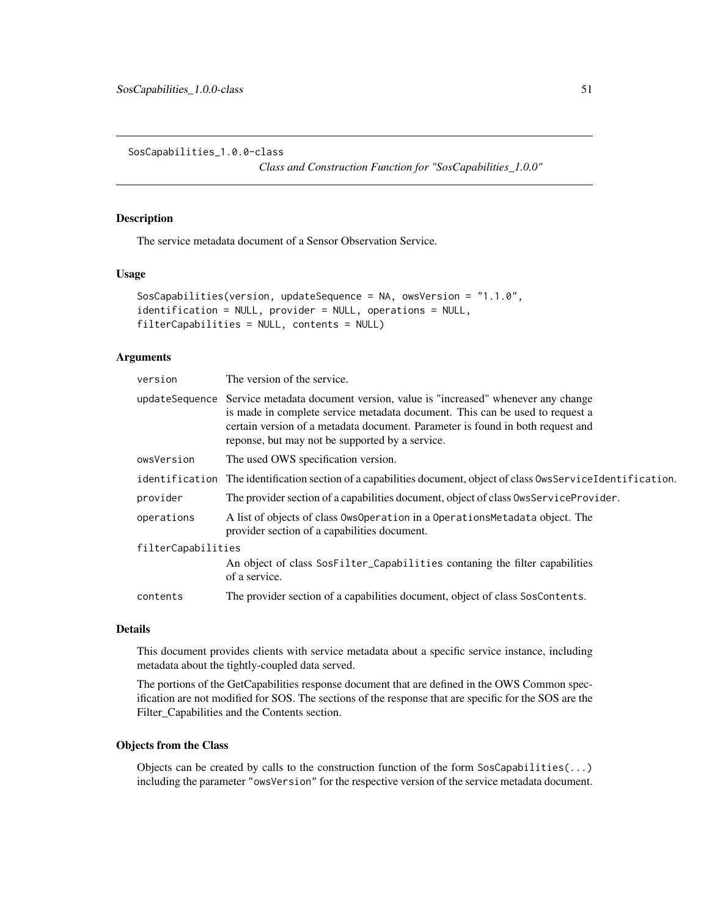<span id="page-50-1"></span>SosCapabilities\_1.0.0-class

*Class and Construction Function for "SosCapabilities\_1.0.0"*

#### <span id="page-50-0"></span>Description

The service metadata document of a Sensor Observation Service.

#### Usage

```
SosCapabilities(version, updateSequence = NA, owsVersion = "1.1.0",
identification = NULL, provider = NULL, operations = NULL,
filterCapabilities = NULL, contents = NULL)
```
# Arguments

| version            | The version of the service.                                                                                                                                                                                                                                                                                     |  |
|--------------------|-----------------------------------------------------------------------------------------------------------------------------------------------------------------------------------------------------------------------------------------------------------------------------------------------------------------|--|
|                    | updateSequence Service metadata document version, value is "increased" whenever any change<br>is made in complete service metadata document. This can be used to request a<br>certain version of a metadata document. Parameter is found in both request and<br>reponse, but may not be supported by a service. |  |
| owsVersion         | The used OWS specification version.                                                                                                                                                                                                                                                                             |  |
| identification     | The identification section of a capabilities document, object of class OwsServiceIdentification.                                                                                                                                                                                                                |  |
| provider           | The provider section of a capabilities document, object of class OwsServiceProvider.                                                                                                                                                                                                                            |  |
| operations         | A list of objects of class OwsOperation in a Operations Metadata object. The<br>provider section of a capabilities document.                                                                                                                                                                                    |  |
| filterCapabilities |                                                                                                                                                                                                                                                                                                                 |  |
|                    | An object of class SosFilter_Capabilities contaning the filter capabilities<br>of a service.                                                                                                                                                                                                                    |  |
| contents           | The provider section of a capabilities document, object of class SosContents.                                                                                                                                                                                                                                   |  |

# Details

This document provides clients with service metadata about a specific service instance, including metadata about the tightly-coupled data served.

The portions of the GetCapabilities response document that are defined in the OWS Common specification are not modified for SOS. The sections of the response that are specific for the SOS are the Filter\_Capabilities and the Contents section.

# Objects from the Class

Objects can be created by calls to the construction function of the form  $SosCapabilities(...)$ including the parameter "owsVersion" for the respective version of the service metadata document.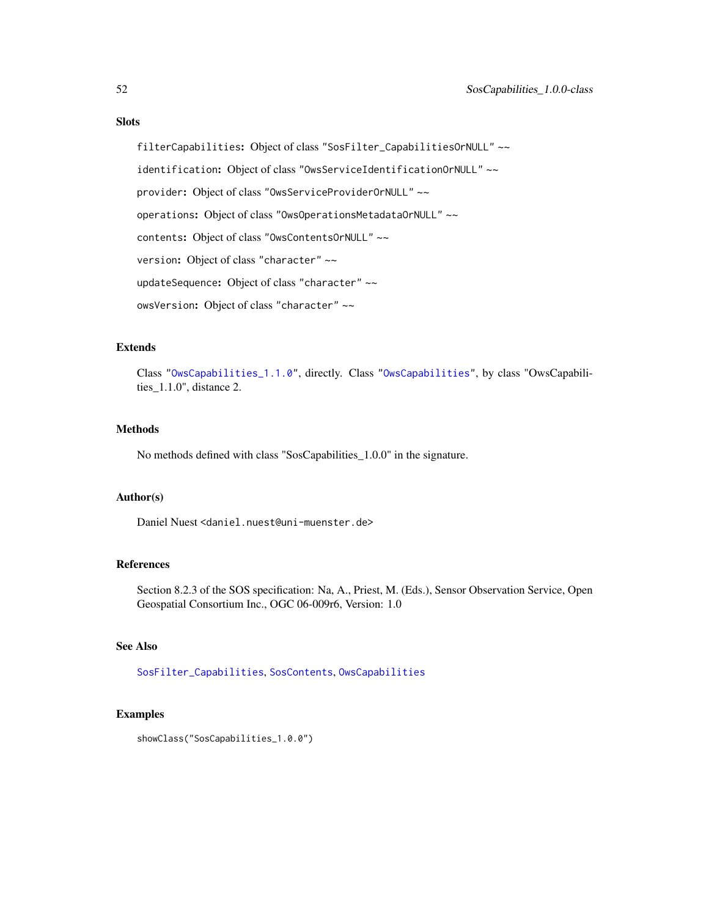# Slots

filterCapabilities: Object of class "SosFilter\_CapabilitiesOrNULL" ~~ identification: Object of class "OwsServiceIdentificationOrNULL" ~~ provider: Object of class "OwsServiceProviderOrNULL" ~~ operations: Object of class "OwsOperationsMetadataOrNULL" ~~ contents: Object of class "OwsContentsOrNULL" ~~ version: Object of class "character" ~~ updateSequence: Object of class "character" ~~ owsVersion: Object of class "character" ~~

#### Extends

Class ["OwsCapabilities\\_1.1.0"](#page-33-0), directly. Class ["OwsCapabilities"](#page-33-0), by class "OwsCapabilities\_1.1.0", distance 2.

# Methods

No methods defined with class "SosCapabilities\_1.0.0" in the signature.

# Author(s)

Daniel Nuest <daniel.nuest@uni-muenster.de>

#### References

Section 8.2.3 of the SOS specification: Na, A., Priest, M. (Eds.), Sensor Observation Service, Open Geospatial Consortium Inc., OGC 06-009r6, Version: 1.0

# See Also

[SosFilter\\_Capabilities](#page-60-0), [SosContents](#page-52-0), [OwsCapabilities](#page-33-0)

# Examples

showClass("SosCapabilities\_1.0.0")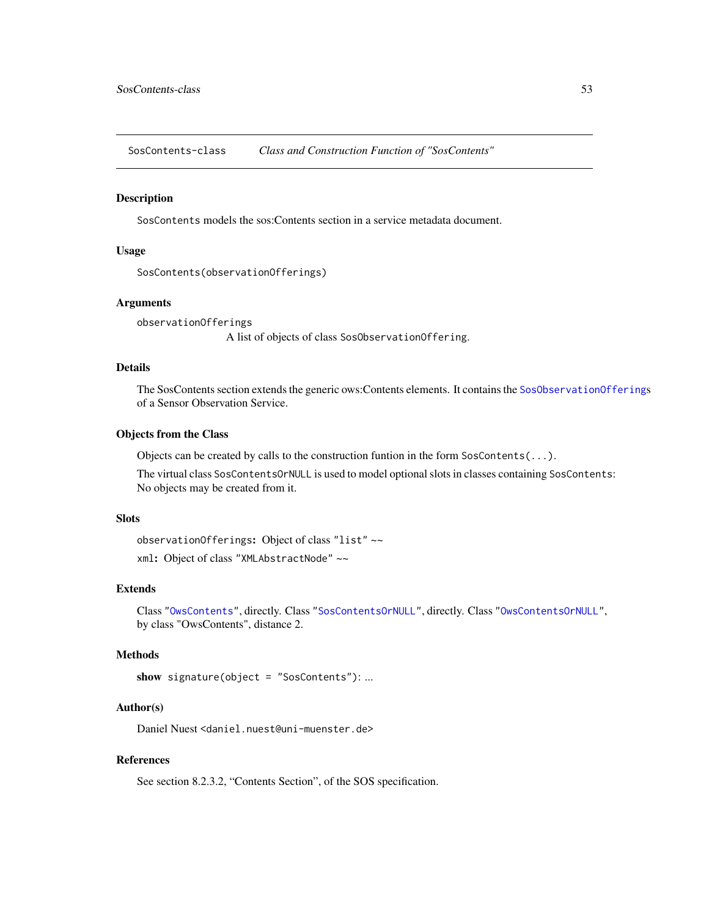<span id="page-52-2"></span><span id="page-52-0"></span>SosContents-class *Class and Construction Function of "SosContents"*

#### <span id="page-52-1"></span>Description

SosContents models the sos:Contents section in a service metadata document.

# Usage

```
SosContents(observationOfferings)
```
#### Arguments

observationOfferings A list of objects of class SosObservationOffering.

# Details

The SosContents section extends the generic ows:Contents elements. It contains the [SosObservationOffering](#page-61-0)s of a Sensor Observation Service.

#### Objects from the Class

Objects can be created by calls to the construction funtion in the form  $SosContents(...).$ 

The virtual class SosContentsOrNULL is used to model optional slots in classes containing SosContents: No objects may be created from it.

# **Slots**

observationOfferings: Object of class "list" ~~ xml: Object of class "XMLAbstractNode" ~~

#### Extends

Class ["OwsContents"](#page-33-0), directly. Class ["SosContentsOrNULL"](#page-52-1), directly. Class ["OwsContentsOrNULL"](#page-33-0), by class "OwsContents", distance 2.

# Methods

```
show signature(object = "SosContents"): ...
```
# Author(s)

Daniel Nuest <daniel.nuest@uni-muenster.de>

# References

See section 8.2.3.2, "Contents Section", of the SOS specification.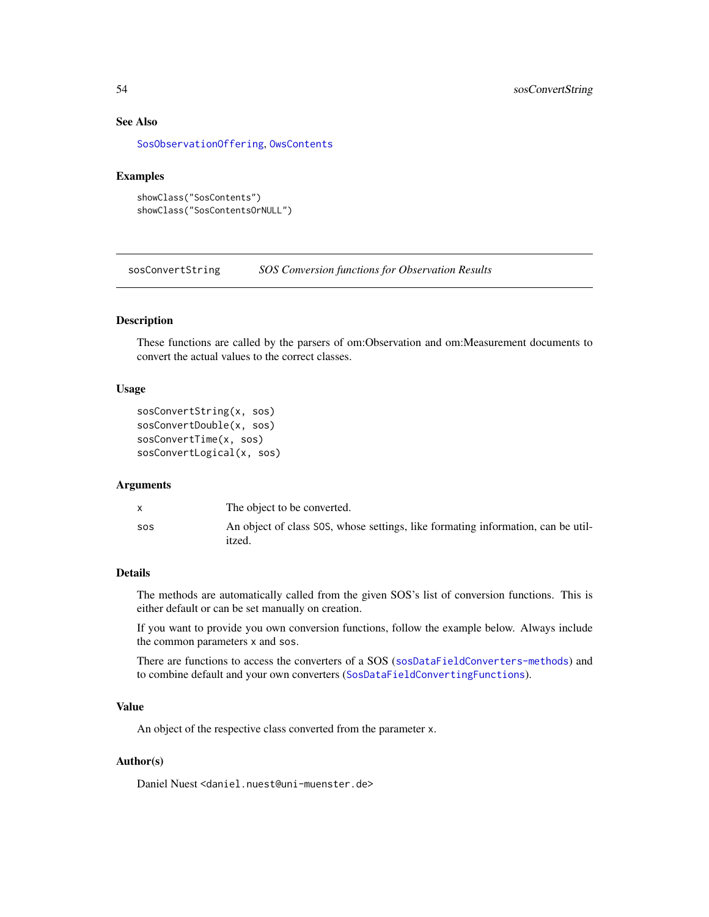# <span id="page-53-0"></span>See Also

[SosObservationOffering](#page-61-0), [OwsContents](#page-33-0)

## Examples

```
showClass("SosContents")
showClass("SosContentsOrNULL")
```
sosConvertString *SOS Conversion functions for Observation Results*

#### Description

These functions are called by the parsers of om:Observation and om:Measurement documents to convert the actual values to the correct classes.

# Usage

```
sosConvertString(x, sos)
sosConvertDouble(x, sos)
sosConvertTime(x, sos)
sosConvertLogical(x, sos)
```
#### Arguments

|            | The object to be converted.                                                                |
|------------|--------------------------------------------------------------------------------------------|
| <b>SOS</b> | An object of class SOS, whose settings, like formating information, can be util-<br>itzed. |

# Details

The methods are automatically called from the given SOS's list of conversion functions. This is either default or can be set manually on creation.

If you want to provide you own conversion functions, follow the example below. Always include the common parameters x and sos.

There are functions to access the converters of a SOS ([sosDataFieldConverters-methods](#page-45-0)) and to combine default and your own converters ([SosDataFieldConvertingFunctions](#page-5-1)).

# Value

An object of the respective class converted from the parameter x.

#### Author(s)

Daniel Nuest <daniel.nuest@uni-muenster.de>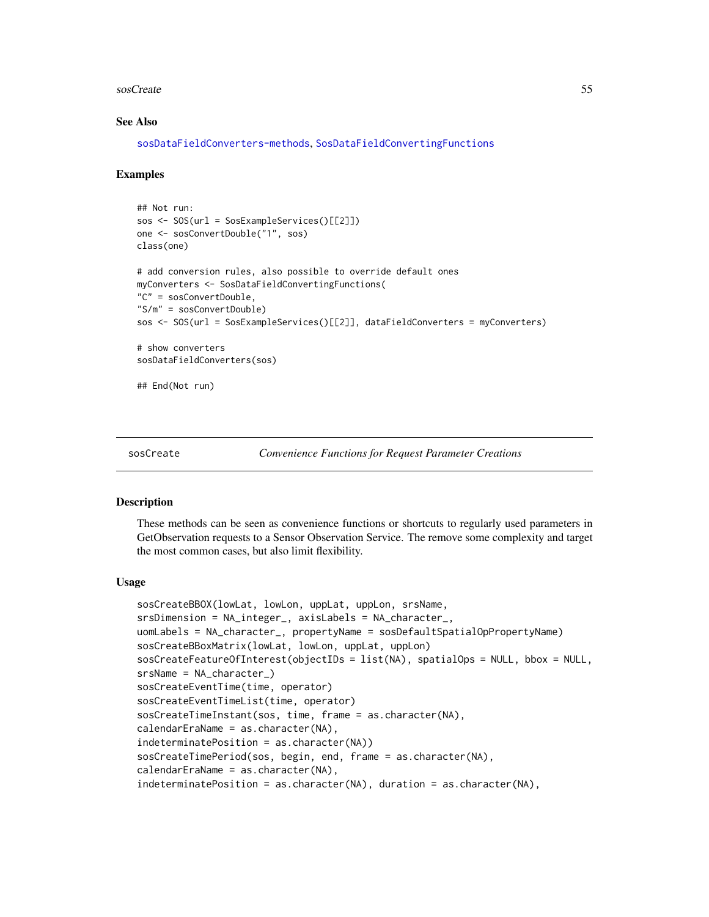#### <span id="page-54-1"></span>sosCreate 55

#### See Also

```
sosDataFieldConverters-methods, SosDataFieldConvertingFunctions
```
#### Examples

```
## Not run:
sos <- SOS(url = SosExampleServices()[[2]])
one <- sosConvertDouble("1", sos)
class(one)
# add conversion rules, also possible to override default ones
myConverters <- SosDataFieldConvertingFunctions(
"C" = sosConvertDouble,
"S/m" = sosConvertDouble)
sos <- SOS(url = SosExampleServices()[[2]], dataFieldConverters = myConverters)
# show converters
sosDataFieldConverters(sos)
## End(Not run)
```

```
sosCreate Convenience Functions for Request Parameter Creations
```
#### <span id="page-54-0"></span>**Description**

These methods can be seen as convenience functions or shortcuts to regularly used parameters in GetObservation requests to a Sensor Observation Service. The remove some complexity and target the most common cases, but also limit flexibility.

#### Usage

```
sosCreateBBOX(lowLat, lowLon, uppLat, uppLon, srsName,
srsDimension = NA_integer_, axisLabels = NA_character_,
uomLabels = NA_character_, propertyName = sosDefaultSpatialOpPropertyName)
sosCreateBBoxMatrix(lowLat, lowLon, uppLat, uppLon)
sosCreateFeatureOfInterest(objectIDs = list(NA), spatialOps = NULL, bbox = NULL,
srsName = NA_character_)
sosCreateEventTime(time, operator)
sosCreateEventTimeList(time, operator)
sosCreateTimeInstant(sos, time, frame = as.character(NA),
calendarEraName = as.character(NA),
indeterminatePosition = as.character(NA))
sosCreateTimePeriod(sos, begin, end, frame = as.character(NA),
calendarEraName = as.character(NA),
indeterminatePosition = as.character(NA), duration = as.character(NA),
```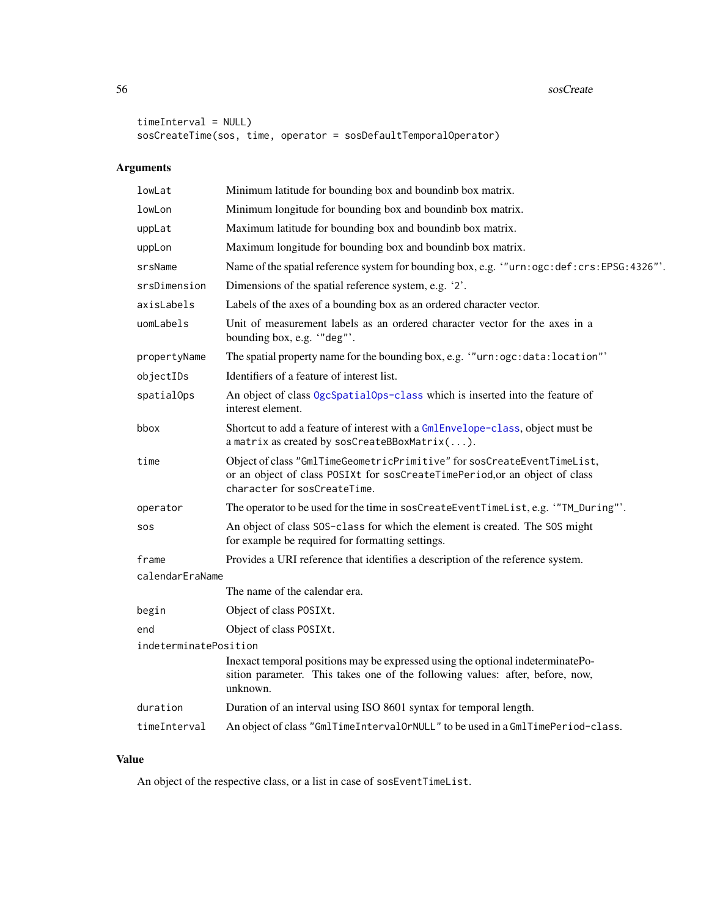#### 56 sosCreate and the state of the state of the state of the state state state state state state state state state state state state state state state state state state state state state state state state state state state

```
timeInterval = NULL)
sosCreateTime(sos, time, operator = sosDefaultTemporalOperator)
```
# Arguments

| lowLat                | Minimum latitude for bounding box and boundinb box matrix.                                                                                                                             |  |
|-----------------------|----------------------------------------------------------------------------------------------------------------------------------------------------------------------------------------|--|
| lowLon                | Minimum longitude for bounding box and boundinb box matrix.                                                                                                                            |  |
| uppLat                | Maximum latitude for bounding box and boundinb box matrix.                                                                                                                             |  |
| uppLon                | Maximum longitude for bounding box and boundinb box matrix.                                                                                                                            |  |
| srsName               | Name of the spatial reference system for bounding box, e.g. "urn: ogc: def: crs: EPSG: 4326"'.                                                                                         |  |
| srsDimension          | Dimensions of the spatial reference system, e.g. '2'.                                                                                                                                  |  |
| axisLabels            | Labels of the axes of a bounding box as an ordered character vector.                                                                                                                   |  |
| uomLabels             | Unit of measurement labels as an ordered character vector for the axes in a<br>bounding box, e.g. "deg"'.                                                                              |  |
| propertyName          | The spatial property name for the bounding box, e.g. "urn: ogc: data: location"'                                                                                                       |  |
| objectIDs             | Identifiers of a feature of interest list.                                                                                                                                             |  |
| spatialOps            | An object of class OgcSpatialOps-class which is inserted into the feature of<br>interest element.                                                                                      |  |
| bbox                  | Shortcut to add a feature of interest with a GmlEnvelope-class, object must be<br>a matrix as created by sosCreateBBoxMatrix().                                                        |  |
| time                  | Object of class "GmlTimeGeometricPrimitive" for sosCreateEventTimeList,<br>or an object of class POSIXt for sosCreateTimePeriod, or an object of class<br>character for sosCreateTime. |  |
| operator              | The operator to be used for the time in sosCreateEventTimeList, e.g. "TM_During"'.                                                                                                     |  |
| SOS                   | An object of class SOS-class for which the element is created. The SOS might<br>for example be required for formatting settings.                                                       |  |
| frame                 | Provides a URI reference that identifies a description of the reference system.                                                                                                        |  |
| calendarEraName       |                                                                                                                                                                                        |  |
|                       | The name of the calendar era.                                                                                                                                                          |  |
| begin                 | Object of class POSIXt.                                                                                                                                                                |  |
| end                   | Object of class POSIXt.                                                                                                                                                                |  |
| indeterminatePosition |                                                                                                                                                                                        |  |
|                       | Inexact temporal positions may be expressed using the optional indeterminatePo-<br>sition parameter. This takes one of the following values: after, before, now,<br>unknown.           |  |
| duration              | Duration of an interval using ISO 8601 syntax for temporal length.                                                                                                                     |  |
| timeInterval          | An object of class "GmlTimeIntervalOrNULL" to be used in a GmlTimePeriod-class.                                                                                                        |  |

# Value

An object of the respective class, or a list in case of sosEventTimeList.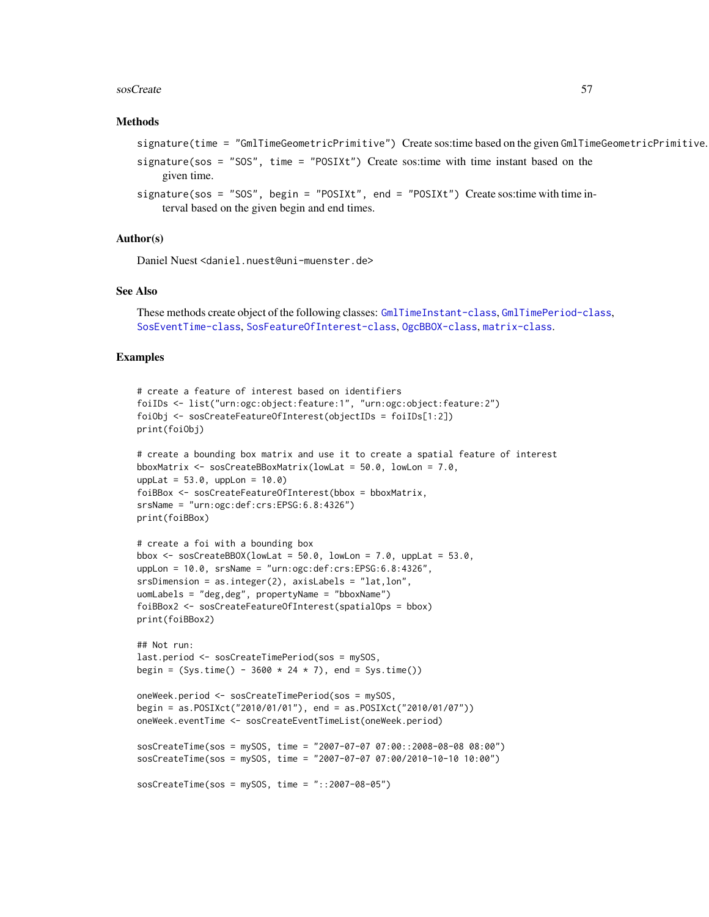#### sosCreate 57

#### Methods

```
signature(time = "GmlTimeGeometricPrimitive") Create sos:time based on the given GmlTimeGeometricPrimitive.
```

```
signature(sos = "SOS", time = "POSIX't") Create sos:time with time instant based on the
    given time.
```

```
signature(sos = "SOS", begin = "POSIXt", end = "POSIXt") Create sostime with time in-terval based on the given begin and end times.
```
#### Author(s)

Daniel Nuest <daniel.nuest@uni-muenster.de>

#### See Also

```
These methods create object of the following classes: GmlTimeInstant-class, GmlTimePeriod-class,
SosEventTime-class, SosFeatureOfInterest-class, OgcBBOX-class, matrix-class.
```
#### Examples

```
# create a feature of interest based on identifiers
foiIDs <- list("urn:ogc:object:feature:1", "urn:ogc:object:feature:2")
foiObj <- sosCreateFeatureOfInterest(objectIDs = foiIDs[1:2])
print(foiObj)
```

```
# create a bounding box matrix and use it to create a spatial feature of interest
bboxMatrix <- sosCreateBBoxMatrix(lowLat = 50.0, lowLon = 7.0,
upplot = 53.0, upplon = 10.0foiBBox <- sosCreateFeatureOfInterest(bbox = bboxMatrix,
srsName = "urn:ogc:def:crs:EPSG:6.8:4326")
print(foiBBox)
```

```
# create a foi with a bounding box
bbox \leq sosCreateBBOX(lowLat = 50.0, lowLon = 7.0, uppLat = 53.0,
uppLon = 10.0, srsName = "urn:ogc:def:crs:EPSG:6.8:4326",
srsDimension = as.integer(2), axisLabels = "lat,lon",
uomLabels = "deg,deg", propertyName = "bboxName")
foiBBox2 <- sosCreateFeatureOfInterest(spatialOps = bbox)
print(foiBBox2)
```

```
## Not run:
last.period <- sosCreateTimePeriod(sos = mySOS,
begin = (Sys.time() - 3600 * 24 * 7), end = Sys.time())
```

```
oneWeek.period <- sosCreateTimePeriod(sos = mySOS,
begin = as.POSIXct("2010/01/01"), end = as.POSIXct("2010/01/07"))
oneWeek.eventTime <- sosCreateEventTimeList(oneWeek.period)
```

```
sosCreateTime(sos = mySOS, time = "2007-07-07 07:00::2008-08-08 08:00")
sosCreateTime(sos = mySOS, time = "2007-07-07 07:00/2010-10-10 10:00")
```

```
sosCreateTime(sos = mySOS, time = "::2007-08-05")
```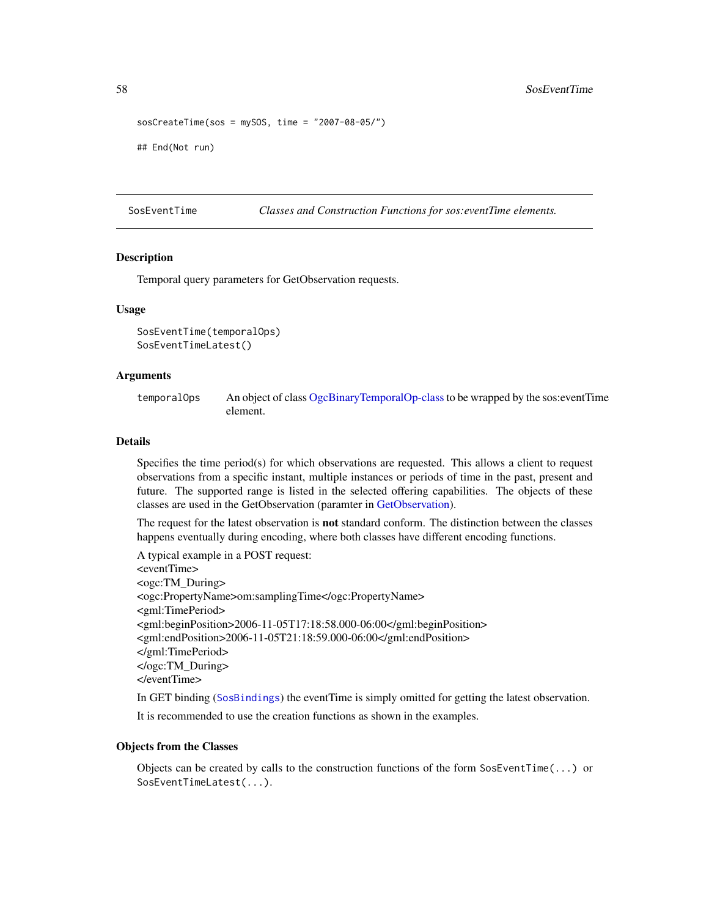```
sosCreateTime(sos = mySOS, time = "2007-08-05/")
## End(Not run)
```
SosEventTime *Classes and Construction Functions for sos:eventTime elements.*

#### <span id="page-57-0"></span>**Description**

Temporal query parameters for GetObservation requests.

#### Usage

```
SosEventTime(temporalOps)
SosEventTimeLatest()
```
#### Arguments

temporalOps An object of class [OgcBinaryTemporalOp-class](#page-25-0)to be wrapped by the sos:eventTime element.

## Details

Specifies the time period(s) for which observations are requested. This allows a client to request observations from a specific instant, multiple instances or periods of time in the past, present and future. The supported range is listed in the selected offering capabilities. The objects of these classes are used in the GetObservation (paramter in [GetObservation\)](#page-15-0).

The request for the latest observation is not standard conform. The distinction between the classes happens eventually during encoding, where both classes have different encoding functions.

A typical example in a POST request: <eventTime> <ogc:TM\_During> <ogc:PropertyName>om:samplingTime</ogc:PropertyName> <gml:TimePeriod> <gml:beginPosition>2006-11-05T17:18:58.000-06:00</gml:beginPosition> <gml:endPosition>2006-11-05T21:18:59.000-06:00</gml:endPosition> </gml:TimePeriod> </ogc:TM\_During> </eventTime>

In GET binding ([SosBindings](#page-49-0)) the eventTime is simply omitted for getting the latest observation.

It is recommended to use the creation functions as shown in the examples.

#### Objects from the Classes

Objects can be created by calls to the construction functions of the form  $SosEventTime(...)$  or SosEventTimeLatest(...).

<span id="page-57-1"></span>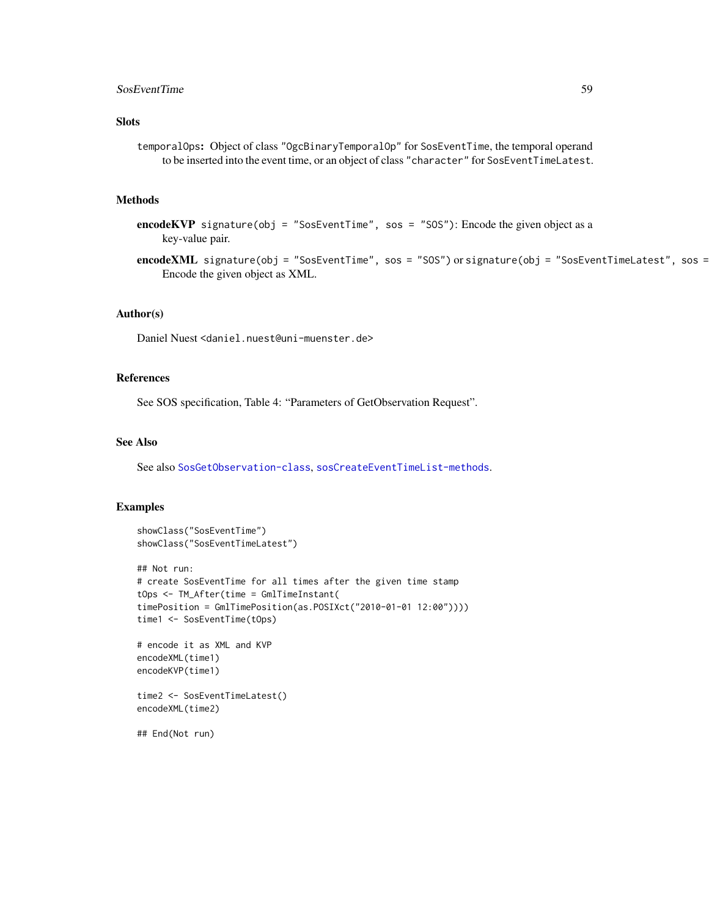# SosEventTime 59

# Slots

temporalOps: Object of class "OgcBinaryTemporalOp" for SosEventTime, the temporal operand to be inserted into the event time, or an object of class "character" for SosEventTimeLatest.

# Methods

```
encodeKVP signature(obj = "SosEventTime", sos = "SOS"): Encode the given object as a
    key-value pair.
```
encodeXML signature(obj = "SosEventTime", sos = "SOS") or signature(obj = "SosEventTimeLatest", sos = Encode the given object as XML.

# Author(s)

Daniel Nuest <daniel.nuest@uni-muenster.de>

#### References

See SOS specification, Table 4: "Parameters of GetObservation Request".

#### See Also

See also [SosGetObservation-class](#page-15-1), [sosCreateEventTimeList-methods](#page-54-0).

#### Examples

```
showClass("SosEventTime")
showClass("SosEventTimeLatest")
## Not run:
# create SosEventTime for all times after the given time stamp
tOps <- TM_After(time = GmlTimeInstant(
timePosition = GmlTimePosition(as.POSIXct("2010-01-01 12:00"))))
time1 <- SosEventTime(tOps)
# encode it as XML and KVP
encodeXML(time1)
encodeKVP(time1)
time2 <- SosEventTimeLatest()
encodeXML(time2)
## End(Not run)
```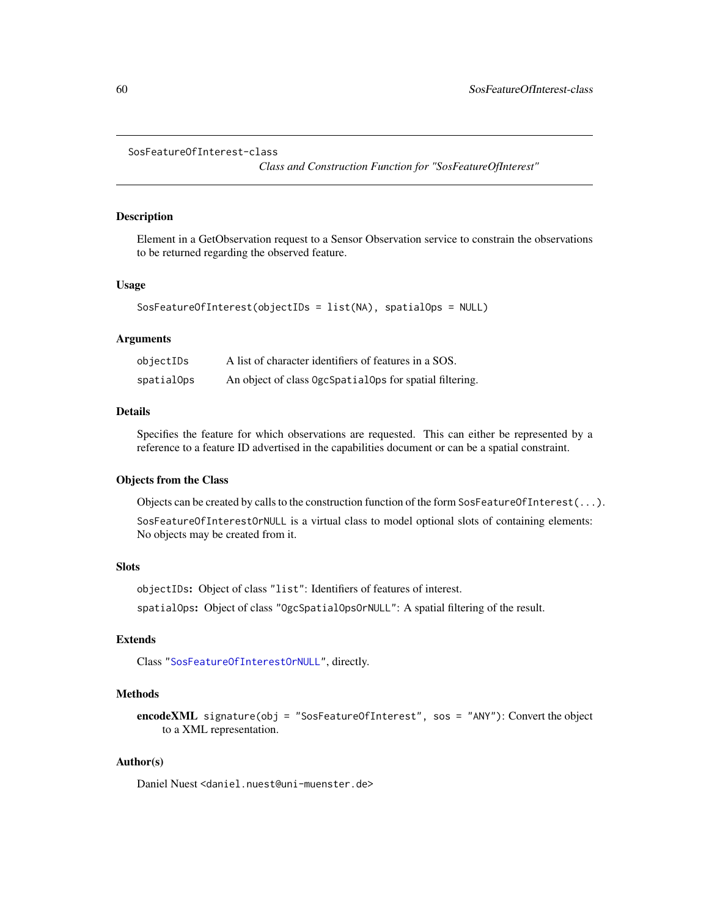```
SosFeatureOfInterest-class
```
*Class and Construction Function for "SosFeatureOfInterest"*

#### <span id="page-59-1"></span>Description

Element in a GetObservation request to a Sensor Observation service to constrain the observations to be returned regarding the observed feature.

# Usage

```
SosFeatureOfInterest(objectIDs = list(NA), spatialOps = NULL)
```
# Arguments

| objectIDs  | A list of character identifiers of features in a SOS.   |
|------------|---------------------------------------------------------|
| spatialOps | An object of class OgcSpatialOps for spatial filtering. |

## Details

Specifies the feature for which observations are requested. This can either be represented by a reference to a feature ID advertised in the capabilities document or can be a spatial constraint.

#### Objects from the Class

Objects can be created by calls to the construction function of the form SosFeatureOfInterest $(\ldots)$ .

SosFeatureOfInterestOrNULL is a virtual class to model optional slots of containing elements: No objects may be created from it.

# **Slots**

objectIDs: Object of class "list": Identifiers of features of interest.

spatialOps: Object of class "OgcSpatialOpsOrNULL": A spatial filtering of the result.

# Extends

Class ["SosFeatureOfInterestOrNULL"](#page-59-1), directly.

# Methods

encodeXML signature(obj = "SosFeatureOfInterest", sos = "ANY"): Convert the object to a XML representation.

# Author(s)

Daniel Nuest <daniel.nuest@uni-muenster.de>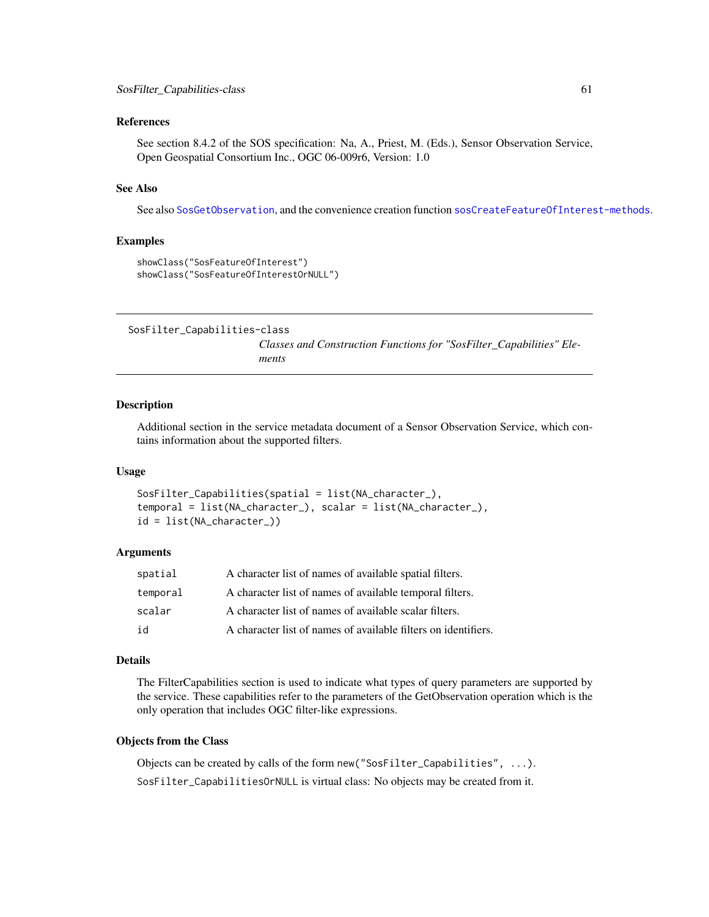#### <span id="page-60-2"></span>References

See section 8.4.2 of the SOS specification: Na, A., Priest, M. (Eds.), Sensor Observation Service, Open Geospatial Consortium Inc., OGC 06-009r6, Version: 1.0

#### See Also

See also [SosGetObservation](#page-15-1), and the convenience creation function [sosCreateFeatureOfInterest-methods](#page-54-0).

#### Examples

```
showClass("SosFeatureOfInterest")
showClass("SosFeatureOfInterestOrNULL")
```
<span id="page-60-0"></span>SosFilter\_Capabilities-class

*Classes and Construction Functions for "SosFilter\_Capabilities" Elements*

#### <span id="page-60-1"></span>Description

Additional section in the service metadata document of a Sensor Observation Service, which contains information about the supported filters.

#### Usage

```
SosFilter_Capabilities(spatial = list(NA_character_),
temporal = list(NA_character_), scalar = list(NA_character_),
id = list(NA_character_))
```
#### Arguments

| temporal | A character list of names of available temporal filters.       |
|----------|----------------------------------------------------------------|
| scalar   | A character list of names of available scalar filters.         |
| id       | A character list of names of available filters on identifiers. |

#### Details

The FilterCapabilities section is used to indicate what types of query parameters are supported by the service. These capabilities refer to the parameters of the GetObservation operation which is the only operation that includes OGC filter-like expressions.

#### Objects from the Class

Objects can be created by calls of the form new("SosFilter\_Capabilities", ...). SosFilter\_CapabilitiesOrNULL is virtual class: No objects may be created from it.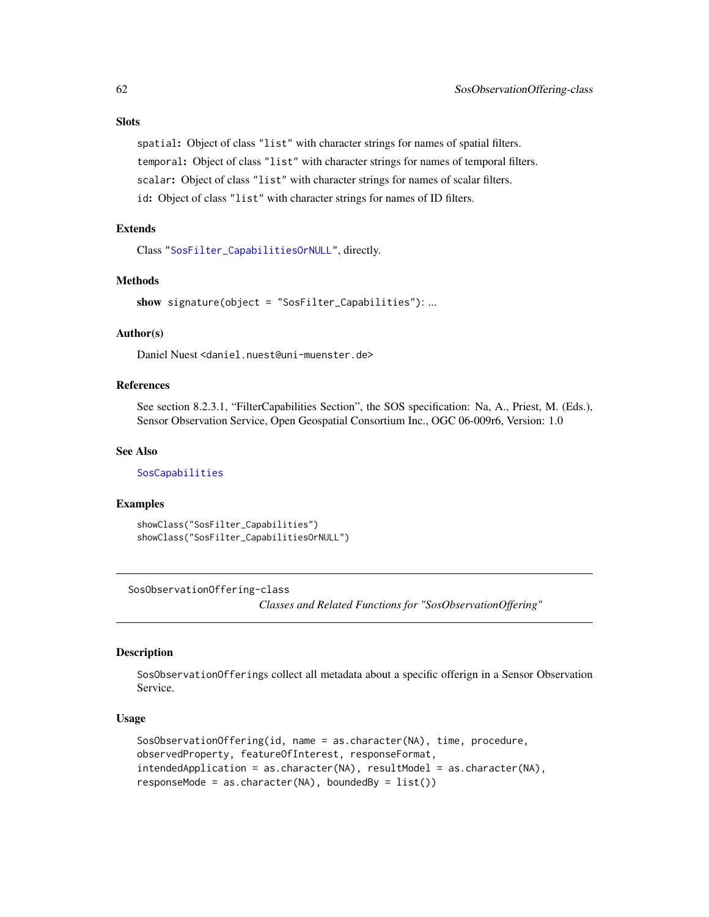# <span id="page-61-1"></span>**Slots**

spatial: Object of class "list" with character strings for names of spatial filters. temporal: Object of class "list" with character strings for names of temporal filters. scalar: Object of class "list" with character strings for names of scalar filters. id: Object of class "list" with character strings for names of ID filters.

# Extends

Class ["SosFilter\\_CapabilitiesOrNULL"](#page-60-1), directly.

# Methods

show signature(object = "SosFilter\_Capabilities"): ...

# Author(s)

Daniel Nuest <daniel.nuest@uni-muenster.de>

#### References

See section 8.2.3.1, "FilterCapabilities Section", the SOS specification: Na, A., Priest, M. (Eds.), Sensor Observation Service, Open Geospatial Consortium Inc., OGC 06-009r6, Version: 1.0

# See Also

[SosCapabilities](#page-50-0)

#### Examples

```
showClass("SosFilter_Capabilities")
showClass("SosFilter_CapabilitiesOrNULL")
```
<span id="page-61-0"></span>SosObservationOffering-class

*Classes and Related Functions for "SosObservationOffering"*

#### Description

SosObservationOfferings collect all metadata about a specific offerign in a Sensor Observation Service.

# Usage

```
SosObservationOffering(id, name = as.character(NA), time, procedure,
observedProperty, featureOfInterest, responseFormat,
intendedApplication = as.character(NA), resultModel = as.character(NA),
responseMode = as.charAt(CNA), boundedBy = list()
```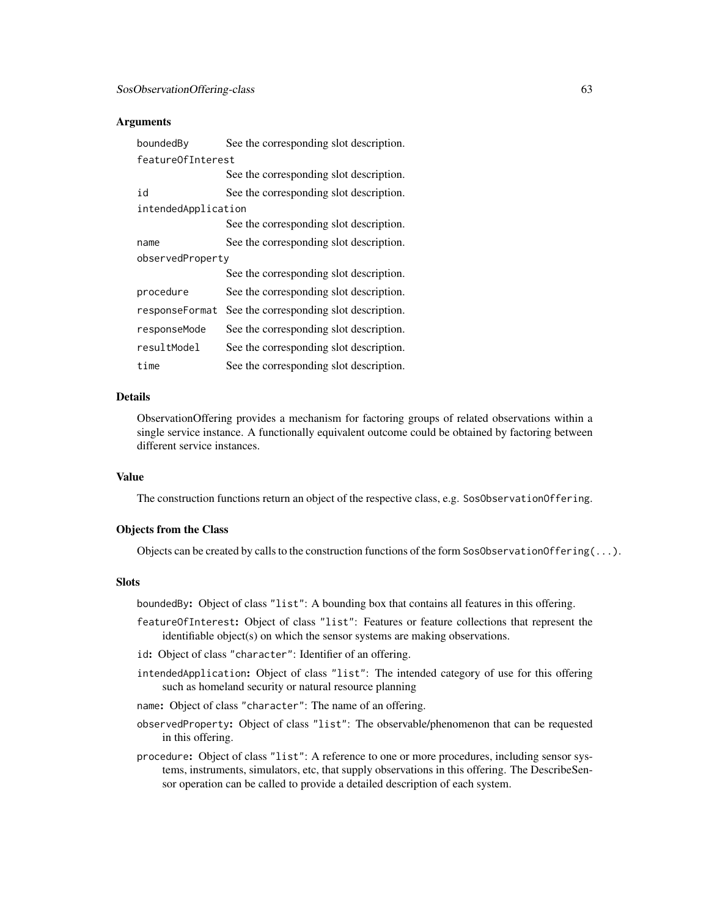### **Arguments**

| boundedBy           | See the corresponding slot description. |  |
|---------------------|-----------------------------------------|--|
| featureOfInterest   |                                         |  |
|                     | See the corresponding slot description. |  |
| id                  | See the corresponding slot description. |  |
| intendedApplication |                                         |  |
|                     | See the corresponding slot description. |  |
| name                | See the corresponding slot description. |  |
| observedProperty    |                                         |  |
|                     | See the corresponding slot description. |  |
| procedure           | See the corresponding slot description. |  |
| responseFormat      | See the corresponding slot description. |  |
| responseMode        | See the corresponding slot description. |  |
| resultModel         | See the corresponding slot description. |  |
| time                | See the corresponding slot description. |  |

#### Details

ObservationOffering provides a mechanism for factoring groups of related observations within a single service instance. A functionally equivalent outcome could be obtained by factoring between different service instances.

# Value

The construction functions return an object of the respective class, e.g. SosObservationOffering.

# Objects from the Class

Objects can be created by calls to the construction functions of the form SosObservationOffering $(\ldots)$ .

#### Slots

boundedBy: Object of class "list": A bounding box that contains all features in this offering.

- featureOfInterest: Object of class "list": Features or feature collections that represent the identifiable object(s) on which the sensor systems are making observations.
- id: Object of class "character": Identifier of an offering.
- intendedApplication: Object of class "list": The intended category of use for this offering such as homeland security or natural resource planning
- name: Object of class "character": The name of an offering.
- observedProperty: Object of class "list": The observable/phenomenon that can be requested in this offering.
- procedure: Object of class "list": A reference to one or more procedures, including sensor systems, instruments, simulators, etc, that supply observations in this offering. The DescribeSensor operation can be called to provide a detailed description of each system.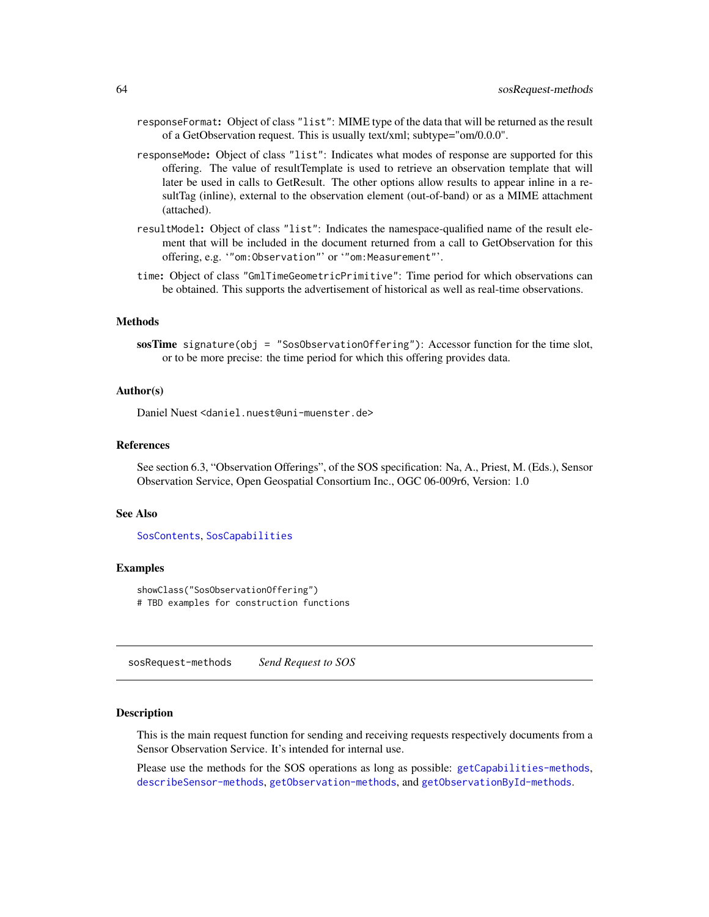- <span id="page-63-0"></span>responseFormat: Object of class "list": MIME type of the data that will be returned as the result of a GetObservation request. This is usually text/xml; subtype="om/0.0.0".
- responseMode: Object of class "list": Indicates what modes of response are supported for this offering. The value of resultTemplate is used to retrieve an observation template that will later be used in calls to GetResult. The other options allow results to appear inline in a resultTag (inline), external to the observation element (out-of-band) or as a MIME attachment (attached).
- resultModel: Object of class "list": Indicates the namespace-qualified name of the result element that will be included in the document returned from a call to GetObservation for this offering, e.g. '"om:Observation"' or '"om:Measurement"'.
- time: Object of class "GmlTimeGeometricPrimitive": Time period for which observations can be obtained. This supports the advertisement of historical as well as real-time observations.

#### **Methods**

sosTime signature(obj = "SosObservationOffering"): Accessor function for the time slot, or to be more precise: the time period for which this offering provides data.

#### Author(s)

Daniel Nuest <daniel.nuest@uni-muenster.de>

#### References

See section 6.3, "Observation Offerings", of the SOS specification: Na, A., Priest, M. (Eds.), Sensor Observation Service, Open Geospatial Consortium Inc., OGC 06-009r6, Version: 1.0

#### See Also

[SosContents](#page-52-0), [SosCapabilities](#page-50-0)

#### Examples

showClass("SosObservationOffering") # TBD examples for construction functions

sosRequest-methods *Send Request to SOS*

# Description

This is the main request function for sending and receiving requests respectively documents from a Sensor Observation Service. It's intended for internal use.

Please use the methods for the SOS operations as long as possible: [getCapabilities-methods](#page-14-0), [describeSensor-methods](#page-10-0), [getObservation-methods](#page-18-1), and [getObservationById-methods](#page-18-0).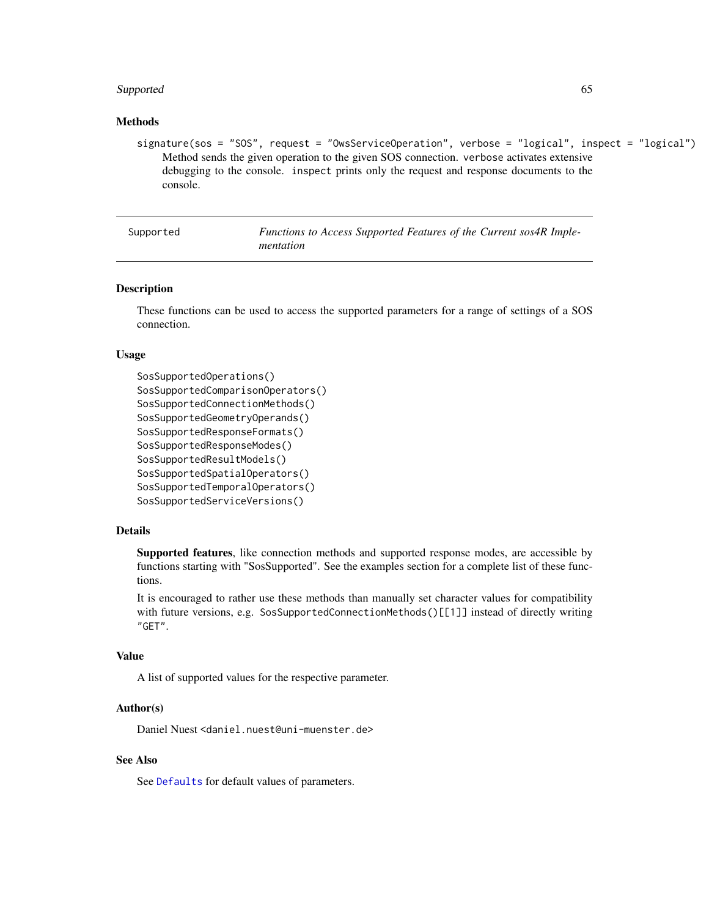#### <span id="page-64-1"></span>Supported 65

#### Methods

signature(sos = "SOS", request = "OwsServiceOperation", verbose = "logical", inspect = "logical") Method sends the given operation to the given SOS connection. verbose activates extensive debugging to the console. inspect prints only the request and response documents to the console.

Supported *Functions to Access Supported Features of the Current sos4R Implementation*

#### <span id="page-64-0"></span>**Description**

These functions can be used to access the supported parameters for a range of settings of a SOS connection.

#### Usage

```
SosSupportedOperations()
SosSupportedComparisonOperators()
SosSupportedConnectionMethods()
SosSupportedGeometryOperands()
SosSupportedResponseFormats()
SosSupportedResponseModes()
SosSupportedResultModels()
SosSupportedSpatialOperators()
SosSupportedTemporalOperators()
SosSupportedServiceVersions()
```
#### Details

Supported features, like connection methods and supported response modes, are accessible by functions starting with "SosSupported". See the examples section for a complete list of these functions.

It is encouraged to rather use these methods than manually set character values for compatibility with future versions, e.g. SosSupportedConnectionMethods()[[1]] instead of directly writing "GET".

#### Value

A list of supported values for the respective parameter.

# Author(s)

Daniel Nuest <daniel.nuest@uni-muenster.de>

# See Also

See [Defaults](#page-5-2) for default values of parameters.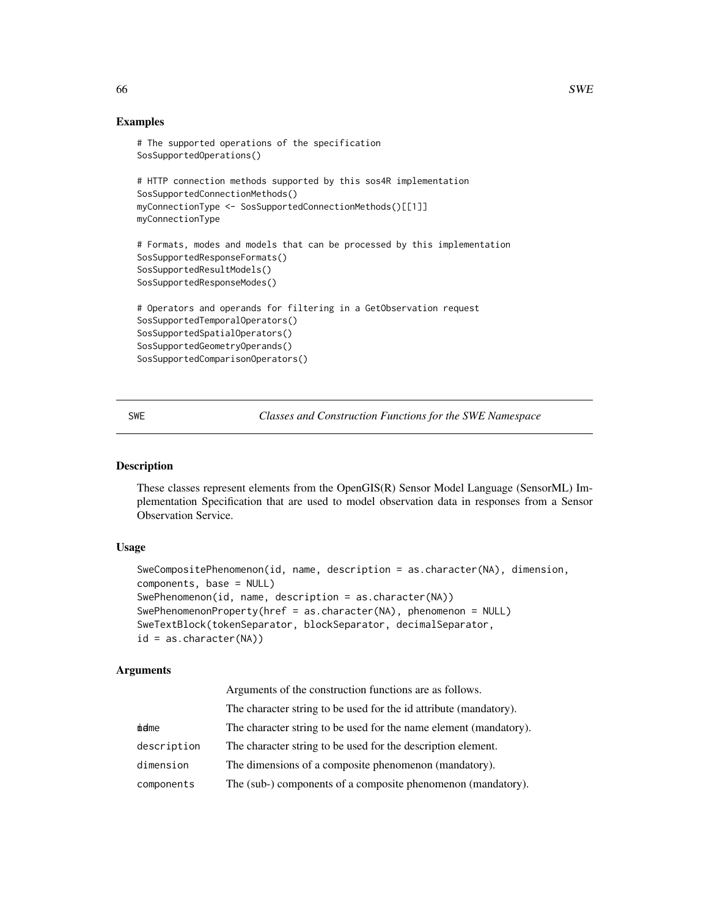# Examples

```
# The supported operations of the specification
SosSupportedOperations()
# HTTP connection methods supported by this sos4R implementation
SosSupportedConnectionMethods()
myConnectionType <- SosSupportedConnectionMethods()[[1]]
myConnectionType
# Formats, modes and models that can be processed by this implementation
SosSupportedResponseFormats()
SosSupportedResultModels()
SosSupportedResponseModes()
# Operators and operands for filtering in a GetObservation request
SosSupportedTemporalOperators()
SosSupportedSpatialOperators()
SosSupportedGeometryOperands()
SosSupportedComparisonOperators()
```
SWE *Classes and Construction Functions for the SWE Namespace*

#### <span id="page-65-0"></span>Description

These classes represent elements from the OpenGIS(R) Sensor Model Language (SensorML) Implementation Specification that are used to model observation data in responses from a Sensor Observation Service.

# Usage

```
SweCompositePhenomenon(id, name, description = as.character(NA), dimension,
components, base = NULL)
SwePhenomenon(id, name, description = as.character(NA))
SwePhenomenonProperty(href = as.character(NA), phenomenon = NULL)
SweTextBlock(tokenSeparator, blockSeparator, decimalSeparator,
id = as.character(NA))
```
# Arguments

|             | Arguments of the construction functions are as follows.           |
|-------------|-------------------------------------------------------------------|
|             | The character string to be used for the id attribute (mandatory). |
| midme       | The character string to be used for the name element (mandatory). |
| description | The character string to be used for the description element.      |
| dimension   | The dimensions of a composite phenomenon (mandatory).             |
| components  | The (sub-) components of a composite phenomenon (mandatory).      |

<span id="page-65-1"></span>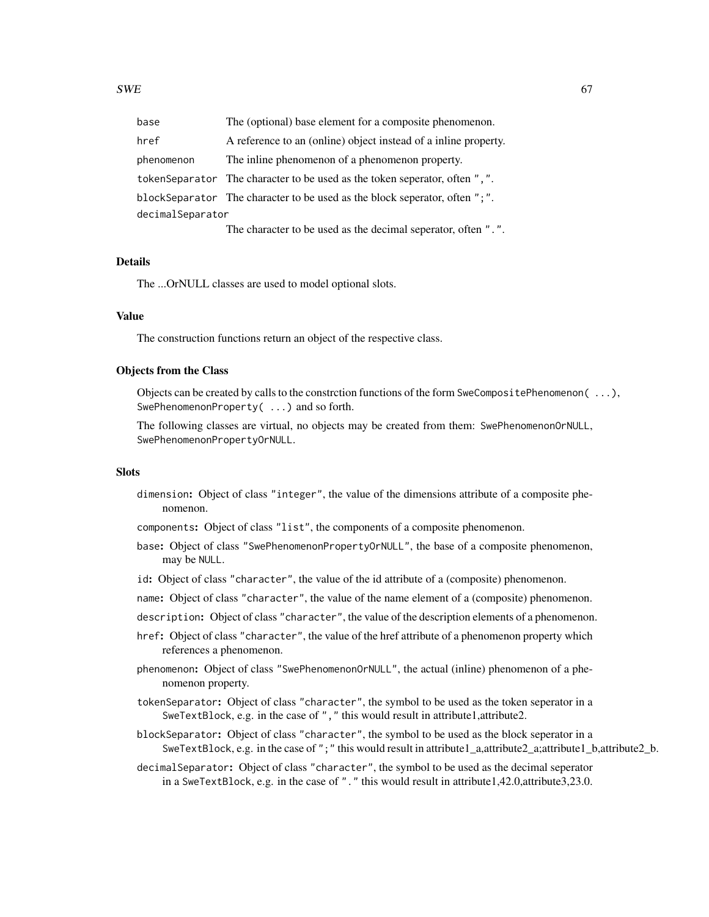| base             | The (optional) base element for a composite phenomenon.                     |  |
|------------------|-----------------------------------------------------------------------------|--|
| href             | A reference to an (online) object instead of a inline property.             |  |
| phenomenon       | The inline phenomenon of a phenomenon property.                             |  |
|                  | token Separator The character to be used as the token seperator, often ",". |  |
|                  | blockSeparator The character to be used as the block seperator, often ";".  |  |
| decimalSeparator |                                                                             |  |
|                  | The character to be used as the decimal seperator, often ".".               |  |

#### Details

The ...OrNULL classes are used to model optional slots.

#### Value

The construction functions return an object of the respective class.

#### Objects from the Class

Objects can be created by calls to the constrction functions of the form SweCompositePhenomenon( ...), SwePhenomenonProperty( ...) and so forth.

The following classes are virtual, no objects may be created from them: SwePhenomenonOrNULL, SwePhenomenonPropertyOrNULL.

# **Slots**

- dimension: Object of class "integer", the value of the dimensions attribute of a composite phenomenon.
- components: Object of class "list", the components of a composite phenomenon.
- base: Object of class "SwePhenomenonPropertyOrNULL", the base of a composite phenomenon, may be NULL.
- id: Object of class "character", the value of the id attribute of a (composite) phenomenon.
- name: Object of class "character", the value of the name element of a (composite) phenomenon.
- description: Object of class "character", the value of the description elements of a phenomenon.
- href: Object of class "character", the value of the href attribute of a phenomenon property which references a phenomenon.
- phenomenon: Object of class "SwePhenomenonOrNULL", the actual (inline) phenomenon of a phenomenon property.
- tokenSeparator: Object of class "character", the symbol to be used as the token seperator in a SweTextBlock, e.g. in the case of "," this would result in attribute1,attribute2.
- blockSeparator: Object of class "character", the symbol to be used as the block seperator in a SweTextBlock, e.g. in the case of ";" this would result in attribute1\_a,attribute2\_a;attribute1\_b,attribute2\_b.
- decimalSeparator: Object of class "character", the symbol to be used as the decimal seperator in a SweTextBlock, e.g. in the case of "." this would result in attribute1,42.0,attribute3,23.0.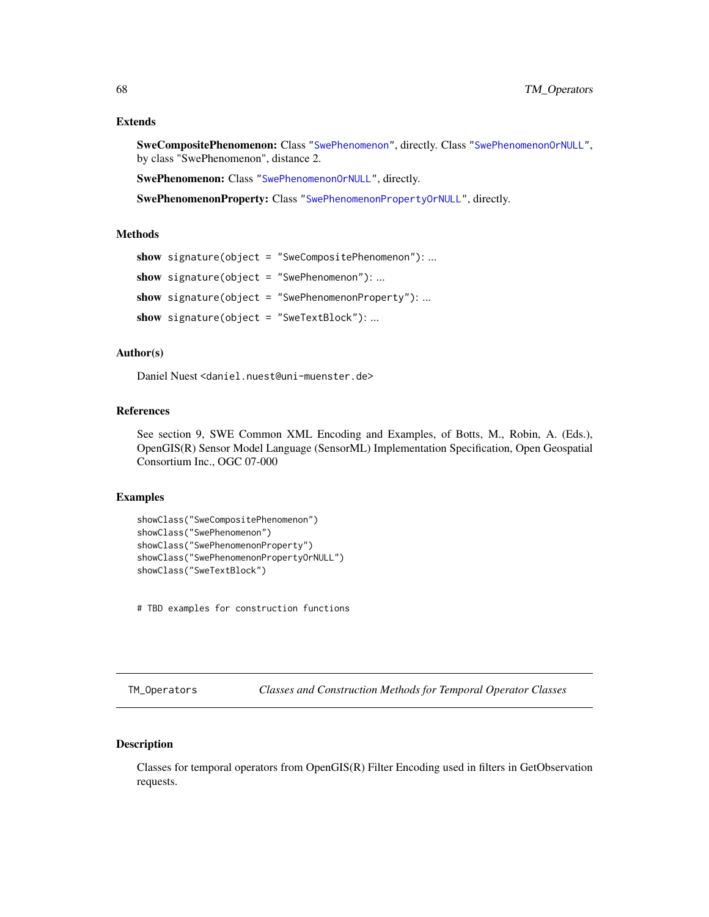#### <span id="page-67-0"></span>Extends

SweCompositePhenomenon: Class ["SwePhenomenon"](#page-65-0), directly. Class ["SwePhenomenonOrNULL"](#page-65-0), by class "SwePhenomenon", distance 2.

SwePhenomenon: Class ["SwePhenomenonOrNULL"](#page-65-0), directly.

SwePhenomenonProperty: Class ["SwePhenomenonPropertyOrNULL"](#page-65-0), directly.

#### Methods

```
show signature(object = "SweCompositePhenomenon"): ...
show signature(object = "SwePhenomenon"): ...
show signature(object = "SwePhenomenonProperty"): ...
show signature(object = "SweTextBlock"): ...
```
# Author(s)

Daniel Nuest <daniel.nuest@uni-muenster.de>

#### References

See section 9, SWE Common XML Encoding and Examples, of Botts, M., Robin, A. (Eds.), OpenGIS(R) Sensor Model Language (SensorML) Implementation Specification, Open Geospatial Consortium Inc., OGC 07-000

#### Examples

```
showClass("SweCompositePhenomenon")
showClass("SwePhenomenon")
showClass("SwePhenomenonProperty")
showClass("SwePhenomenonPropertyOrNULL")
showClass("SweTextBlock")
```
# TBD examples for construction functions

TM\_Operators *Classes and Construction Methods for Temporal Operator Classes*

# Description

Classes for temporal operators from OpenGIS(R) Filter Encoding used in filters in GetObservation requests.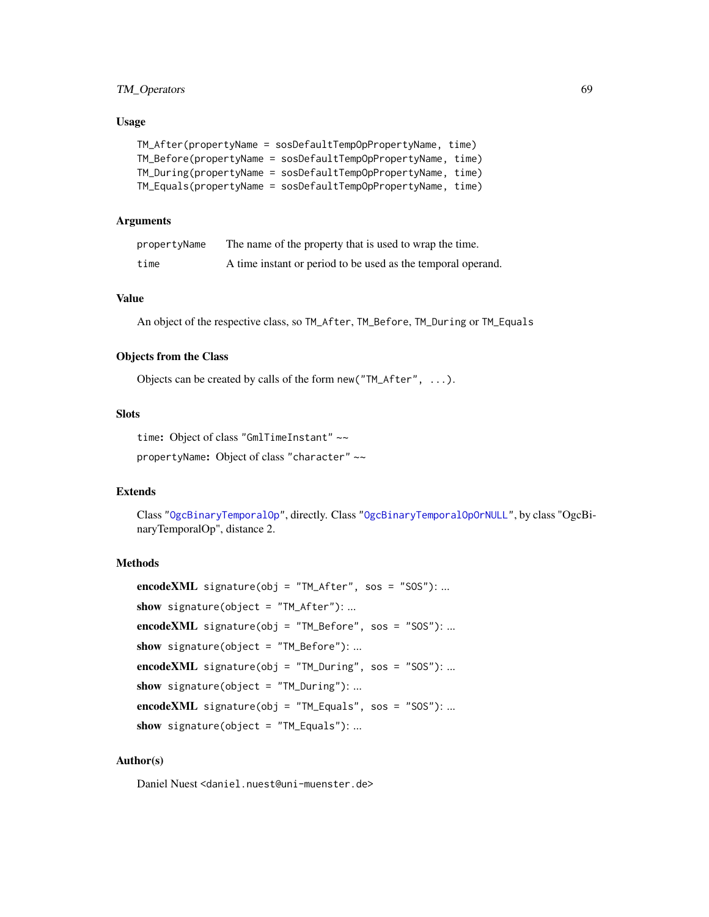# TM\_Operators 69

#### Usage

| TM_After(propertyName = sosDefaultTempOpPropertyName, time)  |  |
|--------------------------------------------------------------|--|
| TM_Before(propertyName = sosDefaultTempOpPropertyName, time) |  |
| TM_During(propertyName = sosDefaultTempOpPropertyName, time) |  |
| TM_Equals(propertyName = sosDefaultTempOpPropertyName, time) |  |

#### Arguments

| propertyName | The name of the property that is used to wrap the time.      |
|--------------|--------------------------------------------------------------|
| time         | A time instant or period to be used as the temporal operand. |

# Value

An object of the respective class, so TM\_After, TM\_Before, TM\_During or TM\_Equals

# Objects from the Class

Objects can be created by calls of the form new("TM\_After", ...).

# **Slots**

```
time: Object of class "GmlTimeInstant" ~~
```
propertyName: Object of class "character" ~~

# Extends

Class ["OgcBinaryTemporalOp"](#page-25-0), directly. Class ["OgcBinaryTemporalOpOrNULL"](#page-25-0), by class "OgcBinaryTemporalOp", distance 2.

# **Methods**

```
encodeXML signature(obj = "TM_After", sos = "SOS"): ...
show signature(object = "TM_After"): ...
encodeXML signature(obj = "TM_Before", sos = "SOS"): ...
show signature(object = "TM_Before"): ...
encodeXML signature(obj = "TM_During", sos = "SOS"): ...
show signature(object = "TM_During"): ...
encodeXML signature(obj = "TM_Equals", sos = "SOS"): ...
show signature(object = "TM_Equals"): ...
```
# Author(s)

Daniel Nuest <daniel.nuest@uni-muenster.de>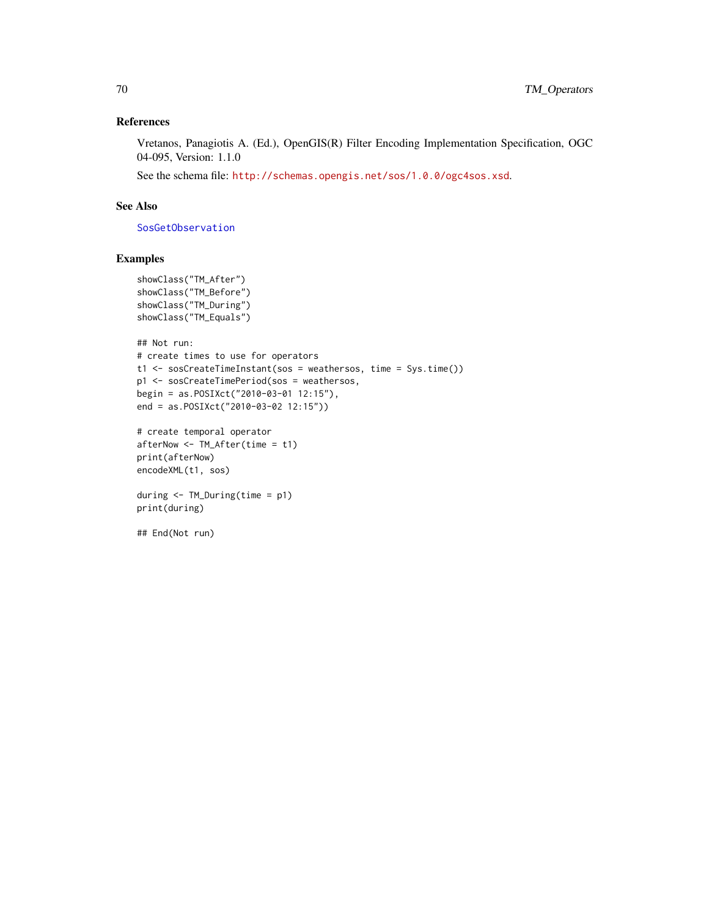# References

Vretanos, Panagiotis A. (Ed.), OpenGIS(R) Filter Encoding Implementation Specification, OGC 04-095, Version: 1.1.0

See the schema file: <http://schemas.opengis.net/sos/1.0.0/ogc4sos.xsd>.

# See Also

[SosGetObservation](#page-15-1)

# Examples

```
showClass("TM_After")
showClass("TM_Before")
showClass("TM_During")
showClass("TM_Equals")
```

```
## Not run:
# create times to use for operators
t1 <- sosCreateTimeInstant(sos = weathersos, time = Sys.time())
p1 <- sosCreateTimePeriod(sos = weathersos,
begin = as.POSIXct("2010-03-01 12:15"),
end = as.POSIXct("2010-03-02 12:15"))
```

```
# create temporal operator
afterNow <- TM_After(time = t1)
print(afterNow)
encodeXML(t1, sos)
```

```
during <- TM_During(time = p1)
print(during)
```
## End(Not run)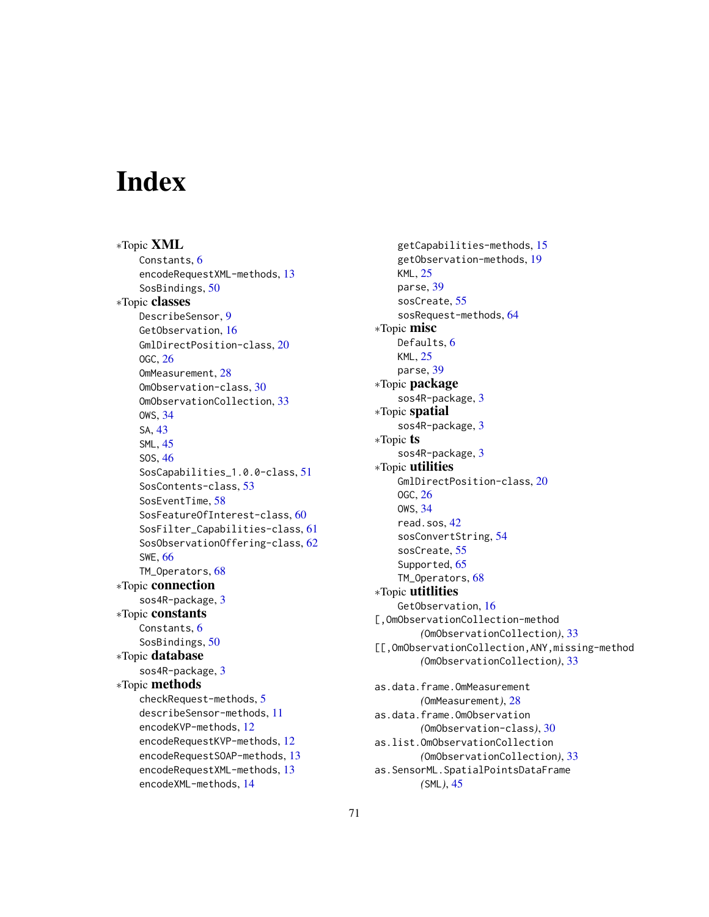# **Index**

∗Topic XML Constants, [6](#page-5-3) encodeRequestXML-methods, [13](#page-12-0) SosBindings, [50](#page-49-1) ∗Topic classes DescribeSensor, [9](#page-8-0) GetObservation, [16](#page-15-2) GmlDirectPosition-class, [20](#page-19-1) OGC, [26](#page-25-1) OmMeasurement, [28](#page-27-0) OmObservation-class, [30](#page-29-0) OmObservationCollection, [33](#page-32-0) OWS, [34](#page-33-1) SA, [43](#page-42-0) SML, [45](#page-44-0) SOS, [46](#page-45-2) SosCapabilities\_1.0.0-class, [51](#page-50-1) SosContents-class, [53](#page-52-2) SosEventTime, [58](#page-57-1) SosFeatureOfInterest-class, [60](#page-59-2) SosFilter\_Capabilities-class, [61](#page-60-2) SosObservationOffering-class, [62](#page-61-1) SWE, [66](#page-65-1) TM\_Operators, [68](#page-67-0) ∗Topic connection sos4R-package, [3](#page-2-0) ∗Topic constants Constants, [6](#page-5-3) SosBindings, [50](#page-49-1) ∗Topic database sos4R-package, [3](#page-2-0) ∗Topic methods checkRequest-methods, [5](#page-4-0) describeSensor-methods, [11](#page-10-1) encodeKVP-methods, [12](#page-11-0) encodeRequestKVP-methods, [12](#page-11-0) encodeRequestSOAP-methods, [13](#page-12-0) encodeRequestXML-methods, [13](#page-12-0) encodeXML-methods, [14](#page-13-0)

getCapabilities-methods, [15](#page-14-1) getObservation-methods, [19](#page-18-2) KML, [25](#page-24-0) parse, [39](#page-38-0) sosCreate, [55](#page-54-1) sosRequest-methods, [64](#page-63-0) ∗Topic misc Defaults, [6](#page-5-3) KML, [25](#page-24-0) parse, [39](#page-38-0) ∗Topic package sos4R-package, [3](#page-2-0) ∗Topic spatial sos4R-package, [3](#page-2-0) ∗Topic ts sos4R-package, [3](#page-2-0) ∗Topic utilities GmlDirectPosition-class, [20](#page-19-1) OGC, [26](#page-25-1) OWS, [34](#page-33-1) read.sos, [42](#page-41-0) sosConvertString, [54](#page-53-0) sosCreate, [55](#page-54-1) Supported, [65](#page-64-1) TM\_Operators, [68](#page-67-0) ∗Topic utitlities GetObservation, [16](#page-15-2) [,OmObservationCollection-method *(*OmObservationCollection*)*, [33](#page-32-0) [[,OmObservationCollection,ANY,missing-method *(*OmObservationCollection*)*, [33](#page-32-0) as.data.frame.OmMeasurement *(*OmMeasurement*)*, [28](#page-27-0) as.data.frame.OmObservation *(*OmObservation-class*)*, [30](#page-29-0) as.list.OmObservationCollection *(*OmObservationCollection*)*, [33](#page-32-0) as.SensorML.SpatialPointsDataFrame *(*SML*)*, [45](#page-44-0)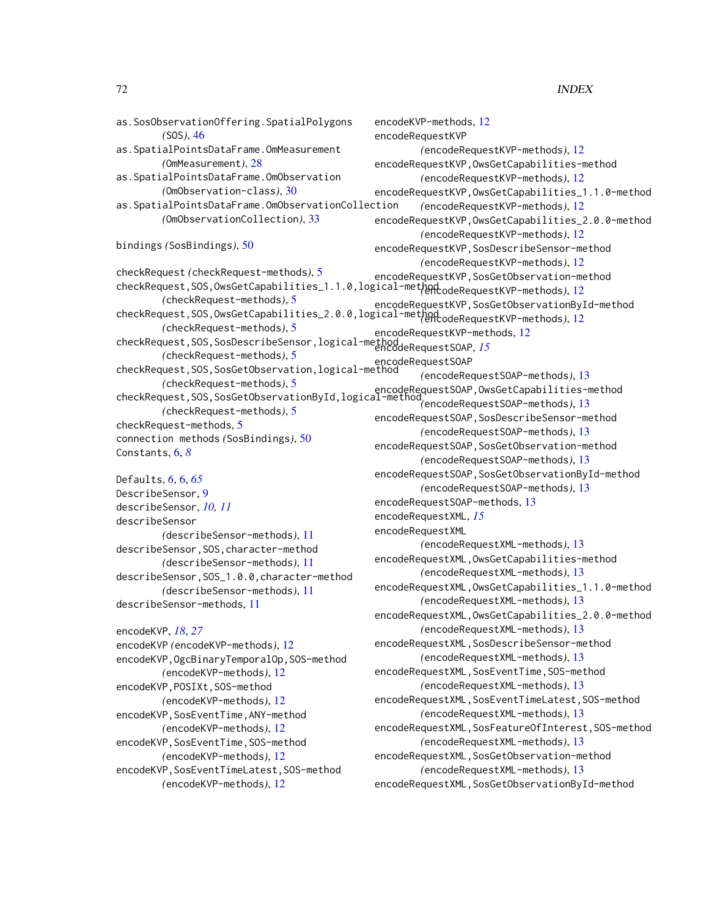# The state of the state of the state of the state of the state of the state of the state of the state of the state of the state of the state of the state of the state of the state of the state of the state of the state of t

as.SosObservationOffering.SpatialPolygons *(*SOS*)*, [46](#page-45-2) as.SpatialPointsDataFrame.OmMeasurement *(*OmMeasurement*)*, [28](#page-27-0) as.SpatialPointsDataFrame.OmObservation *(*OmObservation-class*)*, [30](#page-29-0) as.SpatialPointsDataFrame.OmObservationCollection *(*OmObservationCollection*)*, [33](#page-32-0) bindings *(*SosBindings*)*, [50](#page-49-1) checkRequest *(*checkRequest-methods*)*, [5](#page-4-0) checkRequest,SOS,OwsGetCapabilities\_1.1.0,logical-method *(*encodeRequestKVP-methods*)*, [12](#page-11-0) *(*checkRequest-methods*)*, [5](#page-4-0) checkRequest,SOS,OwsGetCapabilities\_2.0.0,logical-method *(*encodeRequestKVP-methods*)*, [12](#page-11-0) *(*checkRequest-methods*)*, [5](#page-4-0) checkRequest,SOS,SosDescribeSensor,logical-method encodeRequestSOAP, *[15](#page-14-1) (*checkRequest-methods*)*, [5](#page-4-0) checkRequest,SOS,SosGetObservation,logical-method encodeRequestSOAP *(*checkRequest-methods*)*, [5](#page-4-0) checkRequest methods), S<br>checkRequest,SOS,SosGetObservationById,logical-method<sub>(appagde</sub>DequestSOAP-methods) 13 *(*checkRequest-methods*)*, [5](#page-4-0) checkRequest-methods, [5](#page-4-0) connection methods *(*SosBindings*)*, [50](#page-49-1) Constants, [6,](#page-5-3) *[8](#page-7-0)* Defaults, *[6](#page-5-3)*, [6,](#page-5-3) *[65](#page-64-1)* DescribeSensor, [9](#page-8-0) describeSensor, *[10,](#page-9-0) [11](#page-10-1)* describeSensor *(*describeSensor-methods*)*, [11](#page-10-1) describeSensor,SOS,character-method *(*describeSensor-methods*)*, [11](#page-10-1) describeSensor,SOS\_1.0.0,character-method *(*describeSensor-methods*)*, [11](#page-10-1) describeSensor-methods, [11](#page-10-1) encodeKVP, *[18](#page-17-0)*, *[27](#page-26-0)* encodeKVP *(*encodeKVP-methods*)*, [12](#page-11-0) encodeKVP,OgcBinaryTemporalOp,SOS-method *(*encodeKVP-methods*)*, [12](#page-11-0) encodeKVP, POSIXt, SOS-method *(*encodeKVP-methods*)*, [12](#page-11-0) encodeKVP, SosEventTime, ANY-method *(*encodeKVP-methods*)*, [12](#page-11-0) encodeKVP, SosEventTime, SOS-method *(*encodeKVP-methods*)*, [12](#page-11-0) encodeKVP,SosEventTimeLatest,SOS-method *(*encodeKVP-methods*)*, [12](#page-11-0) encodeKVP-methods, [12](#page-11-0) encodeRequestKVP *(*encodeRequestKVP-methods*)*, [12](#page-11-0) encodeRequestKVP,OwsGetCapabilities-method *(*encodeRequestKVP-methods*)*, [12](#page-11-0) encodeRequestKVP,OwsGetCapabilities\_1.1.0-method *(*encodeRequestKVP-methods*)*, [12](#page-11-0) encodeRequestKVP,OwsGetCapabilities\_2.0.0-method *(*encodeRequestKVP-methods*)*, [12](#page-11-0) encodeRequestKVP,SosDescribeSensor-method *(*encodeRequestKVP-methods*)*, [12](#page-11-0) encodeRequestKVP,SosGetObservation-method encodeRequestKVP,SosGetObservationById-method encodeRequestKVP-methods, [12](#page-11-0) *(*encodeRequestSOAP-methods*)*, [13](#page-12-0) *(*encodeRequestSOAP-methods*)*, [13](#page-12-0) encodeRequestSOAP, SosDescribeSensor-method *(*encodeRequestSOAP-methods*)*, [13](#page-12-0) encodeRequestSOAP, SosGetObservation-method *(*encodeRequestSOAP-methods*)*, [13](#page-12-0) encodeRequestSOAP,SosGetObservationById-method *(*encodeRequestSOAP-methods*)*, [13](#page-12-0) encodeRequestSOAP-methods, [13](#page-12-0) encodeRequestXML, *[15](#page-14-1)* encodeRequestXML *(*encodeRequestXML-methods*)*, [13](#page-12-0) encodeRequestXML,OwsGetCapabilities-method *(*encodeRequestXML-methods*)*, [13](#page-12-0) encodeRequestXML,OwsGetCapabilities\_1.1.0-method *(*encodeRequestXML-methods*)*, [13](#page-12-0) encodeRequestXML,OwsGetCapabilities\_2.0.0-method *(*encodeRequestXML-methods*)*, [13](#page-12-0) encodeRequestXML, SosDescribeSensor-method *(*encodeRequestXML-methods*)*, [13](#page-12-0) encodeRequestXML, SosEventTime, SOS-method *(*encodeRequestXML-methods*)*, [13](#page-12-0) encodeRequestXML,SosEventTimeLatest,SOS-method *(*encodeRequestXML-methods*)*, [13](#page-12-0) encodeRequestXML,SosFeatureOfInterest,SOS-method *(*encodeRequestXML-methods*)*, [13](#page-12-0) encodeRequestXML,SosGetObservation-method *(*encodeRequestXML-methods*)*, [13](#page-12-0) encodeRequestXML,SosGetObservationById-method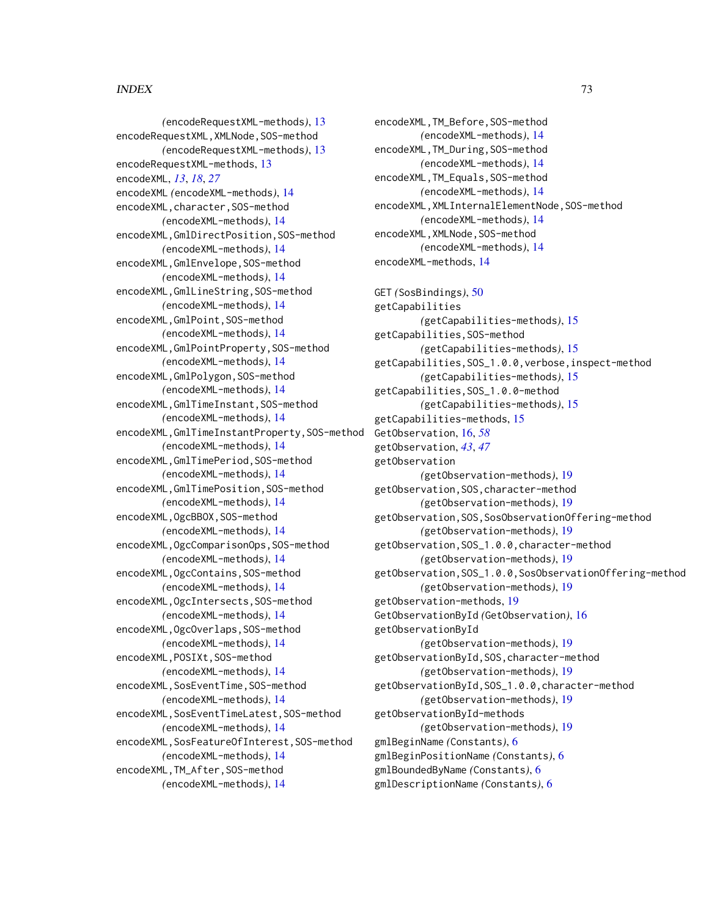#### $I<sub>N</sub>$   $I<sub>3</sub>$   $I<sub>3</sub>$   $I<sub>4</sub>$   $I<sub>5</sub>$   $I<sub>6</sub>$   $I<sub>7</sub>$   $I<sub>8</sub>$   $I<sub>9</sub>$   $I<sub>9</sub>$   $I<sub>9</sub>$   $I<sub>9</sub>$   $I<sub>9</sub>$   $I<sub>9</sub>$   $I<sub>9</sub>$   $I<sub>9</sub>$   $I<sub>9</sub>$   $I<sub>9</sub>$   $I<sub>9</sub>$   $I<sub>9</sub>$   $I$

*(*encodeRequestXML-methods*)*, [13](#page-12-0) encodeRequestXML,XMLNode,SOS-method *(*encodeRequestXML-methods*)*, [13](#page-12-0) encodeRequestXML-methods, [13](#page-12-0) encodeXML, *[13](#page-12-0)*, *[18](#page-17-0)*, *[27](#page-26-0)* encodeXML *(*encodeXML-methods*)*, [14](#page-13-0) encodeXML,character,SOS-method *(*encodeXML-methods*)*, [14](#page-13-0) encodeXML,GmlDirectPosition,SOS-method *(*encodeXML-methods*)*, [14](#page-13-0) encodeXML,GmlEnvelope,SOS-method *(*encodeXML-methods*)*, [14](#page-13-0) encodeXML,GmlLineString,SOS-method *(*encodeXML-methods*)*, [14](#page-13-0) encodeXML,GmlPoint,SOS-method *(*encodeXML-methods*)*, [14](#page-13-0) encodeXML,GmlPointProperty,SOS-method *(*encodeXML-methods*)*, [14](#page-13-0) encodeXML,GmlPolygon,SOS-method *(*encodeXML-methods*)*, [14](#page-13-0) encodeXML,GmlTimeInstant,SOS-method *(*encodeXML-methods*)*, [14](#page-13-0) encodeXML,GmlTimeInstantProperty,SOS-method *(*encodeXML-methods*)*, [14](#page-13-0) encodeXML,GmlTimePeriod,SOS-method *(*encodeXML-methods*)*, [14](#page-13-0) encodeXML,GmlTimePosition,SOS-method *(*encodeXML-methods*)*, [14](#page-13-0) encodeXML,OgcBBOX,SOS-method *(*encodeXML-methods*)*, [14](#page-13-0) encodeXML,OgcComparisonOps,SOS-method *(*encodeXML-methods*)*, [14](#page-13-0) encodeXML,OgcContains,SOS-method *(*encodeXML-methods*)*, [14](#page-13-0) encodeXML, OgcIntersects, SOS-method *(*encodeXML-methods*)*, [14](#page-13-0) encodeXML,OgcOverlaps,SOS-method *(*encodeXML-methods*)*, [14](#page-13-0) encodeXML,POSIXt,SOS-method *(*encodeXML-methods*)*, [14](#page-13-0) encodeXML, SosEventTime, SOS-method *(*encodeXML-methods*)*, [14](#page-13-0) encodeXML,SosEventTimeLatest,SOS-method *(*encodeXML-methods*)*, [14](#page-13-0) encodeXML, SosFeatureOfInterest, SOS-method *(*encodeXML-methods*)*, [14](#page-13-0) encodeXML,TM\_After,SOS-method *(*encodeXML-methods*)*, [14](#page-13-0)

encodeXML,TM\_Before,SOS-method *(*encodeXML-methods*)*, [14](#page-13-0) encodeXML,TM\_During,SOS-method *(*encodeXML-methods*)*, [14](#page-13-0) encodeXML,TM\_Equals,SOS-method *(*encodeXML-methods*)*, [14](#page-13-0) encodeXML,XMLInternalElementNode,SOS-method *(*encodeXML-methods*)*, [14](#page-13-0) encodeXML,XMLNode,SOS-method *(*encodeXML-methods*)*, [14](#page-13-0) encodeXML-methods, [14](#page-13-0) GET *(*SosBindings*)*, [50](#page-49-0) getCapabilities *(*getCapabilities-methods*)*, [15](#page-14-0) getCapabilities,SOS-method *(*getCapabilities-methods*)*, [15](#page-14-0) getCapabilities,SOS\_1.0.0,verbose,inspect-method

*(*getCapabilities-methods*)*, [15](#page-14-0)

*(*getCapabilities-methods*)*, [15](#page-14-0)

*(*getObservation-methods*)*, [19](#page-18-0)

*(*getObservation-methods*)*, [19](#page-18-0) getObservation,SOS,SosObservationOffering-method *(*getObservation-methods*)*, [19](#page-18-0) getObservation,SOS\_1.0.0,character-method *(*getObservation-methods*)*, [19](#page-18-0)

*(*getObservation-methods*)*, [19](#page-18-0)

*(*getObservation-methods*)*, [19](#page-18-0) getObservationById,SOS,character-method *(*getObservation-methods*)*, [19](#page-18-0) getObservationById,SOS\_1.0.0,character-method *(*getObservation-methods*)*, [19](#page-18-0)

*(*getObservation-methods*)*, [19](#page-18-0)

GetObservationById *(*GetObservation*)*, [16](#page-15-0)

getObservation,SOS\_1.0.0,SosObservationOffering-method

getObservation,SOS,character-method

getCapabilities,SOS\_1.0.0-method

getCapabilities-methods, [15](#page-14-0) GetObservation, [16,](#page-15-0) *[58](#page-57-0)* getObservation, *[43](#page-42-0)*, *[47](#page-46-0)* getObservation

getObservation-methods, [19](#page-18-0)

getObservationById-methods

gmlBeginName *(*Constants*)*, [6](#page-5-0)

gmlBeginPositionName *(*Constants*)*, [6](#page-5-0) gmlBoundedByName *(*Constants*)*, [6](#page-5-0) gmlDescriptionName *(*Constants*)*, [6](#page-5-0)

getObservationById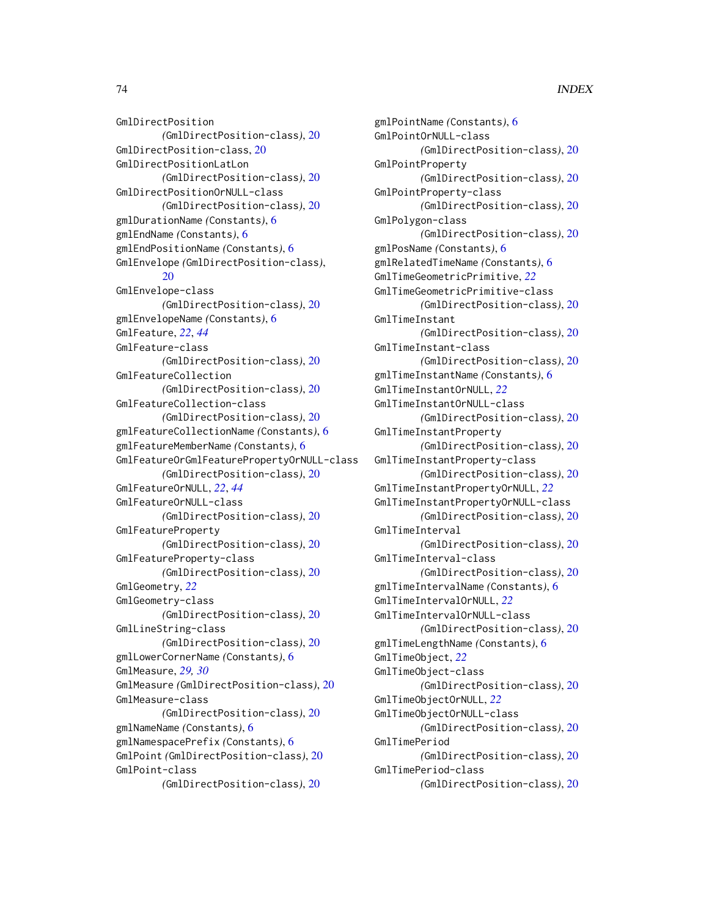GmlDirectPosition *(*GmlDirectPosition-class*)*, [20](#page-19-0) GmlDirectPosition-class, [20](#page-19-0) GmlDirectPositionLatLon *(*GmlDirectPosition-class*)*, [20](#page-19-0) GmlDirectPositionOrNULL-class *(*GmlDirectPosition-class*)*, [20](#page-19-0) gmlDurationName *(*Constants*)*, [6](#page-5-0) gmlEndName *(*Constants*)*, [6](#page-5-0) gmlEndPositionName *(*Constants*)*, [6](#page-5-0) GmlEnvelope *(*GmlDirectPosition-class*)*, [20](#page-19-0) GmlEnvelope-class *(*GmlDirectPosition-class*)*, [20](#page-19-0) gmlEnvelopeName *(*Constants*)*, [6](#page-5-0) GmlFeature, *[22](#page-21-0)*, *[44](#page-43-0)* GmlFeature-class *(*GmlDirectPosition-class*)*, [20](#page-19-0) GmlFeatureCollection *(*GmlDirectPosition-class*)*, [20](#page-19-0) GmlFeatureCollection-class *(*GmlDirectPosition-class*)*, [20](#page-19-0) gmlFeatureCollectionName *(*Constants*)*, [6](#page-5-0) gmlFeatureMemberName *(*Constants*)*, [6](#page-5-0) GmlFeatureOrGmlFeaturePropertyOrNULL-class *(*GmlDirectPosition-class*)*, [20](#page-19-0) GmlFeatureOrNULL, *[22](#page-21-0)*, *[44](#page-43-0)* GmlFeatureOrNULL-class *(*GmlDirectPosition-class*)*, [20](#page-19-0) GmlFeatureProperty *(*GmlDirectPosition-class*)*, [20](#page-19-0) GmlFeatureProperty-class *(*GmlDirectPosition-class*)*, [20](#page-19-0) GmlGeometry, *[22](#page-21-0)* GmlGeometry-class *(*GmlDirectPosition-class*)*, [20](#page-19-0) GmlLineString-class *(*GmlDirectPosition-class*)*, [20](#page-19-0) gmlLowerCornerName *(*Constants*)*, [6](#page-5-0) GmlMeasure, *[29,](#page-28-0) [30](#page-29-0)* GmlMeasure *(*GmlDirectPosition-class*)*, [20](#page-19-0) GmlMeasure-class *(*GmlDirectPosition-class*)*, [20](#page-19-0) gmlNameName *(*Constants*)*, [6](#page-5-0) gmlNamespacePrefix *(*Constants*)*, [6](#page-5-0) GmlPoint *(*GmlDirectPosition-class*)*, [20](#page-19-0) GmlPoint-class *(*GmlDirectPosition-class*)*, [20](#page-19-0)

gmlPointName *(*Constants*)*, [6](#page-5-0) GmlPointOrNULL-class *(*GmlDirectPosition-class*)*, [20](#page-19-0) GmlPointProperty *(*GmlDirectPosition-class*)*, [20](#page-19-0) GmlPointProperty-class *(*GmlDirectPosition-class*)*, [20](#page-19-0) GmlPolygon-class *(*GmlDirectPosition-class*)*, [20](#page-19-0) gmlPosName *(*Constants*)*, [6](#page-5-0) gmlRelatedTimeName *(*Constants*)*, [6](#page-5-0) GmlTimeGeometricPrimitive, *[22](#page-21-0)* GmlTimeGeometricPrimitive-class *(*GmlDirectPosition-class*)*, [20](#page-19-0) GmlTimeInstant *(*GmlDirectPosition-class*)*, [20](#page-19-0) GmlTimeInstant-class *(*GmlDirectPosition-class*)*, [20](#page-19-0) gmlTimeInstantName *(*Constants*)*, [6](#page-5-0) GmlTimeInstantOrNULL, *[22](#page-21-0)* GmlTimeInstantOrNULL-class *(*GmlDirectPosition-class*)*, [20](#page-19-0) GmlTimeInstantProperty *(*GmlDirectPosition-class*)*, [20](#page-19-0) GmlTimeInstantProperty-class *(*GmlDirectPosition-class*)*, [20](#page-19-0) GmlTimeInstantPropertyOrNULL, *[22](#page-21-0)* GmlTimeInstantPropertyOrNULL-class *(*GmlDirectPosition-class*)*, [20](#page-19-0) GmlTimeInterval *(*GmlDirectPosition-class*)*, [20](#page-19-0) GmlTimeInterval-class *(*GmlDirectPosition-class*)*, [20](#page-19-0) gmlTimeIntervalName *(*Constants*)*, [6](#page-5-0) GmlTimeIntervalOrNULL, *[22](#page-21-0)* GmlTimeIntervalOrNULL-class *(*GmlDirectPosition-class*)*, [20](#page-19-0) gmlTimeLengthName *(*Constants*)*, [6](#page-5-0) GmlTimeObject, *[22](#page-21-0)* GmlTimeObject-class *(*GmlDirectPosition-class*)*, [20](#page-19-0) GmlTimeObjectOrNULL, *[22](#page-21-0)* GmlTimeObjectOrNULL-class *(*GmlDirectPosition-class*)*, [20](#page-19-0) GmlTimePeriod *(*GmlDirectPosition-class*)*, [20](#page-19-0) GmlTimePeriod-class *(*GmlDirectPosition-class*)*, [20](#page-19-0)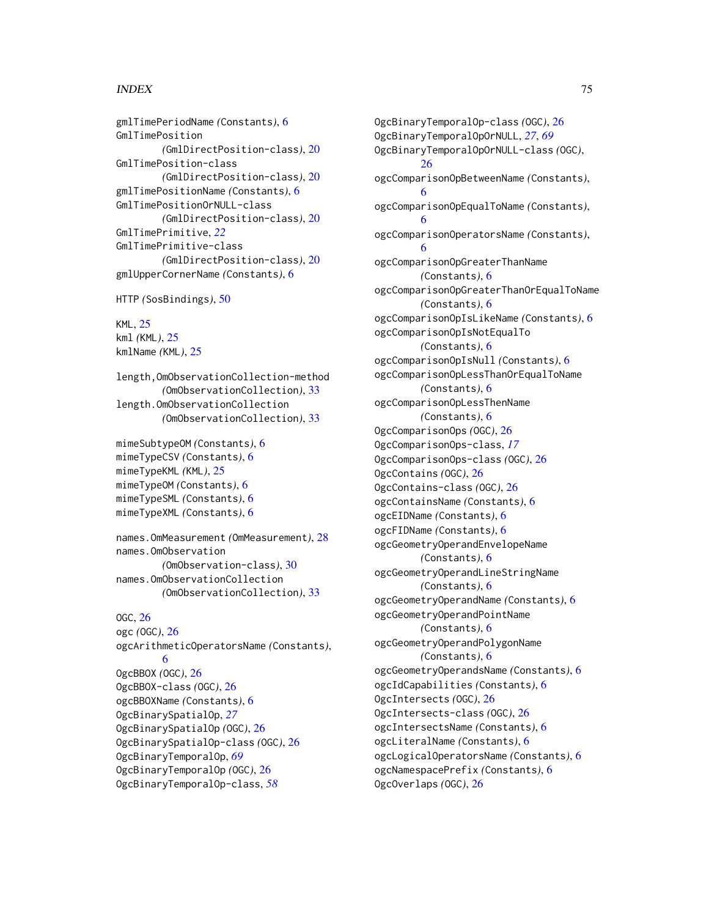gmlTimePeriodName *(*Constants*)*, [6](#page-5-0) GmlTimePosition *(*GmlDirectPosition-class*)*, [20](#page-19-0) GmlTimePosition-class *(*GmlDirectPosition-class*)*, [20](#page-19-0) gmlTimePositionName *(*Constants*)*, [6](#page-5-0) GmlTimePositionOrNULL-class *(*GmlDirectPosition-class*)*, [20](#page-19-0) GmlTimePrimitive, *[22](#page-21-0)* GmlTimePrimitive-class *(*GmlDirectPosition-class*)*, [20](#page-19-0) gmlUpperCornerName *(*Constants*)*, [6](#page-5-0)

```
HTTP (SosBindings), 50
```
KML, [25](#page-24-0) kml *(*KML*)*, [25](#page-24-0) kmlName *(*KML*)*, [25](#page-24-0)

length,OmObservationCollection-method *(*OmObservationCollection*)*, [33](#page-32-0) length.OmObservationCollection *(*OmObservationCollection*)*, [33](#page-32-0)

mimeSubtypeOM *(*Constants*)*, [6](#page-5-0) mimeTypeCSV *(*Constants*)*, [6](#page-5-0) mimeTypeKML *(*KML*)*, [25](#page-24-0) mimeTypeOM *(*Constants*)*, [6](#page-5-0) mimeTypeSML *(*Constants*)*, [6](#page-5-0) mimeTypeXML *(*Constants*)*, [6](#page-5-0)

```
names.OmMeasurement (OmMeasurement), 28
names.OmObservation
        (OmObservation-class), 30
names.OmObservationCollection
        (OmObservationCollection), 33
```
# OGC, [26](#page-25-0)

ogc *(*OGC*)*, [26](#page-25-0) ogcArithmeticOperatorsName *(*Constants*)*, [6](#page-5-0) OgcBBOX *(*OGC*)*, [26](#page-25-0) OgcBBOX-class *(*OGC*)*, [26](#page-25-0) ogcBBOXName *(*Constants*)*, [6](#page-5-0) OgcBinarySpatialOp, *[27](#page-26-0)* OgcBinarySpatialOp *(*OGC*)*, [26](#page-25-0) OgcBinarySpatialOp-class *(*OGC*)*, [26](#page-25-0) OgcBinaryTemporalOp, *[69](#page-68-0)* OgcBinaryTemporalOp *(*OGC*)*, [26](#page-25-0) OgcBinaryTemporalOp-class, *[58](#page-57-0)*

OgcBinaryTemporalOp-class *(*OGC*)*, [26](#page-25-0) OgcBinaryTemporalOpOrNULL, *[27](#page-26-0)*, *[69](#page-68-0)* OgcBinaryTemporalOpOrNULL-class *(*OGC*)*, [26](#page-25-0) ogcComparisonOpBetweenName *(*Constants*)*, [6](#page-5-0) ogcComparisonOpEqualToName *(*Constants*)*, [6](#page-5-0) ogcComparisonOperatorsName *(*Constants*)*, [6](#page-5-0) ogcComparisonOpGreaterThanName *(*Constants*)*, [6](#page-5-0) ogcComparisonOpGreaterThanOrEqualToName *(*Constants*)*, [6](#page-5-0) ogcComparisonOpIsLikeName *(*Constants*)*, [6](#page-5-0) ogcComparisonOpIsNotEqualTo *(*Constants*)*, [6](#page-5-0) ogcComparisonOpIsNull *(*Constants*)*, [6](#page-5-0) ogcComparisonOpLessThanOrEqualToName *(*Constants*)*, [6](#page-5-0) ogcComparisonOpLessThenName *(*Constants*)*, [6](#page-5-0) OgcComparisonOps *(*OGC*)*, [26](#page-25-0) OgcComparisonOps-class, *[17](#page-16-0)* OgcComparisonOps-class *(*OGC*)*, [26](#page-25-0) OgcContains *(*OGC*)*, [26](#page-25-0) OgcContains-class *(*OGC*)*, [26](#page-25-0) ogcContainsName *(*Constants*)*, [6](#page-5-0) ogcEIDName *(*Constants*)*, [6](#page-5-0) ogcFIDName *(*Constants*)*, [6](#page-5-0) ogcGeometryOperandEnvelopeName *(*Constants*)*, [6](#page-5-0) ogcGeometryOperandLineStringName *(*Constants*)*, [6](#page-5-0) ogcGeometryOperandName *(*Constants*)*, [6](#page-5-0) ogcGeometryOperandPointName *(*Constants*)*, [6](#page-5-0) ogcGeometryOperandPolygonName *(*Constants*)*, [6](#page-5-0) ogcGeometryOperandsName *(*Constants*)*, [6](#page-5-0) ogcIdCapabilities *(*Constants*)*, [6](#page-5-0) OgcIntersects *(*OGC*)*, [26](#page-25-0) OgcIntersects-class *(*OGC*)*, [26](#page-25-0) ogcIntersectsName *(*Constants*)*, [6](#page-5-0) ogcLiteralName *(*Constants*)*, [6](#page-5-0) ogcLogicalOperatorsName *(*Constants*)*, [6](#page-5-0) ogcNamespacePrefix *(*Constants*)*, [6](#page-5-0) OgcOverlaps *(*OGC*)*, [26](#page-25-0)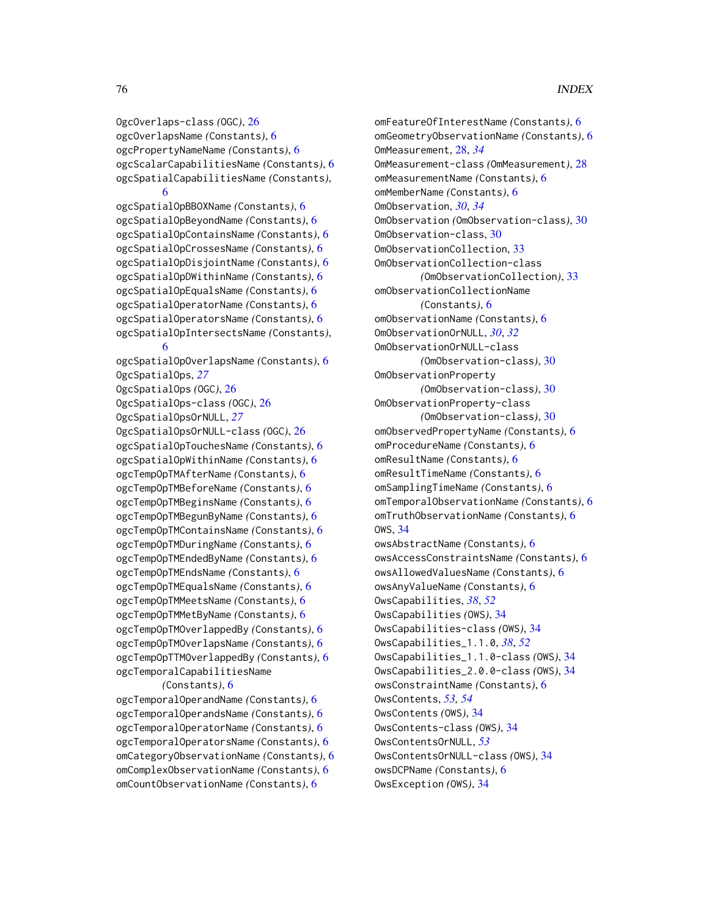OgcOverlaps-class *(*OGC*)*, [26](#page-25-0) ogcOverlapsName *(*Constants*)*, [6](#page-5-0) ogcPropertyNameName *(*Constants*)*, [6](#page-5-0) ogcScalarCapabilitiesName *(*Constants*)*, [6](#page-5-0) ogcSpatialCapabilitiesName *(*Constants*)*, [6](#page-5-0)

ogcSpatialOpBBOXName *(*Constants*)*, [6](#page-5-0) ogcSpatialOpBeyondName *(*Constants*)*, [6](#page-5-0) ogcSpatialOpContainsName *(*Constants*)*, [6](#page-5-0) ogcSpatialOpCrossesName *(*Constants*)*, [6](#page-5-0) ogcSpatialOpDisjointName *(*Constants*)*, [6](#page-5-0) ogcSpatialOpDWithinName *(*Constants*)*, [6](#page-5-0) ogcSpatialOpEqualsName *(*Constants*)*, [6](#page-5-0) ogcSpatialOperatorName *(*Constants*)*, [6](#page-5-0) ogcSpatialOperatorsName *(*Constants*)*, [6](#page-5-0) ogcSpatialOpIntersectsName *(*Constants*)*, [6](#page-5-0)

ogcSpatialOpOverlapsName *(*Constants*)*, [6](#page-5-0) OgcSpatialOps, *[27](#page-26-0)* OgcSpatialOps *(*OGC*)*, [26](#page-25-0) OgcSpatialOps-class *(*OGC*)*, [26](#page-25-0) OgcSpatialOpsOrNULL, *[27](#page-26-0)* OgcSpatialOpsOrNULL-class *(*OGC*)*, [26](#page-25-0) ogcSpatialOpTouchesName *(*Constants*)*, [6](#page-5-0) ogcSpatialOpWithinName *(*Constants*)*, [6](#page-5-0) ogcTempOpTMAfterName *(*Constants*)*, [6](#page-5-0) ogcTempOpTMBeforeName *(*Constants*)*, [6](#page-5-0) ogcTempOpTMBeginsName *(*Constants*)*, [6](#page-5-0) ogcTempOpTMBegunByName *(*Constants*)*, [6](#page-5-0) ogcTempOpTMContainsName *(*Constants*)*, [6](#page-5-0) ogcTempOpTMDuringName *(*Constants*)*, [6](#page-5-0) ogcTempOpTMEndedByName *(*Constants*)*, [6](#page-5-0) ogcTempOpTMEndsName *(*Constants*)*, [6](#page-5-0) ogcTempOpTMEqualsName *(*Constants*)*, [6](#page-5-0) ogcTempOpTMMeetsName *(*Constants*)*, [6](#page-5-0) ogcTempOpTMMetByName *(*Constants*)*, [6](#page-5-0) ogcTempOpTMOverlappedBy *(*Constants*)*, [6](#page-5-0) ogcTempOpTMOverlapsName *(*Constants*)*, [6](#page-5-0) ogcTempOpTTMOverlappedBy *(*Constants*)*, [6](#page-5-0) ogcTemporalCapabilitiesName

#### *(*Constants*)*, [6](#page-5-0)

ogcTemporalOperandName *(*Constants*)*, [6](#page-5-0) ogcTemporalOperandsName *(*Constants*)*, [6](#page-5-0) ogcTemporalOperatorName *(*Constants*)*, [6](#page-5-0) ogcTemporalOperatorsName *(*Constants*)*, [6](#page-5-0) omCategoryObservationName *(*Constants*)*, [6](#page-5-0) omComplexObservationName *(*Constants*)*, [6](#page-5-0) omCountObservationName *(*Constants*)*, [6](#page-5-0)

omFeatureOfInterestName *(*Constants*)*, [6](#page-5-0) omGeometryObservationName *(*Constants*)*, [6](#page-5-0) OmMeasurement, [28,](#page-27-0) *[34](#page-33-0)* OmMeasurement-class *(*OmMeasurement*)*, [28](#page-27-0) omMeasurementName *(*Constants*)*, [6](#page-5-0) omMemberName *(*Constants*)*, [6](#page-5-0) OmObservation, *[30](#page-29-0)*, *[34](#page-33-0)* OmObservation *(*OmObservation-class*)*, [30](#page-29-0) OmObservation-class, [30](#page-29-0) OmObservationCollection, [33](#page-32-0) OmObservationCollection-class *(*OmObservationCollection*)*, [33](#page-32-0) omObservationCollectionName *(*Constants*)*, [6](#page-5-0) omObservationName *(*Constants*)*, [6](#page-5-0) OmObservationOrNULL, *[30](#page-29-0)*, *[32](#page-31-0)* OmObservationOrNULL-class *(*OmObservation-class*)*, [30](#page-29-0) OmObservationProperty *(*OmObservation-class*)*, [30](#page-29-0) OmObservationProperty-class *(*OmObservation-class*)*, [30](#page-29-0) omObservedPropertyName *(*Constants*)*, [6](#page-5-0) omProcedureName *(*Constants*)*, [6](#page-5-0) omResultName *(*Constants*)*, [6](#page-5-0) omResultTimeName *(*Constants*)*, [6](#page-5-0) omSamplingTimeName *(*Constants*)*, [6](#page-5-0) omTemporalObservationName *(*Constants*)*, [6](#page-5-0) omTruthObservationName *(*Constants*)*, [6](#page-5-0) OWS, [34](#page-33-0) owsAbstractName *(*Constants*)*, [6](#page-5-0) owsAccessConstraintsName *(*Constants*)*, [6](#page-5-0) owsAllowedValuesName *(*Constants*)*, [6](#page-5-0) owsAnyValueName *(*Constants*)*, [6](#page-5-0) OwsCapabilities, *[38](#page-37-0)*, *[52](#page-51-0)* OwsCapabilities *(*OWS*)*, [34](#page-33-0) OwsCapabilities-class *(*OWS*)*, [34](#page-33-0) OwsCapabilities\_1.1.0, *[38](#page-37-0)*, *[52](#page-51-0)* OwsCapabilities\_1.1.0-class *(*OWS*)*, [34](#page-33-0) OwsCapabilities\_2.0.0-class *(*OWS*)*, [34](#page-33-0) owsConstraintName *(*Constants*)*, [6](#page-5-0) OwsContents, *[53,](#page-52-0) [54](#page-53-0)* OwsContents *(*OWS*)*, [34](#page-33-0) OwsContents-class *(*OWS*)*, [34](#page-33-0) OwsContentsOrNULL, *[53](#page-52-0)* OwsContentsOrNULL-class *(*OWS*)*, [34](#page-33-0) owsDCPName *(*Constants*)*, [6](#page-5-0) OwsException *(*OWS*)*, [34](#page-33-0)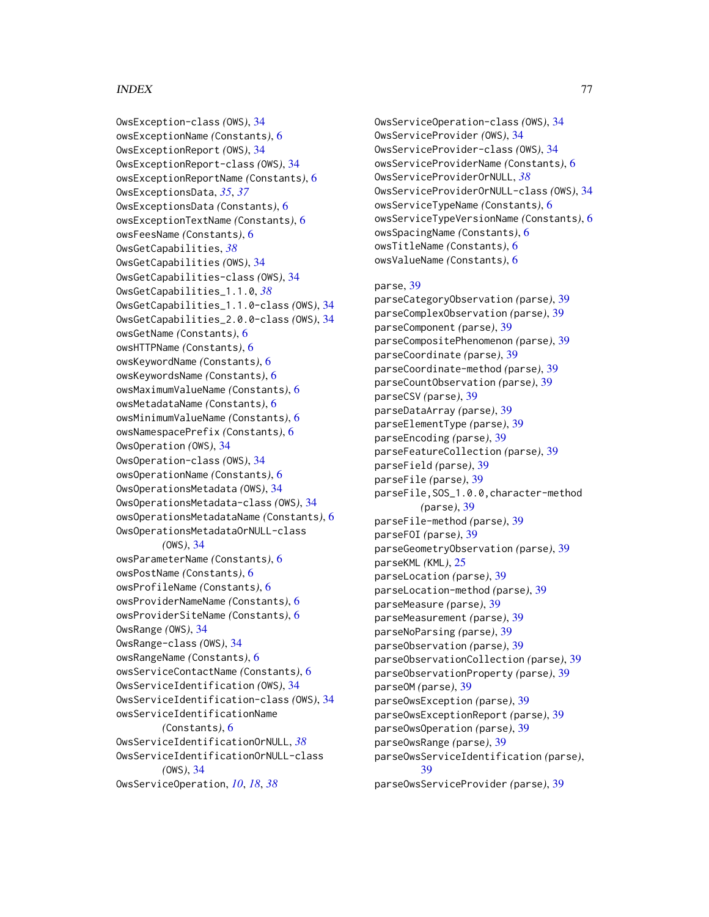OwsException-class *(*OWS*)*, [34](#page-33-0) owsExceptionName *(*Constants*)*, [6](#page-5-0) OwsExceptionReport *(*OWS*)*, [34](#page-33-0) OwsExceptionReport-class *(*OWS*)*, [34](#page-33-0) owsExceptionReportName *(*Constants*)*, [6](#page-5-0) OwsExceptionsData, *[35](#page-34-0)*, *[37](#page-36-0)* OwsExceptionsData *(*Constants*)*, [6](#page-5-0) owsExceptionTextName *(*Constants*)*, [6](#page-5-0) owsFeesName *(*Constants*)*, [6](#page-5-0) OwsGetCapabilities, *[38](#page-37-0)* OwsGetCapabilities *(*OWS*)*, [34](#page-33-0) OwsGetCapabilities-class *(*OWS*)*, [34](#page-33-0) OwsGetCapabilities\_1.1.0, *[38](#page-37-0)* OwsGetCapabilities\_1.1.0-class *(*OWS*)*, [34](#page-33-0) OwsGetCapabilities\_2.0.0-class *(*OWS*)*, [34](#page-33-0) owsGetName *(*Constants*)*, [6](#page-5-0) owsHTTPName *(*Constants*)*, [6](#page-5-0) owsKeywordName *(*Constants*)*, [6](#page-5-0) owsKeywordsName *(*Constants*)*, [6](#page-5-0) owsMaximumValueName *(*Constants*)*, [6](#page-5-0) owsMetadataName *(*Constants*)*, [6](#page-5-0) owsMinimumValueName *(*Constants*)*, [6](#page-5-0) owsNamespacePrefix *(*Constants*)*, [6](#page-5-0) OwsOperation *(*OWS*)*, [34](#page-33-0) OwsOperation-class *(*OWS*)*, [34](#page-33-0) owsOperationName *(*Constants*)*, [6](#page-5-0) OwsOperationsMetadata *(*OWS*)*, [34](#page-33-0) OwsOperationsMetadata-class *(*OWS*)*, [34](#page-33-0) owsOperationsMetadataName *(*Constants*)*, [6](#page-5-0) OwsOperationsMetadataOrNULL-class *(*OWS*)*, [34](#page-33-0) owsParameterName *(*Constants*)*, [6](#page-5-0) owsPostName *(*Constants*)*, [6](#page-5-0) owsProfileName *(*Constants*)*, [6](#page-5-0) owsProviderNameName *(*Constants*)*, [6](#page-5-0) owsProviderSiteName *(*Constants*)*, [6](#page-5-0) OwsRange *(*OWS*)*, [34](#page-33-0) OwsRange-class *(*OWS*)*, [34](#page-33-0) owsRangeName *(*Constants*)*, [6](#page-5-0) owsServiceContactName *(*Constants*)*, [6](#page-5-0) OwsServiceIdentification *(*OWS*)*, [34](#page-33-0) OwsServiceIdentification-class *(*OWS*)*, [34](#page-33-0) owsServiceIdentificationName *(*Constants*)*, [6](#page-5-0) OwsServiceIdentificationOrNULL, *[38](#page-37-0)* OwsServiceIdentificationOrNULL-class *(*OWS*)*, [34](#page-33-0) OwsServiceOperation, *[10](#page-9-0)*, *[18](#page-17-0)*, *[38](#page-37-0)*

OwsServiceOperation-class *(*OWS*)*, [34](#page-33-0) OwsServiceProvider *(*OWS*)*, [34](#page-33-0) OwsServiceProvider-class *(*OWS*)*, [34](#page-33-0) owsServiceProviderName *(*Constants*)*, [6](#page-5-0) OwsServiceProviderOrNULL, *[38](#page-37-0)* OwsServiceProviderOrNULL-class *(*OWS*)*, [34](#page-33-0) owsServiceTypeName *(*Constants*)*, [6](#page-5-0) owsServiceTypeVersionName *(*Constants*)*, [6](#page-5-0) owsSpacingName *(*Constants*)*, [6](#page-5-0) owsTitleName *(*Constants*)*, [6](#page-5-0) owsValueName *(*Constants*)*, [6](#page-5-0)

## parse, [39](#page-38-0)

parseCategoryObservation *(*parse*)*, [39](#page-38-0) parseComplexObservation *(*parse*)*, [39](#page-38-0) parseComponent *(*parse*)*, [39](#page-38-0) parseCompositePhenomenon *(*parse*)*, [39](#page-38-0) parseCoordinate *(*parse*)*, [39](#page-38-0) parseCoordinate-method *(*parse*)*, [39](#page-38-0) parseCountObservation *(*parse*)*, [39](#page-38-0) parseCSV *(*parse*)*, [39](#page-38-0) parseDataArray *(*parse*)*, [39](#page-38-0) parseElementType *(*parse*)*, [39](#page-38-0) parseEncoding *(*parse*)*, [39](#page-38-0) parseFeatureCollection *(*parse*)*, [39](#page-38-0) parseField *(*parse*)*, [39](#page-38-0) parseFile *(*parse*)*, [39](#page-38-0) parseFile,SOS\_1.0.0,character-method *(*parse*)*, [39](#page-38-0) parseFile-method *(*parse*)*, [39](#page-38-0) parseFOI *(*parse*)*, [39](#page-38-0) parseGeometryObservation *(*parse*)*, [39](#page-38-0) parseKML *(*KML*)*, [25](#page-24-0) parseLocation *(*parse*)*, [39](#page-38-0) parseLocation-method *(*parse*)*, [39](#page-38-0) parseMeasure *(*parse*)*, [39](#page-38-0) parseMeasurement *(*parse*)*, [39](#page-38-0) parseNoParsing *(*parse*)*, [39](#page-38-0) parseObservation *(*parse*)*, [39](#page-38-0) parseObservationCollection *(*parse*)*, [39](#page-38-0) parseObservationProperty *(*parse*)*, [39](#page-38-0) parseOM *(*parse*)*, [39](#page-38-0) parseOwsException *(*parse*)*, [39](#page-38-0) parseOwsExceptionReport *(*parse*)*, [39](#page-38-0) parseOwsOperation *(*parse*)*, [39](#page-38-0) parseOwsRange *(*parse*)*, [39](#page-38-0) parseOwsServiceIdentification *(*parse*)*, [39](#page-38-0) parseOwsServiceProvider *(*parse*)*, [39](#page-38-0)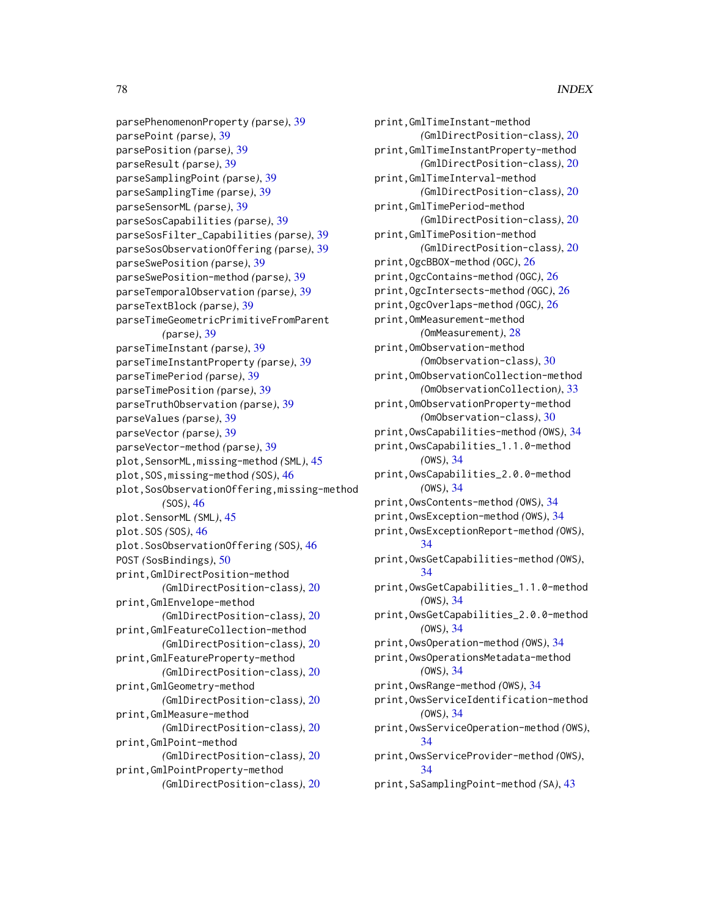parsePhenomenonProperty *(*parse*)*, [39](#page-38-0) parsePoint *(*parse*)*, [39](#page-38-0) parsePosition *(*parse*)*, [39](#page-38-0) parseResult *(*parse*)*, [39](#page-38-0) parseSamplingPoint *(*parse*)*, [39](#page-38-0) parseSamplingTime *(*parse*)*, [39](#page-38-0) parseSensorML *(*parse*)*, [39](#page-38-0) parseSosCapabilities *(*parse*)*, [39](#page-38-0) parseSosFilter\_Capabilities *(*parse*)*, [39](#page-38-0) parseSosObservationOffering *(*parse*)*, [39](#page-38-0) parseSwePosition *(*parse*)*, [39](#page-38-0) parseSwePosition-method *(*parse*)*, [39](#page-38-0) parseTemporalObservation *(*parse*)*, [39](#page-38-0) parseTextBlock *(*parse*)*, [39](#page-38-0) parseTimeGeometricPrimitiveFromParent *(*parse*)*, [39](#page-38-0) parseTimeInstant *(*parse*)*, [39](#page-38-0) parseTimeInstantProperty *(*parse*)*, [39](#page-38-0) parseTimePeriod *(*parse*)*, [39](#page-38-0) parseTimePosition *(*parse*)*, [39](#page-38-0) parseTruthObservation *(*parse*)*, [39](#page-38-0) parseValues *(*parse*)*, [39](#page-38-0) parseVector *(*parse*)*, [39](#page-38-0) parseVector-method *(*parse*)*, [39](#page-38-0) plot,SensorML,missing-method *(*SML*)*, [45](#page-44-0) plot,SOS,missing-method *(*SOS*)*, [46](#page-45-0) plot,SosObservationOffering,missing-method *(*SOS*)*, [46](#page-45-0) plot.SensorML *(*SML*)*, [45](#page-44-0) plot.SOS *(*SOS*)*, [46](#page-45-0) plot.SosObservationOffering *(*SOS*)*, [46](#page-45-0) POST *(*SosBindings*)*, [50](#page-49-0) print,GmlDirectPosition-method *(*GmlDirectPosition-class*)*, [20](#page-19-0) print,GmlEnvelope-method *(*GmlDirectPosition-class*)*, [20](#page-19-0) print,GmlFeatureCollection-method *(*GmlDirectPosition-class*)*, [20](#page-19-0) print,GmlFeatureProperty-method *(*GmlDirectPosition-class*)*, [20](#page-19-0) print,GmlGeometry-method *(*GmlDirectPosition-class*)*, [20](#page-19-0) print,GmlMeasure-method *(*GmlDirectPosition-class*)*, [20](#page-19-0) print,GmlPoint-method

*(*GmlDirectPosition-class*)*, [20](#page-19-0) print,GmlPointProperty-method *(*GmlDirectPosition-class*)*, [20](#page-19-0) print,GmlTimeInstant-method *(*GmlDirectPosition-class*)*, [20](#page-19-0) print,GmlTimeInstantProperty-method *(*GmlDirectPosition-class*)*, [20](#page-19-0) print,GmlTimeInterval-method *(*GmlDirectPosition-class*)*, [20](#page-19-0) print,GmlTimePeriod-method *(*GmlDirectPosition-class*)*, [20](#page-19-0) print,GmlTimePosition-method *(*GmlDirectPosition-class*)*, [20](#page-19-0) print,OgcBBOX-method *(*OGC*)*, [26](#page-25-0) print,OgcContains-method *(*OGC*)*, [26](#page-25-0) print,OgcIntersects-method *(*OGC*)*, [26](#page-25-0) print,OgcOverlaps-method *(*OGC*)*, [26](#page-25-0) print,OmMeasurement-method *(*OmMeasurement*)*, [28](#page-27-0) print,OmObservation-method *(*OmObservation-class*)*, [30](#page-29-0) print,OmObservationCollection-method *(*OmObservationCollection*)*, [33](#page-32-0) print,OmObservationProperty-method *(*OmObservation-class*)*, [30](#page-29-0) print,OwsCapabilities-method *(*OWS*)*, [34](#page-33-0) print,OwsCapabilities\_1.1.0-method *(*OWS*)*, [34](#page-33-0) print,OwsCapabilities\_2.0.0-method *(*OWS*)*, [34](#page-33-0) print,OwsContents-method *(*OWS*)*, [34](#page-33-0) print,OwsException-method *(*OWS*)*, [34](#page-33-0) print,OwsExceptionReport-method *(*OWS*)*, [34](#page-33-0) print,OwsGetCapabilities-method *(*OWS*)*, [34](#page-33-0) print,OwsGetCapabilities\_1.1.0-method *(*OWS*)*, [34](#page-33-0) print,OwsGetCapabilities\_2.0.0-method *(*OWS*)*, [34](#page-33-0) print,OwsOperation-method *(*OWS*)*, [34](#page-33-0) print,OwsOperationsMetadata-method *(*OWS*)*, [34](#page-33-0) print,OwsRange-method *(*OWS*)*, [34](#page-33-0) print,OwsServiceIdentification-method *(*OWS*)*, [34](#page-33-0) print,OwsServiceOperation-method *(*OWS*)*, [34](#page-33-0) print,OwsServiceProvider-method *(*OWS*)*, [34](#page-33-0) print,SaSamplingPoint-method *(*SA*)*, [43](#page-42-0)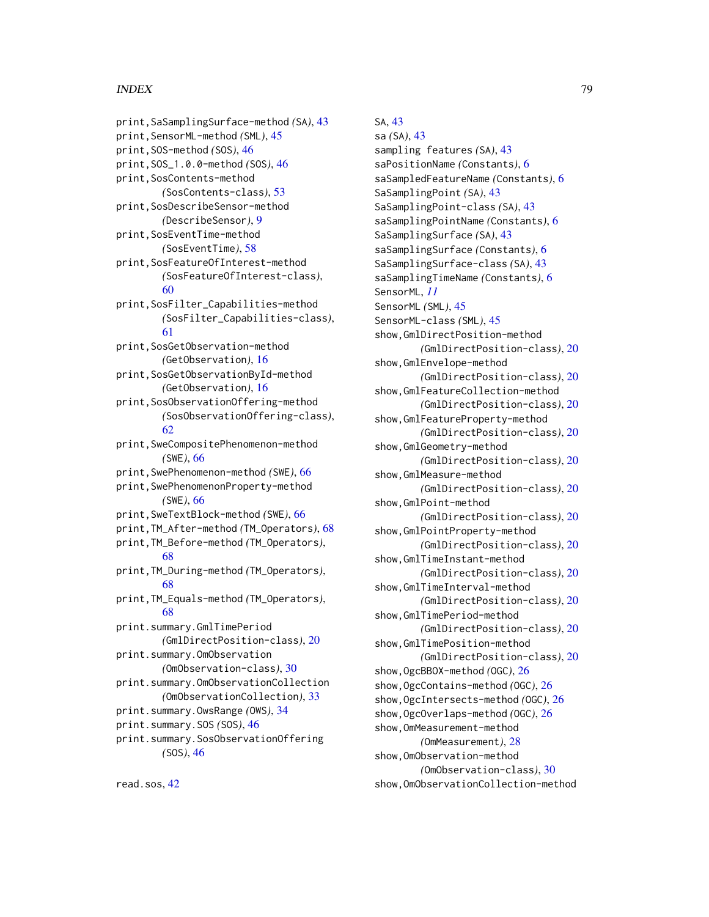print,SaSamplingSurface-method *(*SA*)*, [43](#page-42-0) print,SensorML-method *(*SML*)*, [45](#page-44-0) print,SOS-method *(*SOS*)*, [46](#page-45-0) print,SOS\_1.0.0-method *(*SOS*)*, [46](#page-45-0) print,SosContents-method *(*SosContents-class*)*, [53](#page-52-0) print,SosDescribeSensor-method *(*DescribeSensor*)*, [9](#page-8-0) print,SosEventTime-method *(*SosEventTime*)*, [58](#page-57-0) print,SosFeatureOfInterest-method *(*SosFeatureOfInterest-class*)*, [60](#page-59-0) print,SosFilter\_Capabilities-method *(*SosFilter\_Capabilities-class*)*, [61](#page-60-0) print,SosGetObservation-method *(*GetObservation*)*, [16](#page-15-0) print,SosGetObservationById-method *(*GetObservation*)*, [16](#page-15-0) print,SosObservationOffering-method *(*SosObservationOffering-class*)*, [62](#page-61-0) print,SweCompositePhenomenon-method *(*SWE*)*, [66](#page-65-0) print,SwePhenomenon-method *(*SWE*)*, [66](#page-65-0) print,SwePhenomenonProperty-method *(*SWE*)*, [66](#page-65-0) print,SweTextBlock-method *(*SWE*)*, [66](#page-65-0) print,TM\_After-method *(*TM\_Operators*)*, [68](#page-67-0) print,TM\_Before-method *(*TM\_Operators*)*, [68](#page-67-0) print,TM\_During-method *(*TM\_Operators*)*, [68](#page-67-0) print,TM\_Equals-method *(*TM\_Operators*)*, [68](#page-67-0) print.summary.GmlTimePeriod *(*GmlDirectPosition-class*)*, [20](#page-19-0) print.summary.OmObservation *(*OmObservation-class*)*, [30](#page-29-0) print.summary.OmObservationCollection *(*OmObservationCollection*)*, [33](#page-32-0) print.summary.OwsRange *(*OWS*)*, [34](#page-33-0) print.summary.SOS *(*SOS*)*, [46](#page-45-0) print.summary.SosObservationOffering *(*SOS*)*, [46](#page-45-0)

SA, [43](#page-42-0)

sa *(*SA*)*, [43](#page-42-0) sampling features *(*SA*)*, [43](#page-42-0) saPositionName *(*Constants*)*, [6](#page-5-0) saSampledFeatureName *(*Constants*)*, [6](#page-5-0) SaSamplingPoint *(*SA*)*, [43](#page-42-0) SaSamplingPoint-class *(*SA*)*, [43](#page-42-0) saSamplingPointName *(*Constants*)*, [6](#page-5-0) SaSamplingSurface *(*SA*)*, [43](#page-42-0) saSamplingSurface *(*Constants*)*, [6](#page-5-0) SaSamplingSurface-class *(*SA*)*, [43](#page-42-0) saSamplingTimeName *(*Constants*)*, [6](#page-5-0) SensorML, *[11](#page-10-0)* SensorML *(*SML*)*, [45](#page-44-0) SensorML-class *(*SML*)*, [45](#page-44-0) show,GmlDirectPosition-method *(*GmlDirectPosition-class*)*, [20](#page-19-0) show,GmlEnvelope-method *(*GmlDirectPosition-class*)*, [20](#page-19-0) show,GmlFeatureCollection-method *(*GmlDirectPosition-class*)*, [20](#page-19-0) show,GmlFeatureProperty-method *(*GmlDirectPosition-class*)*, [20](#page-19-0) show,GmlGeometry-method *(*GmlDirectPosition-class*)*, [20](#page-19-0) show,GmlMeasure-method *(*GmlDirectPosition-class*)*, [20](#page-19-0) show,GmlPoint-method *(*GmlDirectPosition-class*)*, [20](#page-19-0) show,GmlPointProperty-method *(*GmlDirectPosition-class*)*, [20](#page-19-0) show,GmlTimeInstant-method *(*GmlDirectPosition-class*)*, [20](#page-19-0) show,GmlTimeInterval-method *(*GmlDirectPosition-class*)*, [20](#page-19-0) show,GmlTimePeriod-method *(*GmlDirectPosition-class*)*, [20](#page-19-0) show,GmlTimePosition-method *(*GmlDirectPosition-class*)*, [20](#page-19-0) show,OgcBBOX-method *(*OGC*)*, [26](#page-25-0) show,OgcContains-method *(*OGC*)*, [26](#page-25-0) show,OgcIntersects-method *(*OGC*)*, [26](#page-25-0) show,OgcOverlaps-method *(*OGC*)*, [26](#page-25-0) show,OmMeasurement-method *(*OmMeasurement*)*, [28](#page-27-0) show,OmObservation-method *(*OmObservation-class*)*, [30](#page-29-0) show,OmObservationCollection-method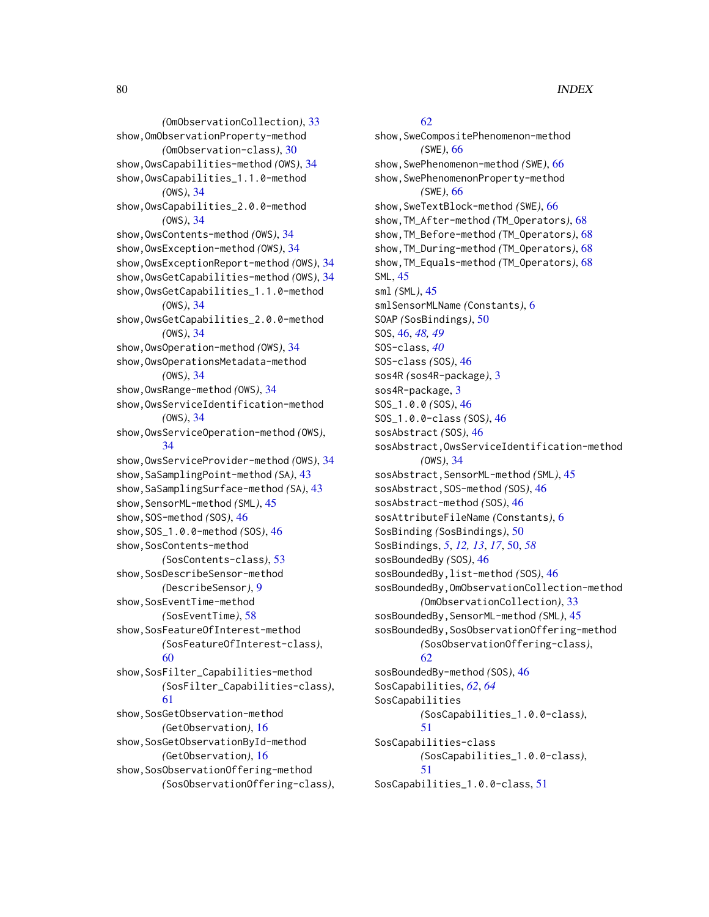*(*OmObservationCollection*)*, [33](#page-32-0) show,OmObservationProperty-method *(*OmObservation-class*)*, [30](#page-29-0) show,OwsCapabilities-method *(*OWS*)*, [34](#page-33-0) show,OwsCapabilities\_1.1.0-method *(*OWS*)*, [34](#page-33-0) show,OwsCapabilities\_2.0.0-method *(*OWS*)*, [34](#page-33-0) show,OwsContents-method *(*OWS*)*, [34](#page-33-0) show,OwsException-method *(*OWS*)*, [34](#page-33-0) show,OwsExceptionReport-method *(*OWS*)*, [34](#page-33-0) show,OwsGetCapabilities-method *(*OWS*)*, [34](#page-33-0) show,OwsGetCapabilities\_1.1.0-method *(*OWS*)*, [34](#page-33-0) show,OwsGetCapabilities\_2.0.0-method *(*OWS*)*, [34](#page-33-0) show,OwsOperation-method *(*OWS*)*, [34](#page-33-0) show,OwsOperationsMetadata-method *(*OWS*)*, [34](#page-33-0) show,OwsRange-method *(*OWS*)*, [34](#page-33-0) show,OwsServiceIdentification-method *(*OWS*)*, [34](#page-33-0) show,OwsServiceOperation-method *(*OWS*)*, [34](#page-33-0) show,OwsServiceProvider-method *(*OWS*)*, [34](#page-33-0) show,SaSamplingPoint-method *(*SA*)*, [43](#page-42-0) show,SaSamplingSurface-method *(*SA*)*, [43](#page-42-0) show, SensorML-method *(SML)*, [45](#page-44-0) show,SOS-method *(*SOS*)*, [46](#page-45-0) show,SOS\_1.0.0-method *(*SOS*)*, [46](#page-45-0) show,SosContents-method *(*SosContents-class*)*, [53](#page-52-0) show, SosDescribeSensor-method *(*DescribeSensor*)*, [9](#page-8-0) show,SosEventTime-method *(*SosEventTime*)*, [58](#page-57-0) show,SosFeatureOfInterest-method *(*SosFeatureOfInterest-class*)*, [60](#page-59-0) show,SosFilter\_Capabilities-method *(*SosFilter\_Capabilities-class*)*, [61](#page-60-0) show,SosGetObservation-method *(*GetObservation*)*, [16](#page-15-0) show,SosGetObservationById-method *(*GetObservation*)*, [16](#page-15-0) show, SosObservationOffering-method *(*SosObservationOffering-class*)*,

[62](#page-61-0) show,SweCompositePhenomenon-method *(*SWE*)*, [66](#page-65-0) show,SwePhenomenon-method *(*SWE*)*, [66](#page-65-0) show, SwePhenomenonProperty-method *(*SWE*)*, [66](#page-65-0) show,SweTextBlock-method *(*SWE*)*, [66](#page-65-0) show,TM\_After-method *(*TM\_Operators*)*, [68](#page-67-0) show,TM\_Before-method *(*TM\_Operators*)*, [68](#page-67-0) show,TM\_During-method *(*TM\_Operators*)*, [68](#page-67-0) show,TM\_Equals-method *(*TM\_Operators*)*, [68](#page-67-0) SML, [45](#page-44-0) sml *(*SML*)*, [45](#page-44-0) smlSensorMLName *(*Constants*)*, [6](#page-5-0) SOAP *(*SosBindings*)*, [50](#page-49-0) SOS, [46,](#page-45-0) *[48,](#page-47-0) [49](#page-48-0)* SOS-class, *[40](#page-39-0)* SOS-class *(*SOS*)*, [46](#page-45-0) sos4R *(*sos4R-package*)*, [3](#page-2-0) sos4R-package, [3](#page-2-0) SOS\_1.0.0 *(*SOS*)*, [46](#page-45-0) SOS\_1.0.0-class *(*SOS*)*, [46](#page-45-0) sosAbstract *(*SOS*)*, [46](#page-45-0) sosAbstract,OwsServiceIdentification-method *(*OWS*)*, [34](#page-33-0) sosAbstract,SensorML-method *(*SML*)*, [45](#page-44-0) sosAbstract,SOS-method *(*SOS*)*, [46](#page-45-0) sosAbstract-method *(*SOS*)*, [46](#page-45-0) sosAttributeFileName *(*Constants*)*, [6](#page-5-0) SosBinding *(*SosBindings*)*, [50](#page-49-0) SosBindings, *[5](#page-4-0)*, *[12,](#page-11-0) [13](#page-12-0)*, *[17](#page-16-0)*, [50,](#page-49-0) *[58](#page-57-0)* sosBoundedBy *(*SOS*)*, [46](#page-45-0) sosBoundedBy,list-method *(*SOS*)*, [46](#page-45-0) sosBoundedBy,OmObservationCollection-method *(*OmObservationCollection*)*, [33](#page-32-0) sosBoundedBy, SensorML-method *(SML)*, [45](#page-44-0) sosBoundedBy,SosObservationOffering-method *(*SosObservationOffering-class*)*, [62](#page-61-0) sosBoundedBy-method *(*SOS*)*, [46](#page-45-0) SosCapabilities, *[62](#page-61-0)*, *[64](#page-63-0)* SosCapabilities *(*SosCapabilities\_1.0.0-class*)*, [51](#page-50-0) SosCapabilities-class *(*SosCapabilities\_1.0.0-class*)*, [51](#page-50-0) SosCapabilities\_1.0.0-class, [51](#page-50-0)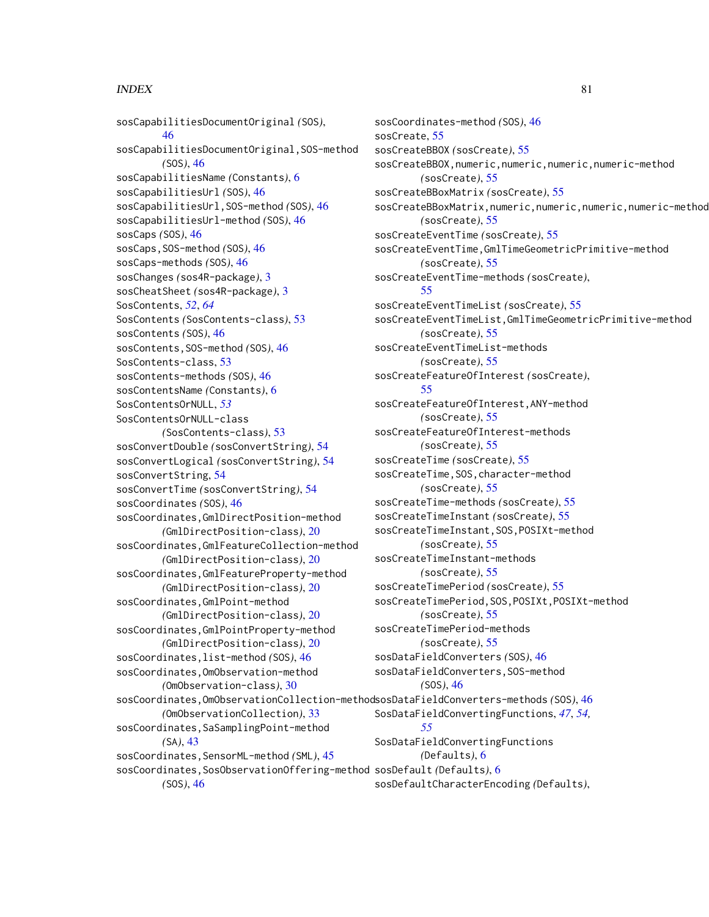sosCapabilitiesDocumentOriginal *(*SOS*)*, [46](#page-45-0) sosCapabilitiesDocumentOriginal,SOS-method *(*SOS*)*, [46](#page-45-0) sosCapabilitiesName *(*Constants*)*, [6](#page-5-0) sosCapabilitiesUrl *(*SOS*)*, [46](#page-45-0) sosCapabilitiesUrl,SOS-method *(*SOS*)*, [46](#page-45-0) sosCapabilitiesUrl-method *(*SOS*)*, [46](#page-45-0) sosCaps *(*SOS*)*, [46](#page-45-0) sosCaps,SOS-method *(*SOS*)*, [46](#page-45-0) sosCaps-methods *(*SOS*)*, [46](#page-45-0) sosChanges *(*sos4R-package*)*, [3](#page-2-0) sosCheatSheet *(*sos4R-package*)*, [3](#page-2-0) SosContents, *[52](#page-51-0)*, *[64](#page-63-0)* SosContents *(*SosContents-class*)*, [53](#page-52-0) sosContents *(*SOS*)*, [46](#page-45-0) sosContents,SOS-method *(*SOS*)*, [46](#page-45-0) SosContents-class, [53](#page-52-0) sosContents-methods *(*SOS*)*, [46](#page-45-0) sosContentsName *(*Constants*)*, [6](#page-5-0) SosContentsOrNULL, *[53](#page-52-0)* SosContentsOrNULL-class *(*SosContents-class*)*, [53](#page-52-0) sosConvertDouble *(*sosConvertString*)*, [54](#page-53-0) sosConvertLogical *(*sosConvertString*)*, [54](#page-53-0) sosConvertString, [54](#page-53-0) sosConvertTime *(*sosConvertString*)*, [54](#page-53-0) sosCoordinates *(*SOS*)*, [46](#page-45-0) sosCoordinates,GmlDirectPosition-method *(*GmlDirectPosition-class*)*, [20](#page-19-0) sosCoordinates,GmlFeatureCollection-method *(*GmlDirectPosition-class*)*, [20](#page-19-0) sosCoordinates,GmlFeatureProperty-method *(*GmlDirectPosition-class*)*, [20](#page-19-0) sosCoordinates,GmlPoint-method *(*GmlDirectPosition-class*)*, [20](#page-19-0) sosCoordinates,GmlPointProperty-method *(*GmlDirectPosition-class*)*, [20](#page-19-0) sosCoordinates,list-method *(*SOS*)*, [46](#page-45-0) sosCoordinates,OmObservation-method *(*OmObservation-class*)*, [30](#page-29-0) sosCoordinates,OmObservationCollection-method sosDataFieldConverters-methods *(*SOS*)*, [46](#page-45-0) *(*OmObservationCollection*)*, [33](#page-32-0) sosCoordinates, SaSamplingPoint-method *(*SA*)*, [43](#page-42-0) sosCoordinates,SensorML-method *(*SML*)*, [45](#page-44-0) sosCoordinates,SosObservationOffering-method sosDefault *(*Defaults*)*, [6](#page-5-0)

*(*SOS*)*, [46](#page-45-0)

sosCoordinates-method *(*SOS*)*, [46](#page-45-0) sosCreate, [55](#page-54-0) sosCreateBBOX *(*sosCreate*)*, [55](#page-54-0) sosCreateBBOX,numeric,numeric,numeric,numeric-method *(*sosCreate*)*, [55](#page-54-0) sosCreateBBoxMatrix *(*sosCreate*)*, [55](#page-54-0) sosCreateBBoxMatrix,numeric,numeric,numeric,numeric-method *(*sosCreate*)*, [55](#page-54-0) sosCreateEventTime *(*sosCreate*)*, [55](#page-54-0) sosCreateEventTime,GmlTimeGeometricPrimitive-method *(*sosCreate*)*, [55](#page-54-0) sosCreateEventTime-methods *(*sosCreate*)*, [55](#page-54-0) sosCreateEventTimeList *(*sosCreate*)*, [55](#page-54-0) sosCreateEventTimeList,GmlTimeGeometricPrimitive-method *(*sosCreate*)*, [55](#page-54-0) sosCreateEventTimeList-methods *(*sosCreate*)*, [55](#page-54-0) sosCreateFeatureOfInterest *(*sosCreate*)*, [55](#page-54-0) sosCreateFeatureOfInterest,ANY-method *(*sosCreate*)*, [55](#page-54-0) sosCreateFeatureOfInterest-methods *(*sosCreate*)*, [55](#page-54-0) sosCreateTime *(*sosCreate*)*, [55](#page-54-0) sosCreateTime,SOS,character-method *(*sosCreate*)*, [55](#page-54-0) sosCreateTime-methods *(*sosCreate*)*, [55](#page-54-0) sosCreateTimeInstant *(*sosCreate*)*, [55](#page-54-0) sosCreateTimeInstant,SOS,POSIXt-method *(*sosCreate*)*, [55](#page-54-0) sosCreateTimeInstant-methods *(*sosCreate*)*, [55](#page-54-0) sosCreateTimePeriod *(*sosCreate*)*, [55](#page-54-0) sosCreateTimePeriod,SOS,POSIXt,POSIXt-method *(*sosCreate*)*, [55](#page-54-0) sosCreateTimePeriod-methods *(*sosCreate*)*, [55](#page-54-0) sosDataFieldConverters *(*SOS*)*, [46](#page-45-0) sosDataFieldConverters,SOS-method *(*SOS*)*, [46](#page-45-0) SosDataFieldConvertingFunctions, *[47](#page-46-0)*, *[54,](#page-53-0) [55](#page-54-0)* SosDataFieldConvertingFunctions *(*Defaults*)*, [6](#page-5-0) sosDefaultCharacterEncoding *(*Defaults*)*,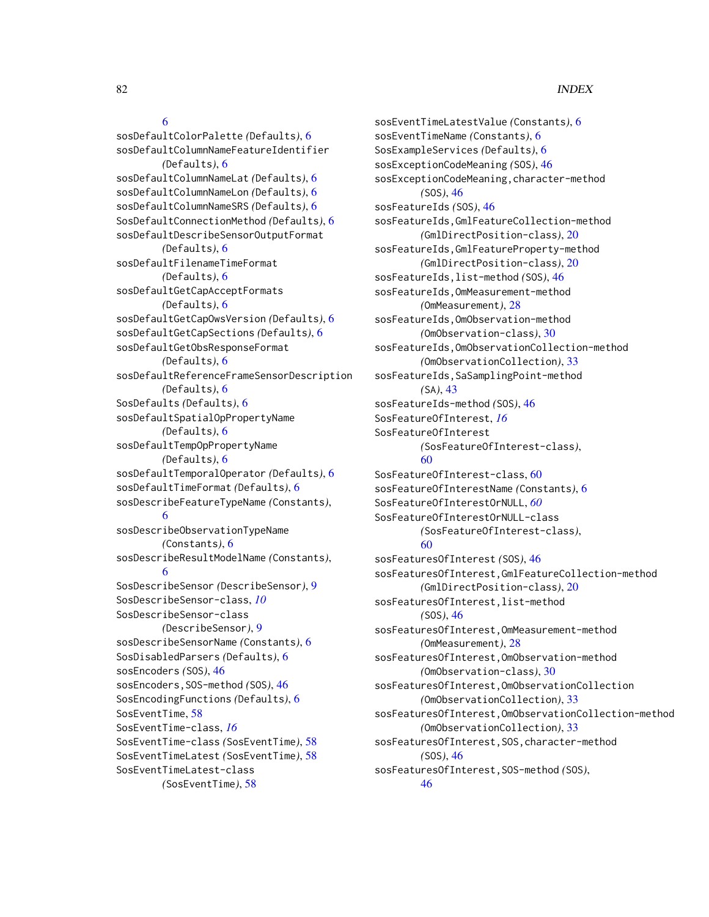## [6](#page-5-0)

sosDefaultColorPalette *(*Defaults*)*, [6](#page-5-0) sosDefaultColumnNameFeatureIdentifier *(*Defaults*)*, [6](#page-5-0) sosDefaultColumnNameLat *(*Defaults*)*, [6](#page-5-0) sosDefaultColumnNameLon *(*Defaults*)*, [6](#page-5-0) sosDefaultColumnNameSRS *(*Defaults*)*, [6](#page-5-0) SosDefaultConnectionMethod *(*Defaults*)*, [6](#page-5-0) sosDefaultDescribeSensorOutputFormat *(*Defaults*)*, [6](#page-5-0) sosDefaultFilenameTimeFormat *(*Defaults*)*, [6](#page-5-0) sosDefaultGetCapAcceptFormats *(*Defaults*)*, [6](#page-5-0) sosDefaultGetCapOwsVersion *(*Defaults*)*, [6](#page-5-0) sosDefaultGetCapSections *(*Defaults*)*, [6](#page-5-0) sosDefaultGetObsResponseFormat *(*Defaults*)*, [6](#page-5-0) sosDefaultReferenceFrameSensorDescription *(*Defaults*)*, [6](#page-5-0) SosDefaults *(*Defaults*)*, [6](#page-5-0) sosDefaultSpatialOpPropertyName *(*Defaults*)*, [6](#page-5-0) sosDefaultTempOpPropertyName *(*Defaults*)*, [6](#page-5-0) sosDefaultTemporalOperator *(*Defaults*)*, [6](#page-5-0) sosDefaultTimeFormat *(*Defaults*)*, [6](#page-5-0) sosDescribeFeatureTypeName *(*Constants*)*, [6](#page-5-0) sosDescribeObservationTypeName *(*Constants*)*, [6](#page-5-0) sosDescribeResultModelName *(*Constants*)*, [6](#page-5-0) SosDescribeSensor *(*DescribeSensor*)*, [9](#page-8-0) SosDescribeSensor-class, *[10](#page-9-0)* SosDescribeSensor-class *(*DescribeSensor*)*, [9](#page-8-0) sosDescribeSensorName *(*Constants*)*, [6](#page-5-0) SosDisabledParsers *(*Defaults*)*, [6](#page-5-0) sosEncoders *(*SOS*)*, [46](#page-45-0) sosEncoders,SOS-method *(*SOS*)*, [46](#page-45-0) SosEncodingFunctions *(*Defaults*)*, [6](#page-5-0) SosEventTime, [58](#page-57-0) SosEventTime-class, *[16](#page-15-0)* SosEventTime-class *(*SosEventTime*)*, [58](#page-57-0) SosEventTimeLatest *(*SosEventTime*)*, [58](#page-57-0) SosEventTimeLatest-class *(*SosEventTime*)*, [58](#page-57-0)

sosEventTimeLatestValue *(*Constants*)*, [6](#page-5-0) sosEventTimeName *(*Constants*)*, [6](#page-5-0) SosExampleServices *(*Defaults*)*, [6](#page-5-0) sosExceptionCodeMeaning *(*SOS*)*, [46](#page-45-0) sosExceptionCodeMeaning,character-method *(*SOS*)*, [46](#page-45-0) sosFeatureIds *(*SOS*)*, [46](#page-45-0) sosFeatureIds,GmlFeatureCollection-method *(*GmlDirectPosition-class*)*, [20](#page-19-0) sosFeatureIds,GmlFeatureProperty-method *(*GmlDirectPosition-class*)*, [20](#page-19-0) sosFeatureIds,list-method *(*SOS*)*, [46](#page-45-0) sosFeatureIds,OmMeasurement-method *(*OmMeasurement*)*, [28](#page-27-0) sosFeatureIds,OmObservation-method *(*OmObservation-class*)*, [30](#page-29-0) sosFeatureIds,OmObservationCollection-method *(*OmObservationCollection*)*, [33](#page-32-0) sosFeatureIds,SaSamplingPoint-method *(*SA*)*, [43](#page-42-0) sosFeatureIds-method *(*SOS*)*, [46](#page-45-0) SosFeatureOfInterest, *[16](#page-15-0)* SosFeatureOfInterest *(*SosFeatureOfInterest-class*)*, [60](#page-59-0) SosFeatureOfInterest-class, [60](#page-59-0) sosFeatureOfInterestName *(*Constants*)*, [6](#page-5-0) SosFeatureOfInterestOrNULL, *[60](#page-59-0)* SosFeatureOfInterestOrNULL-class *(*SosFeatureOfInterest-class*)*, [60](#page-59-0) sosFeaturesOfInterest *(*SOS*)*, [46](#page-45-0) sosFeaturesOfInterest,GmlFeatureCollection-method *(*GmlDirectPosition-class*)*, [20](#page-19-0) sosFeaturesOfInterest,list-method *(*SOS*)*, [46](#page-45-0) sosFeaturesOfInterest,OmMeasurement-method *(*OmMeasurement*)*, [28](#page-27-0) sosFeaturesOfInterest,OmObservation-method *(*OmObservation-class*)*, [30](#page-29-0) sosFeaturesOfInterest,OmObservationCollection *(*OmObservationCollection*)*, [33](#page-32-0) sosFeaturesOfInterest,OmObservationCollection-method *(*OmObservationCollection*)*, [33](#page-32-0) sosFeaturesOfInterest,SOS,character-method *(*SOS*)*, [46](#page-45-0) sosFeaturesOfInterest,SOS-method *(*SOS*)*, [46](#page-45-0)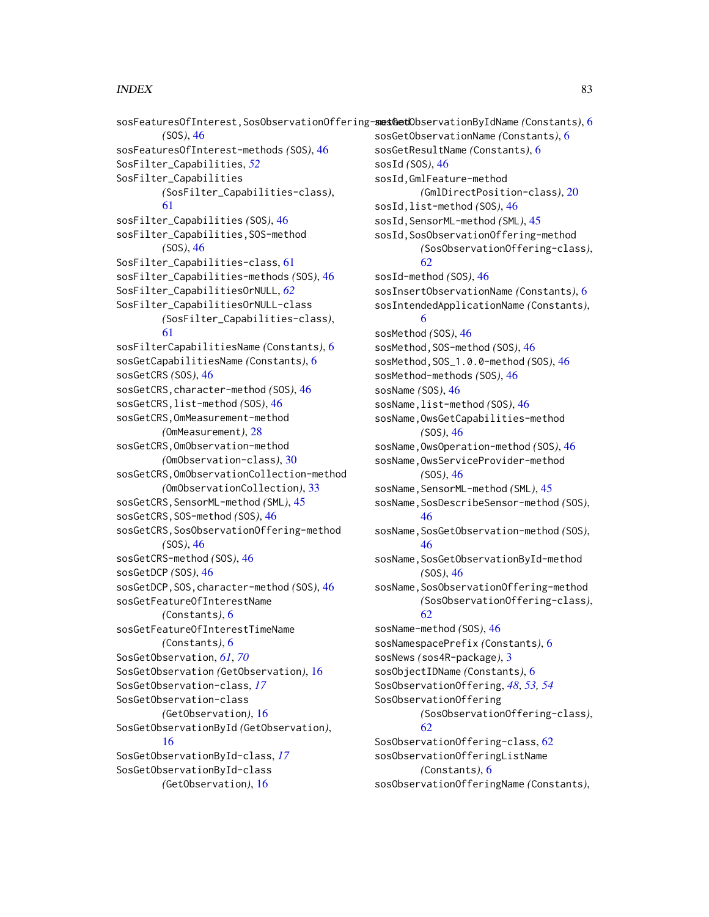```
sosFeaturesOfInterest, SosObservationOffering-sesGetObservationByIdName (Constants)6
        (SOS), 46
sosFeaturesOfInterest-methods (SOS), 46
SosFilter_Capabilities, 52
SosFilter_Capabilities
        (SosFilter_Capabilities-class),
        61
sosFilter_Capabilities (SOS), 46
sosFilter_Capabilities, SOS-method
        (SOS), 46
SosFilter_Capabilities-class, 61
sosFilter_Capabilities-methods (SOS), 46
SosFilter_CapabilitiesOrNULL, 62
SosFilter_CapabilitiesOrNULL-class
        (SosFilter_Capabilities-class),
        61
sosFilterCapabilitiesName (Constants), 6
sosGetCapabilitiesName (Constants), 6
sosGetCRS (SOS), 46
sosGetCRS,character-method (SOS), 46
sosGetCRS,list-method (SOS), 46
sosGetCRS,OmMeasurement-method
        (OmMeasurement), 28
sosGetCRS,OmObservation-method
        (OmObservation-class), 30
sosGetCRS,OmObservationCollection-method
        (OmObservationCollection), 33
sosGetCRS, SensorML-method (SML)45
sosGetCRS,SOS-method (SOS), 46
sosGetCRS, SosObservationOffering-method
        (SOS), 46
sosGetCRS-method (SOS), 46
sosGetDCP (SOS), 46
sosGetDCP,SOS,character-method (SOS), 46
sosGetFeatureOfInterestName
        (Constants), 6
sosGetFeatureOfInterestTimeName
        (Constants), 6
SosGetObservation, 61, 70
SosGetObservation (GetObservation), 16
SosGetObservation-class, 17
SosGetObservation-class
        (GetObservation), 16
SosGetObservationById (GetObservation),
        16
SosGetObservationById-class, 17
SosGetObservationById-class
        (GetObservation), 16
                                               sosGetObservationName (Constants), 6
                                                sosGetResultName (Constants), 6
                                                sosId (SOS), 46
                                                sosId,GmlFeature-method
                                                        (GmlDirectPosition-class), 20
                                                sosId,list-method (SOS), 46
                                                sosId, SensorML-method (SML)45
                                                sosId,SosObservationOffering-method
                                                        (SosObservationOffering-class),
                                                        62
                                                sosId-method (SOS), 46
                                                sosInsertObservationName (Constants), 6
                                                sosIntendedApplicationName (Constants),
                                                        6
                                                sosMethod (SOS), 46
                                                sosMethod,SOS-method (SOS), 46
                                                sosMethod,SOS_1.0.0-method (SOS), 46
                                                sosMethod-methods (SOS), 46
                                                sosName (SOS), 46
                                                sosName,list-method (SOS), 46
                                                sosName,OwsGetCapabilities-method
                                                        (SOS), 46
                                                sosName,OwsOperation-method (SOS), 46
                                                sosName,OwsServiceProvider-method
                                                        (SOS), 46
                                                sosName, SensorML-method (SML)45
                                                sosName, SosDescribeSensor-method (SOS),
                                                        46
                                                sosName, SosGetObservation-method (SOS),
                                                        46
                                                sosName, SosGetObservationById-method
                                                        (SOS), 46
                                                sosName,SosObservationOffering-method
                                                        (SosObservationOffering-class),
                                                        62
                                                sosName-method (SOS), 46
                                                sosNamespacePrefix (Constants), 6
                                                sosNews (sos4R-package), 3
                                                sosObjectIDName (Constants), 6
                                               SosObservationOffering, 48, 53, 54
                                                SosObservationOffering
                                                        (SosObservationOffering-class),
                                                        62
                                                SosObservationOffering-class, 62
                                               sosObservationOfferingListName
                                                        (Constants), 6
                                                sosObservationOfferingName (Constants),
```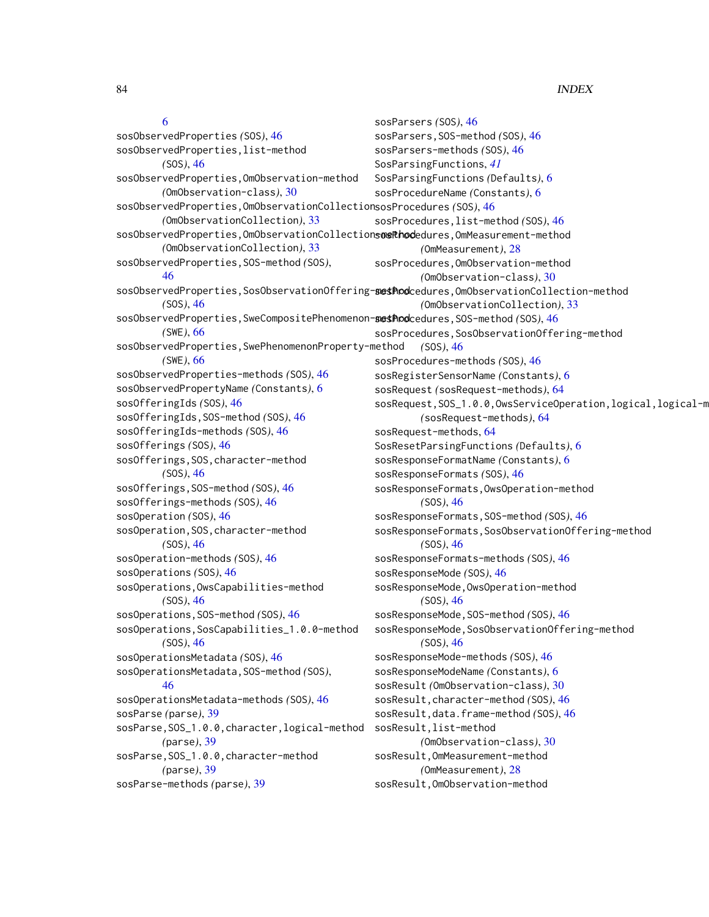#### [6](#page-5-0) sosObservedProperties *(*SOS*)*, [46](#page-45-0) sosObservedProperties,list-method *(*SOS*)*, [46](#page-45-0) sosObservedProperties,OmObservation-method *(*OmObservation-class*)*, [30](#page-29-0) sosObservedProperties,OmObservationCollection sosProcedures *(*SOS*)*, [46](#page-45-0) *(*OmObservationCollection*)*, [33](#page-32-0) sosObservedProperties, OmObservationCollections were hodedures, OmMeasurement-method *(*OmObservationCollection*)*, [33](#page-32-0) sosObservedProperties,SOS-method *(*SOS*)*, [46](#page-45-0) sosObservedProperties, SosObservationOffering-sestPodcedures, OmObservationCollection-method *(*SOS*)*, [46](#page-45-0) sosObservedProperties, SweCompositePhenomenon-sestPodcedures, SOS-method *(SOS)*, [46](#page-45-0) *(*SWE*)*, [66](#page-65-0) sosObservedProperties,SwePhenomenonProperty-method *(*SWE*)*, [66](#page-65-0) sosObservedProperties-methods *(*SOS*)*, [46](#page-45-0) sosObservedPropertyName *(*Constants*)*, [6](#page-5-0) sosOfferingIds *(*SOS*)*, [46](#page-45-0) sosOfferingIds, SOS-method *(SOS)*, [46](#page-45-0) sosOfferingIds-methods *(*SOS*)*, [46](#page-45-0) sosOfferings *(*SOS*)*, [46](#page-45-0) sosOfferings, SOS, character-method *(*SOS*)*, [46](#page-45-0) sosOfferings,SOS-method *(*SOS*)*, [46](#page-45-0) sosOfferings-methods *(*SOS*)*, [46](#page-45-0) sosOperation *(*SOS*)*, [46](#page-45-0) sosOperation, SOS, character-method *(*SOS*)*, [46](#page-45-0) sosOperation-methods *(*SOS*)*, [46](#page-45-0) sosOperations *(*SOS*)*, [46](#page-45-0) sosOperations,OwsCapabilities-method *(*SOS*)*, [46](#page-45-0) sosOperations,SOS-method *(*SOS*)*, [46](#page-45-0) sosOperations,SosCapabilities\_1.0.0-method *(*SOS*)*, [46](#page-45-0) sosOperationsMetadata *(*SOS*)*, [46](#page-45-0) sosOperationsMetadata,SOS-method *(*SOS*)*, [46](#page-45-0) sosOperationsMetadata-methods *(*SOS*)*, [46](#page-45-0) sosParse *(*parse*)*, [39](#page-38-0) sosParse,SOS\_1.0.0,character,logical-method *(*parse*)*, [39](#page-38-0) sosParse,SOS\_1.0.0,character-method *(*parse*)*, [39](#page-38-0) sosParse-methods *(*parse*)*, [39](#page-38-0) sosParsers *(*SOS*)*, [46](#page-45-0) sosParsers,SOS-method *(*SOS*)*, [46](#page-45-0) sosParsers-methods *(*SOS*)*, [46](#page-45-0) SosParsingFunctions, *[41](#page-40-0)* SosParsingFunctions *(*Defaults*)*, [6](#page-5-0) sosProcedureName *(*Constants*)*, [6](#page-5-0) sosProcedures,list-method *(*SOS*)*, [46](#page-45-0) *(*OmMeasurement*)*, [28](#page-27-0) sosProcedures,OmObservation-method *(*OmObservation-class*)*, [30](#page-29-0) *(*OmObservationCollection*)*, [33](#page-32-0) sosProcedures, SosObservationOffering-method *(*SOS*)*, [46](#page-45-0) sosProcedures-methods *(*SOS*)*, [46](#page-45-0) sosRegisterSensorName *(*Constants*)*, [6](#page-5-0) sosRequest *(*sosRequest-methods*)*, [64](#page-63-0) sosRequest, SOS\_1.0.0, OwsServiceOperation, logical, logical-m *(*sosRequest-methods*)*, [64](#page-63-0) sosRequest-methods, [64](#page-63-0) SosResetParsingFunctions *(*Defaults*)*, [6](#page-5-0) sosResponseFormatName *(*Constants*)*, [6](#page-5-0) sosResponseFormats *(*SOS*)*, [46](#page-45-0) sosResponseFormats,OwsOperation-method *(*SOS*)*, [46](#page-45-0) sosResponseFormats,SOS-method *(*SOS*)*, [46](#page-45-0) sosResponseFormats,SosObservationOffering-method *(*SOS*)*, [46](#page-45-0) sosResponseFormats-methods *(*SOS*)*, [46](#page-45-0) sosResponseMode *(*SOS*)*, [46](#page-45-0) sosResponseMode,OwsOperation-method *(*SOS*)*, [46](#page-45-0) sosResponseMode,SOS-method *(*SOS*)*, [46](#page-45-0) sosResponseMode, SosObservationOffering-method *(*SOS*)*, [46](#page-45-0) sosResponseMode-methods *(*SOS*)*, [46](#page-45-0) sosResponseModeName *(*Constants*)*, [6](#page-5-0) sosResult *(*OmObservation-class*)*, [30](#page-29-0) sosResult,character-method *(*SOS*)*, [46](#page-45-0) sosResult,data.frame-method *(*SOS*)*, [46](#page-45-0) sosResult,list-method *(*OmObservation-class*)*, [30](#page-29-0) sosResult,OmMeasurement-method *(*OmMeasurement*)*, [28](#page-27-0) sosResult,OmObservation-method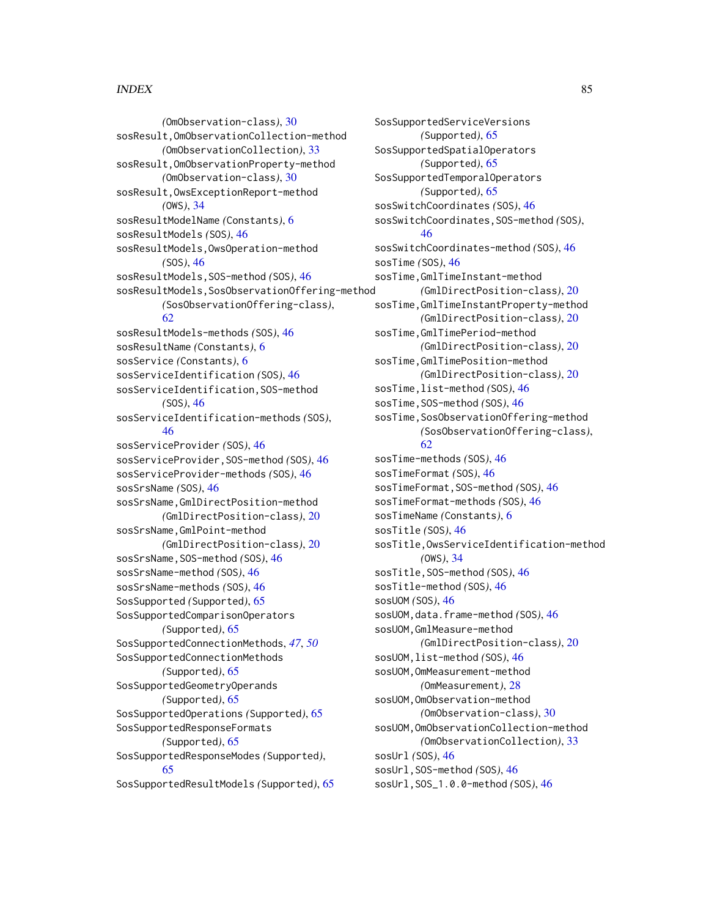*(*OmObservation-class*)*, [30](#page-29-0) sosResult,OmObservationCollection-method *(*OmObservationCollection*)*, [33](#page-32-0) sosResult,OmObservationProperty-method *(*OmObservation-class*)*, [30](#page-29-0) sosResult,OwsExceptionReport-method *(*OWS*)*, [34](#page-33-0) sosResultModelName *(*Constants*)*, [6](#page-5-0) sosResultModels *(*SOS*)*, [46](#page-45-0) sosResultModels,OwsOperation-method *(*SOS*)*, [46](#page-45-0) sosResultModels,SOS-method *(*SOS*)*, [46](#page-45-0) sosResultModels,SosObservationOffering-method *(*SosObservationOffering-class*)*, [62](#page-61-0) sosResultModels-methods *(*SOS*)*, [46](#page-45-0) sosResultName *(*Constants*)*, [6](#page-5-0) sosService *(*Constants*)*, [6](#page-5-0) sosServiceIdentification *(*SOS*)*, [46](#page-45-0) sosServiceIdentification,SOS-method *(*SOS*)*, [46](#page-45-0) sosServiceIdentification-methods *(*SOS*)*, [46](#page-45-0) sosServiceProvider *(*SOS*)*, [46](#page-45-0) sosServiceProvider,SOS-method *(*SOS*)*, [46](#page-45-0) sosServiceProvider-methods *(*SOS*)*, [46](#page-45-0) sosSrsName *(*SOS*)*, [46](#page-45-0) sosSrsName,GmlDirectPosition-method *(*GmlDirectPosition-class*)*, [20](#page-19-0) sosSrsName,GmlPoint-method *(*GmlDirectPosition-class*)*, [20](#page-19-0) sosSrsName, SOS-method *(SOS)*, [46](#page-45-0) sosSrsName-method *(*SOS*)*, [46](#page-45-0) sosSrsName-methods *(*SOS*)*, [46](#page-45-0) SosSupported *(*Supported*)*, [65](#page-64-0) SosSupportedComparisonOperators *(*Supported*)*, [65](#page-64-0) SosSupportedConnectionMethods, *[47](#page-46-0)*, *[50](#page-49-0)* SosSupportedConnectionMethods *(*Supported*)*, [65](#page-64-0) SosSupportedGeometryOperands *(*Supported*)*, [65](#page-64-0) SosSupportedOperations *(*Supported*)*, [65](#page-64-0) SosSupportedResponseFormats *(*Supported*)*, [65](#page-64-0) SosSupportedResponseModes *(*Supported*)*, [65](#page-64-0) SosSupportedResultModels *(*Supported*)*, [65](#page-64-0)

SosSupportedServiceVersions *(*Supported*)*, [65](#page-64-0) SosSupportedSpatialOperators *(*Supported*)*, [65](#page-64-0) SosSupportedTemporalOperators *(*Supported*)*, [65](#page-64-0) sosSwitchCoordinates *(*SOS*)*, [46](#page-45-0) sosSwitchCoordinates,SOS-method *(*SOS*)*, [46](#page-45-0) sosSwitchCoordinates-method *(*SOS*)*, [46](#page-45-0) sosTime *(*SOS*)*, [46](#page-45-0) sosTime,GmlTimeInstant-method *(*GmlDirectPosition-class*)*, [20](#page-19-0) sosTime,GmlTimeInstantProperty-method *(*GmlDirectPosition-class*)*, [20](#page-19-0) sosTime,GmlTimePeriod-method *(*GmlDirectPosition-class*)*, [20](#page-19-0) sosTime,GmlTimePosition-method *(*GmlDirectPosition-class*)*, [20](#page-19-0) sosTime,list-method *(*SOS*)*, [46](#page-45-0) sosTime,SOS-method *(*SOS*)*, [46](#page-45-0) sosTime,SosObservationOffering-method *(*SosObservationOffering-class*)*, [62](#page-61-0) sosTime-methods *(*SOS*)*, [46](#page-45-0) sosTimeFormat *(*SOS*)*, [46](#page-45-0) sosTimeFormat, SOS-method *(SOS)*, [46](#page-45-0) sosTimeFormat-methods *(*SOS*)*, [46](#page-45-0) sosTimeName *(*Constants*)*, [6](#page-5-0) sosTitle *(*SOS*)*, [46](#page-45-0) sosTitle,OwsServiceIdentification-method *(*OWS*)*, [34](#page-33-0) sosTitle,SOS-method *(*SOS*)*, [46](#page-45-0) sosTitle-method *(*SOS*)*, [46](#page-45-0) sosUOM *(*SOS*)*, [46](#page-45-0) sosUOM,data.frame-method *(*SOS*)*, [46](#page-45-0) sosUOM,GmlMeasure-method *(*GmlDirectPosition-class*)*, [20](#page-19-0) sosUOM,list-method *(*SOS*)*, [46](#page-45-0) sosUOM,OmMeasurement-method *(*OmMeasurement*)*, [28](#page-27-0) sosUOM,OmObservation-method *(*OmObservation-class*)*, [30](#page-29-0) sosUOM,OmObservationCollection-method *(*OmObservationCollection*)*, [33](#page-32-0) sosUrl *(*SOS*)*, [46](#page-45-0) sosUrl,SOS-method *(*SOS*)*, [46](#page-45-0) sosUrl,SOS\_1.0.0-method *(*SOS*)*, [46](#page-45-0)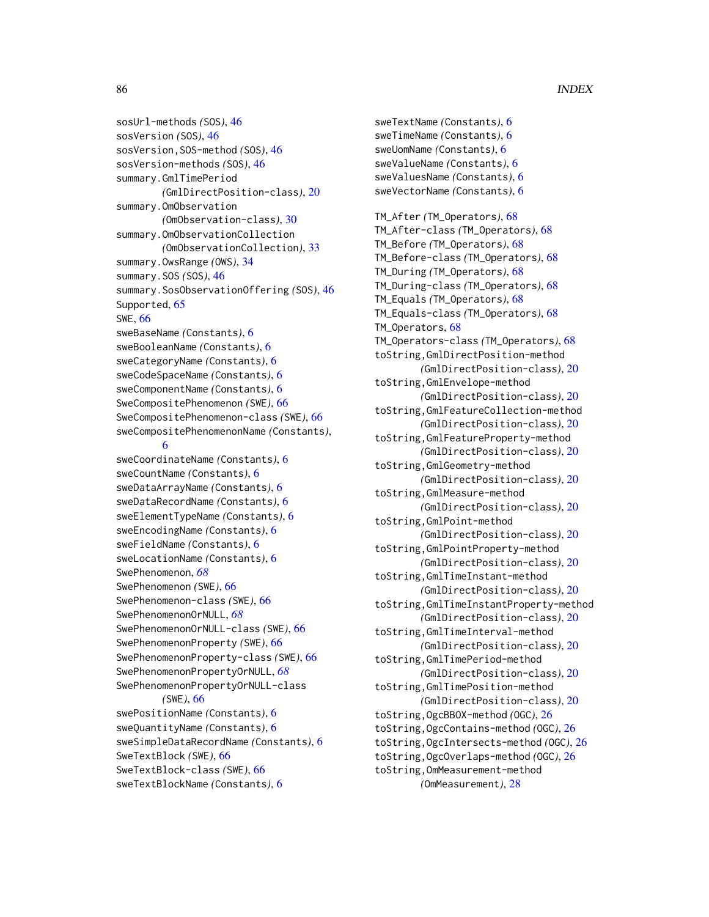sosUrl-methods *(*SOS*)*, [46](#page-45-0) sosVersion *(*SOS*)*, [46](#page-45-0) sosVersion,SOS-method *(*SOS*)*, [46](#page-45-0) sosVersion-methods *(*SOS*)*, [46](#page-45-0) summary.GmlTimePeriod *(*GmlDirectPosition-class*)*, [20](#page-19-0) summary.OmObservation *(*OmObservation-class*)*, [30](#page-29-0) summary.OmObservationCollection *(*OmObservationCollection*)*, [33](#page-32-0) summary.OwsRange *(*OWS*)*, [34](#page-33-0) summary.SOS *(*SOS*)*, [46](#page-45-0) summary.SosObservationOffering *(*SOS*)*, [46](#page-45-0) Supported, [65](#page-64-0) SWE, [66](#page-65-0) sweBaseName *(*Constants*)*, [6](#page-5-0) sweBooleanName *(*Constants*)*, [6](#page-5-0) sweCategoryName *(*Constants*)*, [6](#page-5-0) sweCodeSpaceName *(*Constants*)*, [6](#page-5-0) sweComponentName *(*Constants*)*, [6](#page-5-0) SweCompositePhenomenon *(*SWE*)*, [66](#page-65-0) SweCompositePhenomenon-class *(*SWE*)*, [66](#page-65-0) sweCompositePhenomenonName *(*Constants*)*, [6](#page-5-0) sweCoordinateName *(*Constants*)*, [6](#page-5-0) sweCountName *(*Constants*)*, [6](#page-5-0) sweDataArrayName *(*Constants*)*, [6](#page-5-0) sweDataRecordName *(*Constants*)*, [6](#page-5-0) sweElementTypeName *(*Constants*)*, [6](#page-5-0) sweEncodingName *(*Constants*)*, [6](#page-5-0) sweFieldName *(*Constants*)*, [6](#page-5-0) sweLocationName *(*Constants*)*, [6](#page-5-0) SwePhenomenon, *[68](#page-67-0)* SwePhenomenon *(*SWE*)*, [66](#page-65-0) SwePhenomenon-class *(*SWE*)*, [66](#page-65-0) SwePhenomenonOrNULL, *[68](#page-67-0)* SwePhenomenonOrNULL-class *(*SWE*)*, [66](#page-65-0) SwePhenomenonProperty *(*SWE*)*, [66](#page-65-0) SwePhenomenonProperty-class *(*SWE*)*, [66](#page-65-0) SwePhenomenonPropertyOrNULL, *[68](#page-67-0)* SwePhenomenonPropertyOrNULL-class *(*SWE*)*, [66](#page-65-0) swePositionName *(*Constants*)*, [6](#page-5-0) sweQuantityName *(*Constants*)*, [6](#page-5-0) sweSimpleDataRecordName *(*Constants*)*, [6](#page-5-0) SweTextBlock *(*SWE*)*, [66](#page-65-0) SweTextBlock-class *(*SWE*)*, [66](#page-65-0) sweTextBlockName *(*Constants*)*, [6](#page-5-0)

sweTextName *(*Constants*)*, [6](#page-5-0) sweTimeName *(*Constants*)*, [6](#page-5-0) sweUomName *(*Constants*)*, [6](#page-5-0) sweValueName *(*Constants*)*, [6](#page-5-0) sweValuesName *(*Constants*)*, [6](#page-5-0) sweVectorName *(*Constants*)*, [6](#page-5-0) TM\_After *(*TM\_Operators*)*, [68](#page-67-0) TM\_After-class *(*TM\_Operators*)*, [68](#page-67-0) TM\_Before *(*TM\_Operators*)*, [68](#page-67-0) TM\_Before-class *(*TM\_Operators*)*, [68](#page-67-0) TM\_During *(*TM\_Operators*)*, [68](#page-67-0) TM\_During-class *(*TM\_Operators*)*, [68](#page-67-0) TM\_Equals *(*TM\_Operators*)*, [68](#page-67-0) TM\_Equals-class *(*TM\_Operators*)*, [68](#page-67-0) TM\_Operators, [68](#page-67-0) TM\_Operators-class *(*TM\_Operators*)*, [68](#page-67-0) toString,GmlDirectPosition-method *(*GmlDirectPosition-class*)*, [20](#page-19-0) toString,GmlEnvelope-method *(*GmlDirectPosition-class*)*, [20](#page-19-0) toString,GmlFeatureCollection-method *(*GmlDirectPosition-class*)*, [20](#page-19-0) toString,GmlFeatureProperty-method *(*GmlDirectPosition-class*)*, [20](#page-19-0) toString,GmlGeometry-method *(*GmlDirectPosition-class*)*, [20](#page-19-0) toString,GmlMeasure-method *(*GmlDirectPosition-class*)*, [20](#page-19-0) toString,GmlPoint-method *(*GmlDirectPosition-class*)*, [20](#page-19-0) toString,GmlPointProperty-method *(*GmlDirectPosition-class*)*, [20](#page-19-0) toString,GmlTimeInstant-method *(*GmlDirectPosition-class*)*, [20](#page-19-0) toString,GmlTimeInstantProperty-method *(*GmlDirectPosition-class*)*, [20](#page-19-0) toString,GmlTimeInterval-method *(*GmlDirectPosition-class*)*, [20](#page-19-0) toString,GmlTimePeriod-method *(*GmlDirectPosition-class*)*, [20](#page-19-0) toString,GmlTimePosition-method *(*GmlDirectPosition-class*)*, [20](#page-19-0) toString,OgcBBOX-method *(*OGC*)*, [26](#page-25-0) toString,OgcContains-method *(*OGC*)*, [26](#page-25-0) toString,OgcIntersects-method *(*OGC*)*, [26](#page-25-0) toString,OgcOverlaps-method *(*OGC*)*, [26](#page-25-0) toString,OmMeasurement-method *(*OmMeasurement*)*, [28](#page-27-0)